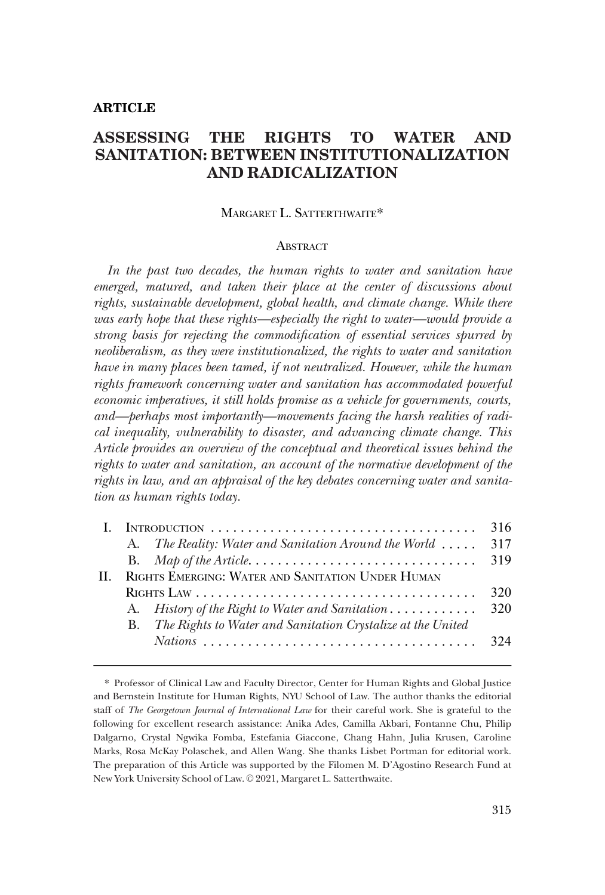#### **ARTICLE**

# **ASSESSING THE RIGHTS TO WATER AND SANITATION: BETWEEN INSTITUTIONALIZATION AND RADICALIZATION**

### MARGARET L. SATTERTHWAITE\*

#### **ABSTRACT**

*In the past two decades, the human rights to water and sanitation have emerged, matured, and taken their place at the center of discussions about rights, sustainable development, global health, and climate change. While there*  was early hope that these rights—especially the right to water—would provide a *strong basis for rejecting the commodification of essential services spurred by neoliberalism, as they were institutionalized, the rights to water and sanitation have in many places been tamed, if not neutralized. However, while the human rights framework concerning water and sanitation has accommodated powerful economic imperatives, it still holds promise as a vehicle for governments, courts, and—perhaps most importantly—movements facing the harsh realities of radical inequality, vulnerability to disaster, and advancing climate change. This Article provides an overview of the conceptual and theoretical issues behind the rights to water and sanitation, an account of the normative development of the rights in law, and an appraisal of the key debates concerning water and sanitation as human rights today.* 

|    |                                                   |                                                                       | 316 |
|----|---------------------------------------------------|-----------------------------------------------------------------------|-----|
|    |                                                   | A. The Reality: Water and Sanitation Around the World                 | 317 |
|    |                                                   |                                                                       |     |
| Н. | RIGHTS EMERGING: WATER AND SANITATION UNDER HUMAN |                                                                       |     |
|    |                                                   |                                                                       | 320 |
|    |                                                   | A. History of the Right to Water and Sanitation 320                   |     |
|    |                                                   | <b>B.</b> The Rights to Water and Sanitation Crystalize at the United |     |
|    |                                                   |                                                                       |     |
|    |                                                   |                                                                       |     |

<sup>\*</sup> Professor of Clinical Law and Faculty Director, Center for Human Rights and Global Justice and Bernstein Institute for Human Rights, NYU School of Law. The author thanks the editorial staff of *The Georgetown Journal of International Law* for their careful work. She is grateful to the following for excellent research assistance: Anika Ades, Camilla Akbari, Fontanne Chu, Philip Dalgarno, Crystal Ngwika Fomba, Estefania Giaccone, Chang Hahn, Julia Krusen, Caroline Marks, Rosa McKay Polaschek, and Allen Wang. She thanks Lisbet Portman for editorial work. The preparation of this Article was supported by the Filomen M. D'Agostino Research Fund at New York University School of Law. © 2021, Margaret L. Satterthwaite.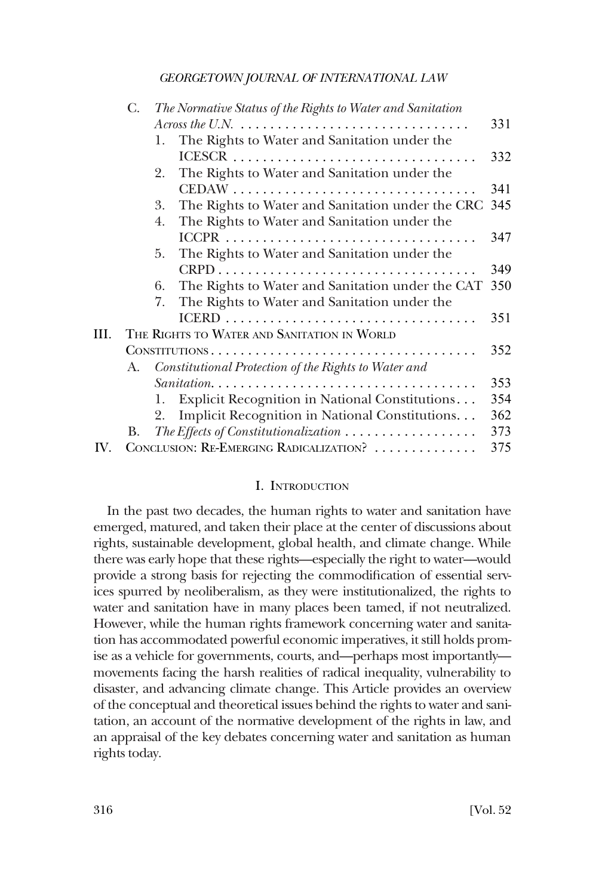<span id="page-1-0"></span>

|     | C. | The Normative Status of the Rights to Water and Sanitation                              |     |
|-----|----|-----------------------------------------------------------------------------------------|-----|
|     |    | Across the U.N. $\ldots \ldots \ldots \ldots \ldots \ldots \ldots \ldots \ldots \ldots$ | 331 |
|     |    | The Rights to Water and Sanitation under the<br>1.                                      |     |
|     |    |                                                                                         | 332 |
|     |    | The Rights to Water and Sanitation under the<br>2.                                      |     |
|     |    |                                                                                         | 341 |
|     |    | The Rights to Water and Sanitation under the CRC 345<br>3.                              |     |
|     |    | The Rights to Water and Sanitation under the<br>4.                                      |     |
|     |    |                                                                                         | 347 |
|     |    | The Rights to Water and Sanitation under the<br>5.                                      |     |
|     |    |                                                                                         | 349 |
|     |    | The Rights to Water and Sanitation under the CAT<br>6.                                  | 350 |
|     |    | 7.<br>The Rights to Water and Sanitation under the                                      |     |
|     |    |                                                                                         | 351 |
| Ш.  |    | THE RIGHTS TO WATER AND SANITATION IN WORLD                                             |     |
|     |    | CONSTITUTIONS                                                                           | 352 |
|     | A. | Constitutional Protection of the Rights to Water and                                    |     |
|     |    |                                                                                         | 353 |
|     |    | Explicit Recognition in National Constitutions<br>1.                                    | 354 |
|     |    | Implicit Recognition in National Constitutions<br>2.                                    | 362 |
|     | В. | The Effects of Constitutionalization $\ldots \ldots \ldots \ldots \ldots$               | 373 |
| IV. |    | CONCLUSION: RE-EMERGING RADICALIZATION?                                                 | 375 |
|     |    |                                                                                         |     |

#### I. INTRODUCTION

In the past two decades, the human rights to water and sanitation have emerged, matured, and taken their place at the center of discussions about rights, sustainable development, global health, and climate change. While there was early hope that these rights—especially the right to water—would provide a strong basis for rejecting the commodification of essential services spurred by neoliberalism, as they were institutionalized, the rights to water and sanitation have in many places been tamed, if not neutralized. However, while the human rights framework concerning water and sanitation has accommodated powerful economic imperatives, it still holds promise as a vehicle for governments, courts, and—perhaps most importantly movements facing the harsh realities of radical inequality, vulnerability to disaster, and advancing climate change. This Article provides an overview of the conceptual and theoretical issues behind the rights to water and sanitation, an account of the normative development of the rights in law, and an appraisal of the key debates concerning water and sanitation as human rights today.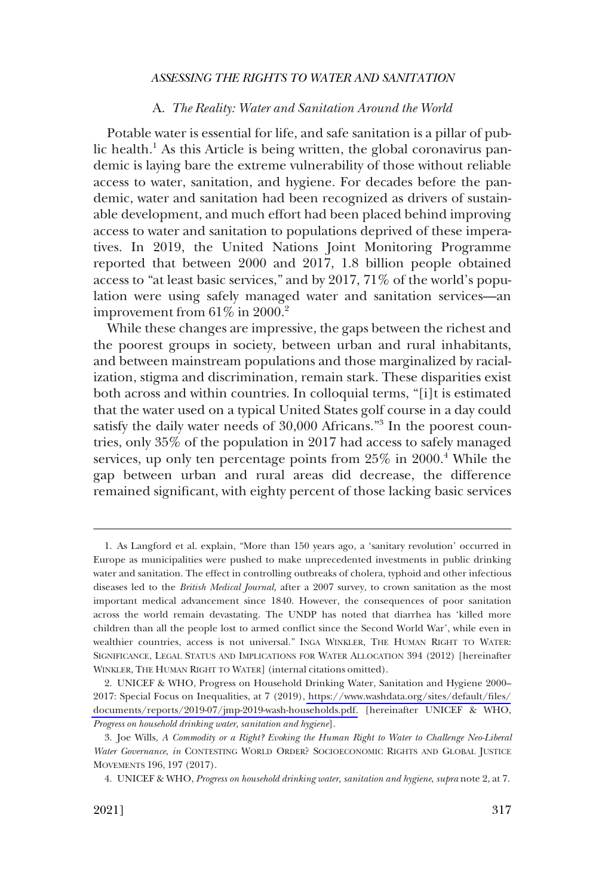#### A. *The Reality: Water and Sanitation Around the World*

<span id="page-2-0"></span>Potable water is essential for life, and safe sanitation is a pillar of public health.<sup>1</sup> As this Article is being written, the global coronavirus pandemic is laying bare the extreme vulnerability of those without reliable access to water, sanitation, and hygiene. For decades before the pandemic, water and sanitation had been recognized as drivers of sustainable development, and much effort had been placed behind improving access to water and sanitation to populations deprived of these imperatives. In 2019, the United Nations Joint Monitoring Programme reported that between 2000 and 2017, 1.8 billion people obtained access to "at least basic services," and by 2017, 71% of the world's population were using safely managed water and sanitation services—an improvement from  $61\%$  in  $2000.<sup>2</sup>$ 

While these changes are impressive, the gaps between the richest and the poorest groups in society, between urban and rural inhabitants, and between mainstream populations and those marginalized by racialization, stigma and discrimination, remain stark. These disparities exist both across and within countries. In colloquial terms, "[i]t is estimated that the water used on a typical United States golf course in a day could satisfy the daily water needs of 30,000 Africans."<sup>3</sup> In the poorest countries, only 35% of the population in 2017 had access to safely managed services, up only ten percentage points from  $25\%$  in  $2000$ .<sup>4</sup> While the gap between urban and rural areas did decrease, the difference remained significant, with eighty percent of those lacking basic services

<sup>1.</sup> As Langford et al. explain, "More than 150 years ago, a 'sanitary revolution' occurred in Europe as municipalities were pushed to make unprecedented investments in public drinking water and sanitation. The effect in controlling outbreaks of cholera, typhoid and other infectious diseases led to the *British Medical Journal,* after a 2007 survey, to crown sanitation as the most important medical advancement since 1840. However, the consequences of poor sanitation across the world remain devastating. The UNDP has noted that diarrhea has 'killed more children than all the people lost to armed conflict since the Second World War', while even in wealthier countries, access is not universal." INGA WINKLER, THE HUMAN RIGHT TO WATER: SIGNIFICANCE, LEGAL STATUS AND IMPLICATIONS FOR WATER ALLOCATION 394 (2012) [hereinafter WINKLER, THE HUMAN RIGHT TO WATER] (internal citations omitted).

<sup>2.</sup> UNICEF & WHO, Progress on Household Drinking Water, Sanitation and Hygiene 2000– 2017: Special Focus on Inequalities, at 7 (2019), [https://www.washdata.org/sites/default/files/](https://www.washdata.org/sites/default/files/documents/reports/2019-07/jmp-2019-wash-households.pdf) [documents/reports/2019-07/jmp-2019-wash-households.pdf.](https://www.washdata.org/sites/default/files/documents/reports/2019-07/jmp-2019-wash-households.pdf) [hereinafter UNICEF & WHO, *Progress on household drinking water, sanitation and hygiene*].

<sup>3.</sup> Joe Wills, *A Commodity or a Right? Evoking the Human Right to Water to Challenge Neo-Liberal Water Governance*, *in* CONTESTING WORLD ORDER? SOCIOECONOMIC RIGHTS AND GLOBAL JUSTICE MOVEMENTS 196, 197 (2017).

<sup>4.</sup> UNICEF & WHO, *Progress on household drinking water, sanitation and hygiene*, *supra* note 2, at 7.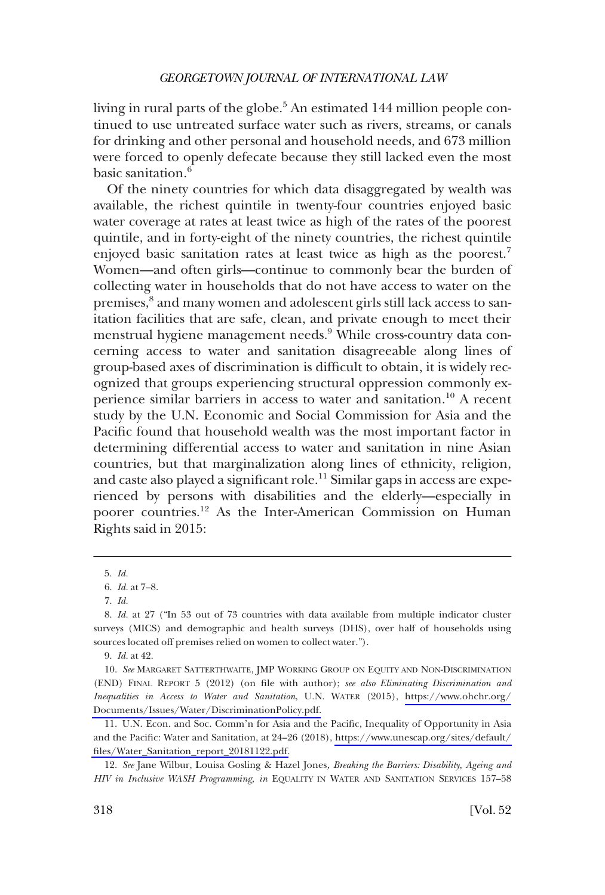living in rural parts of the globe.<sup>5</sup> An estimated 144 million people continued to use untreated surface water such as rivers, streams, or canals for drinking and other personal and household needs, and 673 million were forced to openly defecate because they still lacked even the most basic sanitation.<sup>6</sup>

Of the ninety countries for which data disaggregated by wealth was available, the richest quintile in twenty-four countries enjoyed basic water coverage at rates at least twice as high of the rates of the poorest quintile, and in forty-eight of the ninety countries, the richest quintile enjoyed basic sanitation rates at least twice as high as the poorest.<sup>7</sup> Women—and often girls—continue to commonly bear the burden of collecting water in households that do not have access to water on the premises,<sup>8</sup> and many women and adolescent girls still lack access to sanitation facilities that are safe, clean, and private enough to meet their menstrual hygiene management needs.9 While cross-country data concerning access to water and sanitation disagreeable along lines of group-based axes of discrimination is difficult to obtain, it is widely recognized that groups experiencing structural oppression commonly experience similar barriers in access to water and sanitation.<sup>10</sup> A recent study by the U.N. Economic and Social Commission for Asia and the Pacific found that household wealth was the most important factor in determining differential access to water and sanitation in nine Asian countries, but that marginalization along lines of ethnicity, religion, and caste also played a significant role.<sup>11</sup> Similar gaps in access are experienced by persons with disabilities and the elderly—especially in poorer countries.12 As the Inter-American Commission on Human Rights said in 2015:

<sup>5.</sup> *Id.* 

<sup>6.</sup> *Id.* at 7–8.

<sup>7.</sup> *Id.* 

<sup>8.</sup> *Id.* at 27 ("In 53 out of 73 countries with data available from multiple indicator cluster surveys (MICS) and demographic and health surveys (DHS), over half of households using sources located off premises relied on women to collect water.").

<sup>9.</sup> *Id.* at 42.

<sup>10.</sup> See MARGARET SATTERTHWAITE, JMP WORKING GROUP ON EQUITY AND NON-DISCRIMINATION (END) FINAL REPORT 5 (2012) (on file with author); *see also Eliminating Discrimination and Inequalities in Access to Water and Sanitation*, U.N. WATER (2015), [https://www.ohchr.org/](https://www.ohchr.org/Documents/Issues/Water/DiscriminationPolicy.pdf)  [Documents/Issues/Water/DiscriminationPolicy.pdf.](https://www.ohchr.org/Documents/Issues/Water/DiscriminationPolicy.pdf)

U.N. Econ. and Soc. Comm'n for Asia and the Pacific, Inequality of Opportunity in Asia 11. and the Pacific: Water and Sanitation, at 24–26 (2018), [https://www.unescap.org/sites/default/](https://www.unescap.org/sites/default/files/Water_Sanitation_report_20181122.pdf) [files/Water\\_Sanitation\\_report\\_20181122.pdf.](https://www.unescap.org/sites/default/files/Water_Sanitation_report_20181122.pdf)

<sup>12.</sup> *See* Jane Wilbur, Louisa Gosling & Hazel Jones*, Breaking the Barriers: Disability, Ageing and HIV in Inclusive WASH Programming, in* EQUALITY IN WATER AND SANITATION SERVICES 157–58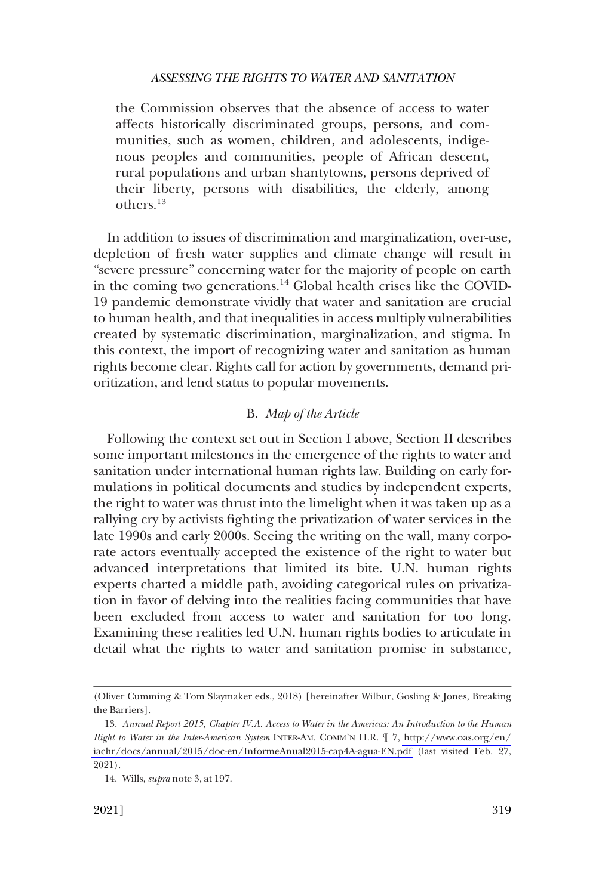<span id="page-4-0"></span>the Commission observes that the absence of access to water affects historically discriminated groups, persons, and communities, such as women, children, and adolescents, indigenous peoples and communities, people of African descent, rural populations and urban shantytowns, persons deprived of their liberty, persons with disabilities, the elderly, among others.<sup>13</sup>

In addition to issues of discrimination and marginalization, over-use, depletion of fresh water supplies and climate change will result in "severe pressure" concerning water for the majority of people on earth in the coming two generations.<sup>14</sup> Global health crises like the COVID-19 pandemic demonstrate vividly that water and sanitation are crucial to human health, and that inequalities in access multiply vulnerabilities created by systematic discrimination, marginalization, and stigma. In this context, the import of recognizing water and sanitation as human rights become clear. Rights call for action by governments, demand prioritization, and lend status to popular movements.

# B. *Map of the Article*

Following the context set out in Section I above, Section II describes some important milestones in the emergence of the rights to water and sanitation under international human rights law. Building on early formulations in political documents and studies by independent experts, the right to water was thrust into the limelight when it was taken up as a rallying cry by activists fighting the privatization of water services in the late 1990s and early 2000s. Seeing the writing on the wall, many corporate actors eventually accepted the existence of the right to water but advanced interpretations that limited its bite. U.N. human rights experts charted a middle path, avoiding categorical rules on privatization in favor of delving into the realities facing communities that have been excluded from access to water and sanitation for too long. Examining these realities led U.N. human rights bodies to articulate in detail what the rights to water and sanitation promise in substance,

<sup>(</sup>Oliver Cumming & Tom Slaymaker eds., 2018) [hereinafter Wilbur, Gosling & Jones, Breaking the Barriers].

*Annual Report 2015, Chapter IV.A. Access to Water in the Americas: An Introduction to the Human*  13. *Right to Water in the Inter-American System* INTER-AM. COMM'N H.R. ¶ 7, [http://www.oas.org/en/](http://www.oas.org/en/iachr/docs/annual/2015/doc-en/InformeAnual2015-cap4A-agua-EN.pdf)  [iachr/docs/annual/2015/doc-en/InformeAnual2015-cap4A-agua-EN.pdf](http://www.oas.org/en/iachr/docs/annual/2015/doc-en/InformeAnual2015-cap4A-agua-EN.pdf) (last visited Feb. 27, 2021).

<sup>14.</sup> Wills, *supra* note 3, at 197.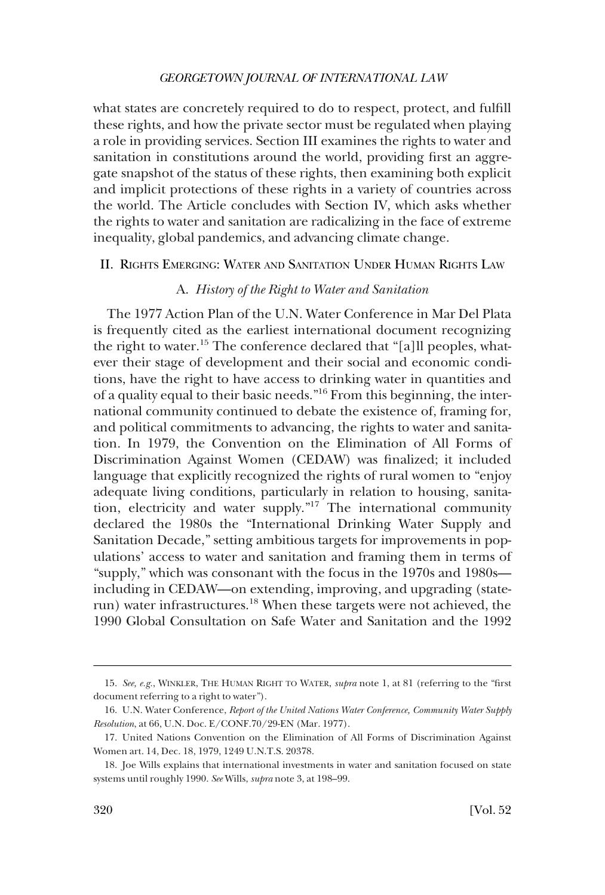<span id="page-5-0"></span>what states are concretely required to do to respect, protect, and fulfill these rights, and how the private sector must be regulated when playing a role in providing services. Section III examines the rights to water and sanitation in constitutions around the world, providing first an aggregate snapshot of the status of these rights, then examining both explicit and implicit protections of these rights in a variety of countries across the world. The Article concludes with Section IV, which asks whether the rights to water and sanitation are radicalizing in the face of extreme inequality, global pandemics, and advancing climate change.

II. RIGHTS EMERGING: WATER AND SANITATION UNDER HUMAN RIGHTS LAW

# A. *History of the Right to Water and Sanitation*

The 1977 Action Plan of the U.N. Water Conference in Mar Del Plata is frequently cited as the earliest international document recognizing the right to water.<sup>15</sup> The conference declared that "[a]ll peoples, whatever their stage of development and their social and economic conditions, have the right to have access to drinking water in quantities and of a quality equal to their basic needs."16 From this beginning, the international community continued to debate the existence of, framing for, and political commitments to advancing, the rights to water and sanitation. In 1979, the Convention on the Elimination of All Forms of Discrimination Against Women (CEDAW) was finalized; it included language that explicitly recognized the rights of rural women to "enjoy adequate living conditions, particularly in relation to housing, sanitation, electricity and water supply."17 The international community declared the 1980s the "International Drinking Water Supply and Sanitation Decade," setting ambitious targets for improvements in populations' access to water and sanitation and framing them in terms of "supply," which was consonant with the focus in the 1970s and 1980s including in CEDAW—on extending, improving, and upgrading (staterun) water infrastructures.<sup>18</sup> When these targets were not achieved, the 1990 Global Consultation on Safe Water and Sanitation and the 1992

<sup>15.</sup> *See, e.g.*, WINKLER, THE HUMAN RIGHT TO WATER, *supra* note 1, at 81 (referring to the "first document referring to a right to water").

<sup>16.</sup> U.N. Water Conference, *Report of the United Nations Water Conference, Community Water Supply Resolution*, at 66, U.N. Doc. E/CONF.70/29-EN (Mar. 1977).

<sup>17.</sup> United Nations Convention on the Elimination of All Forms of Discrimination Against Women art. 14, Dec. 18, 1979, 1249 U.N.T.S. 20378.

<sup>18.</sup> Joe Wills explains that international investments in water and sanitation focused on state systems until roughly 1990. *See* Wills, *supra* note 3, at 198–99.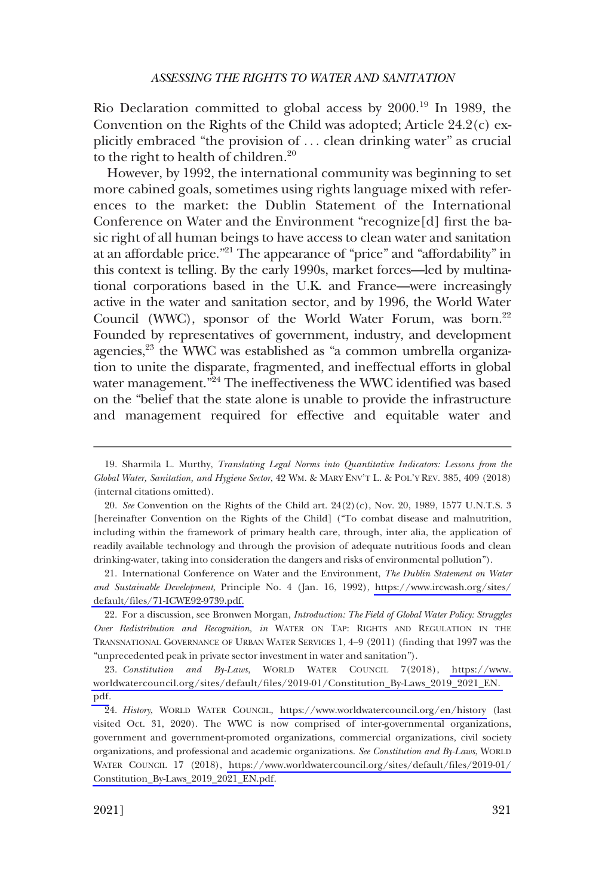Rio Declaration committed to global access by 2000.19 In 1989, the Convention on the Rights of the Child was adopted; Article 24.2(c) explicitly embraced "the provision of . . . clean drinking water" as crucial to the right to health of children.<sup>20</sup>

However, by 1992, the international community was beginning to set more cabined goals, sometimes using rights language mixed with references to the market: the Dublin Statement of the International Conference on Water and the Environment "recognize[d] first the basic right of all human beings to have access to clean water and sanitation at an affordable price."<sup>21</sup> The appearance of "price" and "affordability" in this context is telling. By the early 1990s, market forces—led by multinational corporations based in the U.K. and France—were increasingly active in the water and sanitation sector, and by 1996, the World Water Council (WWC), sponsor of the World Water Forum, was born.<sup>22</sup> Founded by representatives of government, industry, and development agencies,<sup>23</sup> the WWC was established as "a common umbrella organization to unite the disparate, fragmented, and ineffectual efforts in global water management."<sup>24</sup> The ineffectiveness the WWC identified was based on the "belief that the state alone is unable to provide the infrastructure and management required for effective and equitable water and

International Conference on Water and the Environment, *The Dublin Statement on Water*  21. *and Sustainable Development*, Principle No. 4 (Jan. 16, 1992), [https://www.ircwash.org/sites/](https://www.ircwash.org/sites/default/files/71-ICWE92-9739.pdf) [default/files/71-ICWE92-9739.pdf.](https://www.ircwash.org/sites/default/files/71-ICWE92-9739.pdf)

22. For a discussion, see Bronwen Morgan, *Introduction: The Field of Global Water Policy: Struggles Over Redistribution and Recognition, in* WATER ON TAP: RIGHTS AND REGULATION IN THE TRANSNATIONAL GOVERNANCE OF URBAN WATER SERVICES 1, 4–9 (2011) (finding that 1997 was the "unprecedented peak in private sector investment in water and sanitation").

23. Constitution and By-Laws, WORLD WATER COUNCIL 7(2018), https://www. [worldwatercouncil.org/sites/default/files/2019-01/Constitution\\_By-Laws\\_2019\\_2021\\_EN.](https://www.worldwatercouncil.org/sites/default/files/2019-01/Constitution_By-Laws_2019_2021_EN.pdf)  [pdf.](https://www.worldwatercouncil.org/sites/default/files/2019-01/Constitution_By-Laws_2019_2021_EN.pdf)

24. History, WORLD WATER COUNCIL, <https://www.worldwatercouncil.org/en/history>(last visited Oct. 31, 2020). The WWC is now comprised of inter-governmental organizations, government and government-promoted organizations, commercial organizations, civil society organizations, and professional and academic organizations. *See Constitution and By-Laws*, WORLD WATER COUNCIL 17 (2018), [https://www.worldwatercouncil.org/sites/default/files/2019-01/](https://www.worldwatercouncil.org/sites/default/files/2019-01/Constitution_By-Laws_2019_2021_EN.pdf) [Constitution\\_By-Laws\\_2019\\_2021\\_EN.pdf](https://www.worldwatercouncil.org/sites/default/files/2019-01/Constitution_By-Laws_2019_2021_EN.pdf).

<sup>19.</sup> Sharmila L. Murthy, *Translating Legal Norms into Quantitative Indicators: Lessons from the Global Water, Sanitation, and Hygiene Sector*, 42 WM. & MARY ENV'T L. & POL'Y REV. 385, 409 (2018) (internal citations omitted).

<sup>20.</sup> *See* Convention on the Rights of the Child art. 24(2)(c), Nov. 20, 1989, 1577 U.N.T.S. 3 [hereinafter Convention on the Rights of the Child] ("To combat disease and malnutrition, including within the framework of primary health care, through, inter alia, the application of readily available technology and through the provision of adequate nutritious foods and clean drinking-water, taking into consideration the dangers and risks of environmental pollution").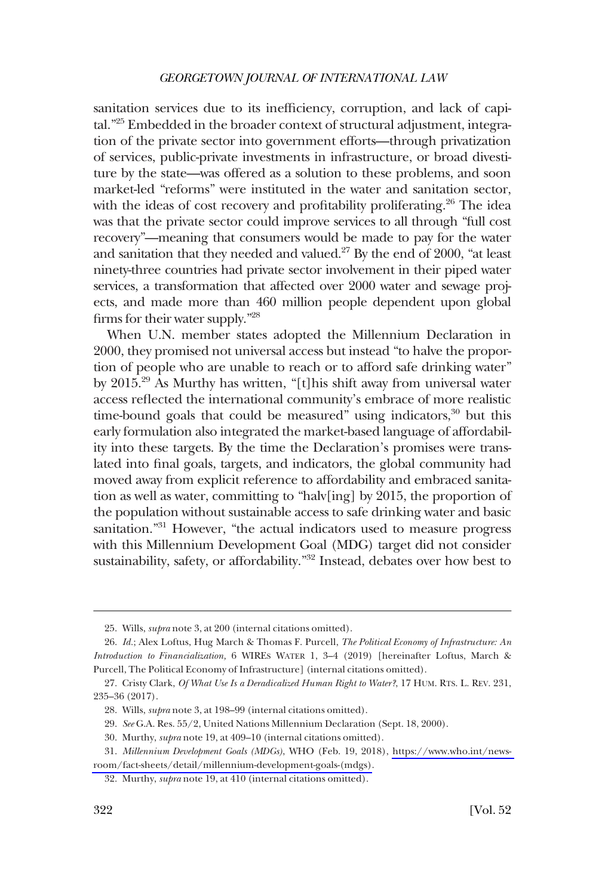sanitation services due to its inefficiency, corruption, and lack of capital."25 Embedded in the broader context of structural adjustment, integration of the private sector into government efforts—through privatization of services, public-private investments in infrastructure, or broad divestiture by the state—was offered as a solution to these problems, and soon market-led "reforms" were instituted in the water and sanitation sector, with the ideas of cost recovery and profitability proliferating.<sup>26</sup> The idea was that the private sector could improve services to all through "full cost recovery"—meaning that consumers would be made to pay for the water and sanitation that they needed and valued.27 By the end of 2000, "at least ninety-three countries had private sector involvement in their piped water services, a transformation that affected over 2000 water and sewage projects, and made more than 460 million people dependent upon global firms for their water supply."28

When U.N. member states adopted the Millennium Declaration in 2000, they promised not universal access but instead "to halve the proportion of people who are unable to reach or to afford safe drinking water" by 2015.29 As Murthy has written, "[t]his shift away from universal water access reflected the international community's embrace of more realistic time-bound goals that could be measured" using indicators, $30$  but this early formulation also integrated the market-based language of affordability into these targets. By the time the Declaration's promises were translated into final goals, targets, and indicators, the global community had moved away from explicit reference to affordability and embraced sanitation as well as water, committing to "halv[ing] by 2015, the proportion of the population without sustainable access to safe drinking water and basic sanitation."<sup>31</sup> However, "the actual indicators used to measure progress with this Millennium Development Goal (MDG) target did not consider sustainability, safety, or affordability."<sup>32</sup> Instead, debates over how best to

<sup>25.</sup> Wills, *supra* note 3, at 200 (internal citations omitted).

<sup>26.</sup> *Id.*; Alex Loftus, Hug March & Thomas F. Purcell, *The Political Economy of Infrastructure: An Introduction to Financialization,* 6 WIRES WATER 1, 3–4 (2019) [hereinafter Loftus, March & Purcell, The Political Economy of Infrastructure] (internal citations omitted).

<sup>27.</sup> Cristy Clark, *Of What Use Is a Deradicalized Human Right to Water?*, 17 HUM. RTS. L. REV. 231, 235–36 (2017).

<sup>28.</sup> Wills, *supra* note 3, at 198–99 (internal citations omitted).

<sup>29.</sup> *See* G.A. Res. 55/2, United Nations Millennium Declaration (Sept. 18, 2000).

<sup>30.</sup> Murthy, *supra* note 19, at 409–10 (internal citations omitted).

*Millennium Development Goals (MDGs)*, WHO (Feb. 19, 2018), [https://www.who.int/news-](https://www.who.int/news-room/fact-sheets/detail/millennium-development-goals-(mdgs))31.

[room/fact-sheets/detail/millennium-development-goals-\(mdgs\).](https://www.who.int/news-room/fact-sheets/detail/millennium-development-goals-(mdgs))

<sup>32.</sup> Murthy, *supra* note 19, at 410 (internal citations omitted).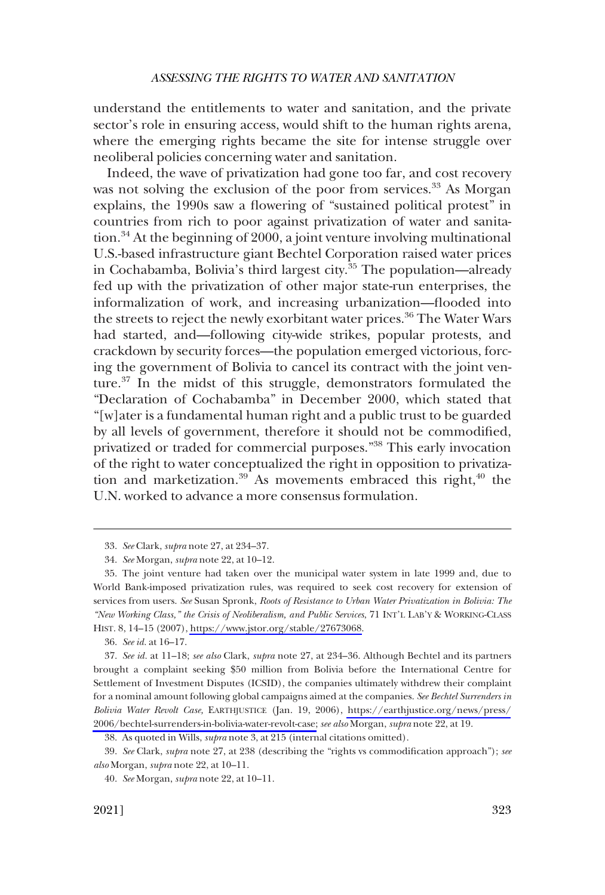understand the entitlements to water and sanitation, and the private sector's role in ensuring access, would shift to the human rights arena, where the emerging rights became the site for intense struggle over neoliberal policies concerning water and sanitation.

Indeed, the wave of privatization had gone too far, and cost recovery was not solving the exclusion of the poor from services.<sup>33</sup> As Morgan explains, the 1990s saw a flowering of "sustained political protest" in countries from rich to poor against privatization of water and sanitation.34 At the beginning of 2000, a joint venture involving multinational U.S.-based infrastructure giant Bechtel Corporation raised water prices in Cochabamba, Bolivia's third largest city.<sup>35</sup> The population—already fed up with the privatization of other major state-run enterprises, the informalization of work, and increasing urbanization—flooded into the streets to reject the newly exorbitant water prices.<sup>36</sup> The Water Wars had started, and—following city-wide strikes, popular protests, and crackdown by security forces—the population emerged victorious, forcing the government of Bolivia to cancel its contract with the joint venture.<sup>37</sup> In the midst of this struggle, demonstrators formulated the "Declaration of Cochabamba" in December 2000, which stated that "[w]ater is a fundamental human right and a public trust to be guarded by all levels of government, therefore it should not be commodified, privatized or traded for commercial purposes."38 This early invocation of the right to water conceptualized the right in opposition to privatization and marketization.<sup>39</sup> As movements embraced this right,<sup>40</sup> the U.N. worked to advance a more consensus formulation.

<sup>33.</sup> *See* Clark, *supra* note 27, at 234–37.

<sup>34.</sup> *See* Morgan, *supra* note 22, at 10–12.

The joint venture had taken over the municipal water system in late 1999 and, due to 35. World Bank-imposed privatization rules, was required to seek cost recovery for extension of services from users. *See* Susan Spronk, *Roots of Resistance to Urban Water Privatization in Bolivia: The "New Working Class," the Crisis of Neoliberalism, and Public Services*, 71 INT'L LAB'Y & WORKING-CLASS HIST. 8, 14–15 (2007), [https://www.jstor.org/stable/27673068.](https://www.jstor.org/stable/27673068)

<sup>36.</sup> *See id.* at 16–17.

*See id.* at 11–18; *see also* Clark, *supra* note 27, at 234–36. Although Bechtel and its partners 37. brought a complaint seeking \$50 million from Bolivia before the International Centre for Settlement of Investment Disputes (ICSID), the companies ultimately withdrew their complaint for a nominal amount following global campaigns aimed at the companies. *See Bechtel Surrenders in Bolivia Water Revolt Case,* EARTHJUSTICE (Jan. 19, 2006), [https://earthjustice.org/news/press/](https://earthjustice.org/news/press/2006/bechtel-surrenders-in-bolivia-water-revolt-case) [2006/bechtel-surrenders-in-bolivia-water-revolt-case;](https://earthjustice.org/news/press/2006/bechtel-surrenders-in-bolivia-water-revolt-case) *see also* Morgan, *supra* note 22, at 19.

<sup>38.</sup> As quoted in Wills, *supra* note 3, at 215 (internal citations omitted).

<sup>39.</sup> *See* Clark, *supra* note 27, at 238 (describing the "rights vs commodification approach"); *see also* Morgan, *supra* note 22, at 10–11.

<sup>40.</sup> *See* Morgan, *supra* note 22, at 10–11.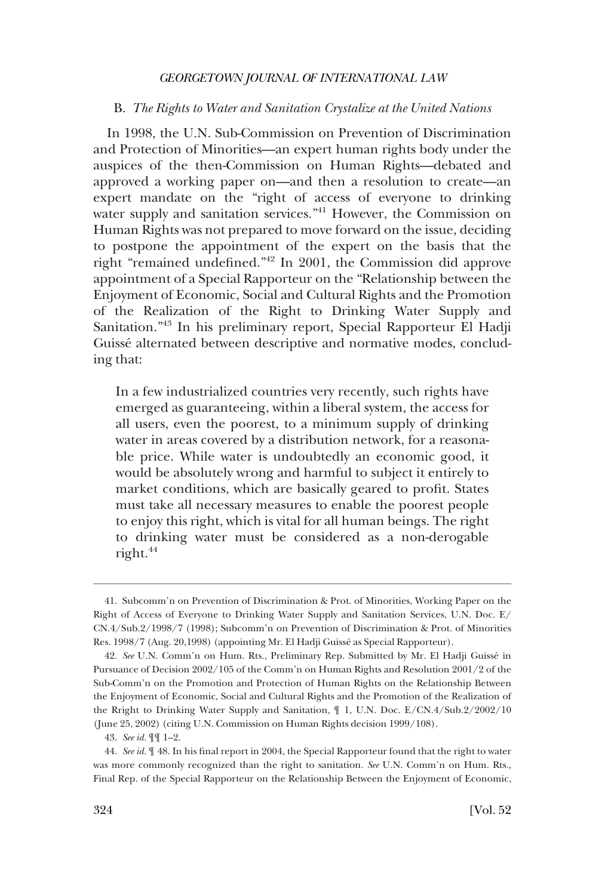#### <span id="page-9-0"></span>B. *The Rights to Water and Sanitation Crystalize at the United Nations*

In 1998, the U.N. Sub-Commission on Prevention of Discrimination and Protection of Minorities—an expert human rights body under the auspices of the then-Commission on Human Rights—debated and approved a working paper on—and then a resolution to create—an expert mandate on the "right of access of everyone to drinking water supply and sanitation services."<sup>41</sup> However, the Commission on Human Rights was not prepared to move forward on the issue, deciding to postpone the appointment of the expert on the basis that the right "remained undefined."42 In 2001, the Commission did approve appointment of a Special Rapporteur on the "Relationship between the Enjoyment of Economic, Social and Cultural Rights and the Promotion of the Realization of the Right to Drinking Water Supply and Sanitation."43 In his preliminary report, Special Rapporteur El Hadji Guissé alternated between descriptive and normative modes, concluding that:

In a few industrialized countries very recently, such rights have emerged as guaranteeing, within a liberal system, the access for all users, even the poorest, to a minimum supply of drinking water in areas covered by a distribution network, for a reasonable price. While water is undoubtedly an economic good, it would be absolutely wrong and harmful to subject it entirely to market conditions, which are basically geared to profit. States must take all necessary measures to enable the poorest people to enjoy this right, which is vital for all human beings. The right to drinking water must be considered as a non-derogable right.<sup>44</sup>

<sup>41.</sup> Subcomm'n on Prevention of Discrimination & Prot. of Minorities, Working Paper on the Right of Access of Everyone to Drinking Water Supply and Sanitation Services, U.N. Doc. E/ CN.4/Sub.2/1998/7 (1998); Subcomm'n on Prevention of Discrimination & Prot. of Minorities Res. 1998/7 (Aug. 20,1998) (appointing Mr. El Hadji Guissé as Special Rapporteur).

<sup>42.</sup> *See* U.N. Comm'n on Hum. Rts., Preliminary Rep. Submitted by Mr. El Hadji Guisse´ in Pursuance of Decision 2002/105 of the Comm'n on Human Rights and Resolution 2001/2 of the Sub-Comm'n on the Promotion and Protection of Human Rights on the Relationship Between the Enjoyment of Economic, Social and Cultural Rights and the Promotion of the Realization of the Rright to Drinking Water Supply and Sanitation, ¶ 1, U.N. Doc. E/CN.4/Sub.2/2002/10 (June 25, 2002) (citing U.N. Commission on Human Rights decision 1999/108).

<sup>43.</sup> *See id.* ¶¶ 1–2.

<sup>44.</sup> *See id.* ¶ 48. In his final report in 2004, the Special Rapporteur found that the right to water was more commonly recognized than the right to sanitation. *See* U.N. Comm'n on Hum. Rts., Final Rep. of the Special Rapporteur on the Relationship Between the Enjoyment of Economic,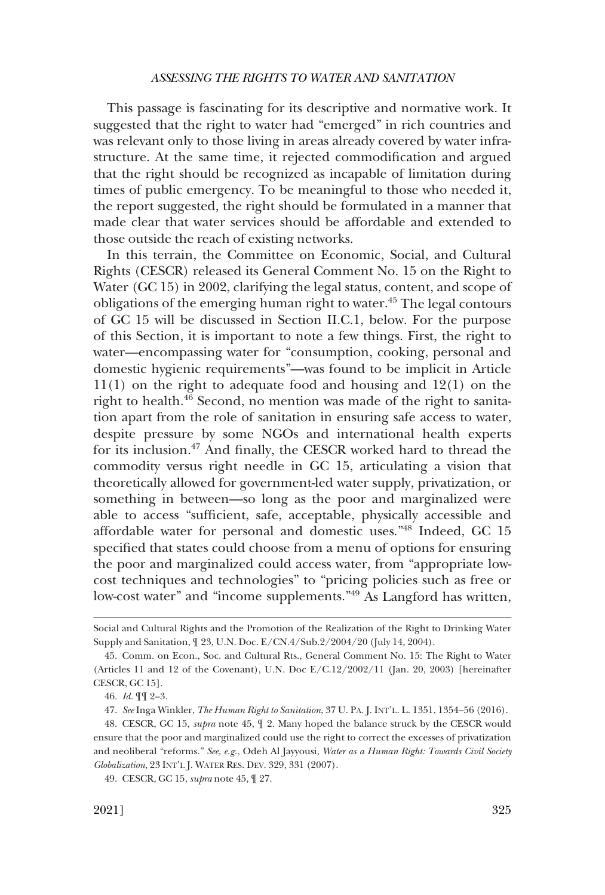This passage is fascinating for its descriptive and normative work. It suggested that the right to water had "emerged" in rich countries and was relevant only to those living in areas already covered by water infrastructure. At the same time, it rejected commodification and argued that the right should be recognized as incapable of limitation during times of public emergency. To be meaningful to those who needed it, the report suggested, the right should be formulated in a manner that made clear that water services should be affordable and extended to those outside the reach of existing networks.

In this terrain, the Committee on Economic, Social, and Cultural Rights (CESCR) released its General Comment No. 15 on the Right to Water (GC 15) in 2002, clarifying the legal status, content, and scope of obligations of the emerging human right to water.<sup>45</sup> The legal contours of GC 15 will be discussed in Section II.C.1, below. For the purpose of this Section, it is important to note a few things. First, the right to water—encompassing water for "consumption, cooking, personal and domestic hygienic requirements"—was found to be implicit in Article 11(1) on the right to adequate food and housing and 12(1) on the right to health.<sup>46</sup> Second, no mention was made of the right to sanitation apart from the role of sanitation in ensuring safe access to water, despite pressure by some NGOs and international health experts for its inclusion.47 And finally, the CESCR worked hard to thread the commodity versus right needle in GC 15, articulating a vision that theoretically allowed for government-led water supply, privatization, or something in between—so long as the poor and marginalized were able to access "sufficient, safe, acceptable, physically accessible and affordable water for personal and domestic uses."48 Indeed, GC 15 specified that states could choose from a menu of options for ensuring the poor and marginalized could access water, from "appropriate lowcost techniques and technologies" to "pricing policies such as free or low-cost water" and "income supplements."49 As Langford has written,

Social and Cultural Rights and the Promotion of the Realization of the Right to Drinking Water Supply and Sanitation, ¶ 23, U.N. Doc. E/CN.4/Sub.2/2004/20 (July 14, 2004).

<sup>45.</sup> Comm. on Econ., Soc. and Cultural Rts., General Comment No. 15: The Right to Water (Articles 11 and 12 of the Covenant), U.N. Doc E/C.12/2002/11 (Jan. 20, 2003) [hereinafter CESCR, GC 15].

<sup>46.</sup> *Id.* ¶¶ 2–3.

<sup>47.</sup> *See* Inga Winkler, *The Human Right to Sanitation*, 37 U. PA. J. INT'L. L. 1351, 1354–56 (2016).

<sup>48.</sup> CESCR, GC 15, *supra* note 45, ¶ 2. Many hoped the balance struck by the CESCR would ensure that the poor and marginalized could use the right to correct the excesses of privatization and neoliberal "reforms." *See, e.g.*, Odeh Al Jayyousi, *Water as a Human Right: Towards Civil Society Globalization*, 23 INT'L J. WATER RES. DEV. 329, 331 (2007).

<sup>49.</sup> CESCR, GC 15, *supra* note 45, ¶ 27.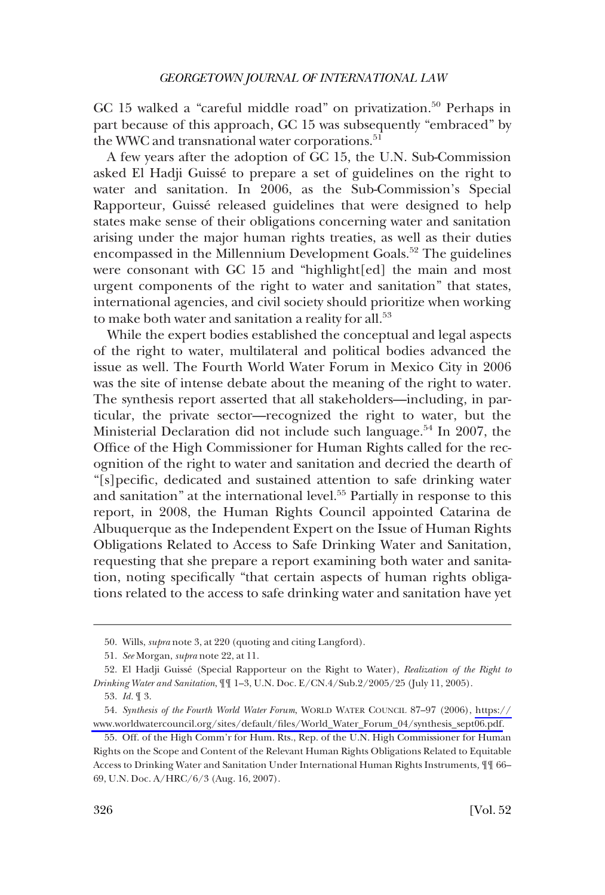GC 15 walked a "careful middle road" on privatization.<sup>50</sup> Perhaps in part because of this approach, GC 15 was subsequently "embraced" by the WWC and transnational water corporations.<sup>51</sup>

A few years after the adoption of GC 15, the U.N. Sub-Commission asked El Hadji Guissé to prepare a set of guidelines on the right to water and sanitation. In 2006, as the Sub-Commission's Special Rapporteur, Guissé released guidelines that were designed to help states make sense of their obligations concerning water and sanitation arising under the major human rights treaties, as well as their duties encompassed in the Millennium Development Goals.<sup>52</sup> The guidelines were consonant with GC 15 and "highlight[ed] the main and most urgent components of the right to water and sanitation" that states, international agencies, and civil society should prioritize when working to make both water and sanitation a reality for all.<sup>53</sup>

While the expert bodies established the conceptual and legal aspects of the right to water, multilateral and political bodies advanced the issue as well. The Fourth World Water Forum in Mexico City in 2006 was the site of intense debate about the meaning of the right to water. The synthesis report asserted that all stakeholders—including, in particular, the private sector—recognized the right to water, but the Ministerial Declaration did not include such language.<sup>54</sup> In 2007, the Office of the High Commissioner for Human Rights called for the recognition of the right to water and sanitation and decried the dearth of "[s]pecific, dedicated and sustained attention to safe drinking water and sanitation" at the international level.55 Partially in response to this report, in 2008, the Human Rights Council appointed Catarina de Albuquerque as the Independent Expert on the Issue of Human Rights Obligations Related to Access to Safe Drinking Water and Sanitation, requesting that she prepare a report examining both water and sanitation, noting specifically "that certain aspects of human rights obligations related to the access to safe drinking water and sanitation have yet

<sup>50.</sup> Wills, *supra* note 3, at 220 (quoting and citing Langford).

<sup>51.</sup> *See* Morgan, *supra* note 22, at 11.

<sup>52.</sup> El Hadji Guisse´ (Special Rapporteur on the Right to Water), *Realization of the Right to Drinking Water and Sanitation*, ¶¶ 1–3, U.N. Doc. E/CN.4/Sub.2/2005/25 (July 11, 2005).

<sup>53.</sup> *Id.* ¶ 3.

<sup>54.</sup> Synthesis of the Fourth World Water Forum, WORLD WATER COUNCIL 87-97 (2006), [https://](https://www.worldwatercouncil.org/sites/default/files/World_Water_Forum_04/synthesis_sept06.pdf) [www.worldwatercouncil.org/sites/default/files/World\\_Water\\_Forum\\_04/synthesis\\_sept06.pdf.](https://www.worldwatercouncil.org/sites/default/files/World_Water_Forum_04/synthesis_sept06.pdf)

<sup>55.</sup> Off. of the High Comm'r for Hum. Rts., Rep. of the U.N. High Commissioner for Human Rights on the Scope and Content of the Relevant Human Rights Obligations Related to Equitable Access to Drinking Water and Sanitation Under International Human Rights Instruments*,* ¶¶ 66– 69, U.N. Doc. A/HRC/6/3 (Aug. 16, 2007).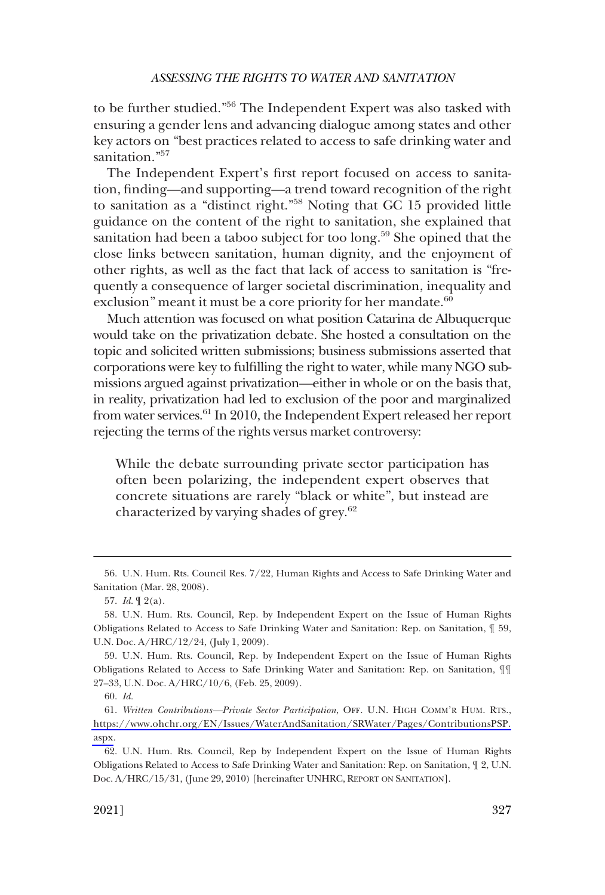to be further studied."56 The Independent Expert was also tasked with ensuring a gender lens and advancing dialogue among states and other key actors on "best practices related to access to safe drinking water and sanitation."<sup>57</sup>

The Independent Expert's first report focused on access to sanitation, finding—and supporting—a trend toward recognition of the right to sanitation as a "distinct right."58 Noting that GC 15 provided little guidance on the content of the right to sanitation, she explained that sanitation had been a taboo subject for too long.<sup>59</sup> She opined that the close links between sanitation, human dignity, and the enjoyment of other rights, as well as the fact that lack of access to sanitation is "frequently a consequence of larger societal discrimination, inequality and exclusion" meant it must be a core priority for her mandate. $60$ 

Much attention was focused on what position Catarina de Albuquerque would take on the privatization debate. She hosted a consultation on the topic and solicited written submissions; business submissions asserted that corporations were key to fulfilling the right to water, while many NGO submissions argued against privatization—either in whole or on the basis that, in reality, privatization had led to exclusion of the poor and marginalized from water services.<sup>61</sup> In 2010, the Independent Expert released her report rejecting the terms of the rights versus market controversy:

While the debate surrounding private sector participation has often been polarizing, the independent expert observes that concrete situations are rarely "black or white", but instead are characterized by varying shades of grey.<sup>62</sup>

<sup>56.</sup> U.N. Hum. Rts. Council Res. 7/22, Human Rights and Access to Safe Drinking Water and Sanitation (Mar. 28, 2008).

<sup>57.</sup> *Id.* ¶ 2(a).

<sup>58.</sup> U.N. Hum. Rts. Council, Rep. by Independent Expert on the Issue of Human Rights Obligations Related to Access to Safe Drinking Water and Sanitation: Rep. on Sanitation, ¶ 59, U.N. Doc. A/HRC/12/24, (July 1, 2009).

<sup>59.</sup> U.N. Hum. Rts. Council, Rep. by Independent Expert on the Issue of Human Rights Obligations Related to Access to Safe Drinking Water and Sanitation: Rep. on Sanitation, ¶¶ 27–33, U.N. Doc. A/HRC/10/6, (Feb. 25, 2009).

<sup>60.</sup> *Id.* 

*Written Contributions—Private Sector Participation*, OFF. U.N. HIGH COMM'R HUM. RTS., 61. [https://www.ohchr.org/EN/Issues/WaterAndSanitation/SRWater/Pages/ContributionsPSP.](https://www.ohchr.org/EN/Issues/WaterAndSanitation/SRWater/Pages/ContributionsPSP.aspx)  [aspx](https://www.ohchr.org/EN/Issues/WaterAndSanitation/SRWater/Pages/ContributionsPSP.aspx).

<sup>62.</sup> U.N. Hum. Rts. Council, Rep by Independent Expert on the Issue of Human Rights Obligations Related to Access to Safe Drinking Water and Sanitation: Rep. on Sanitation, ¶ 2, U.N. Doc. A/HRC/15/31, (June 29, 2010) [hereinafter UNHRC, REPORT ON SANITATION].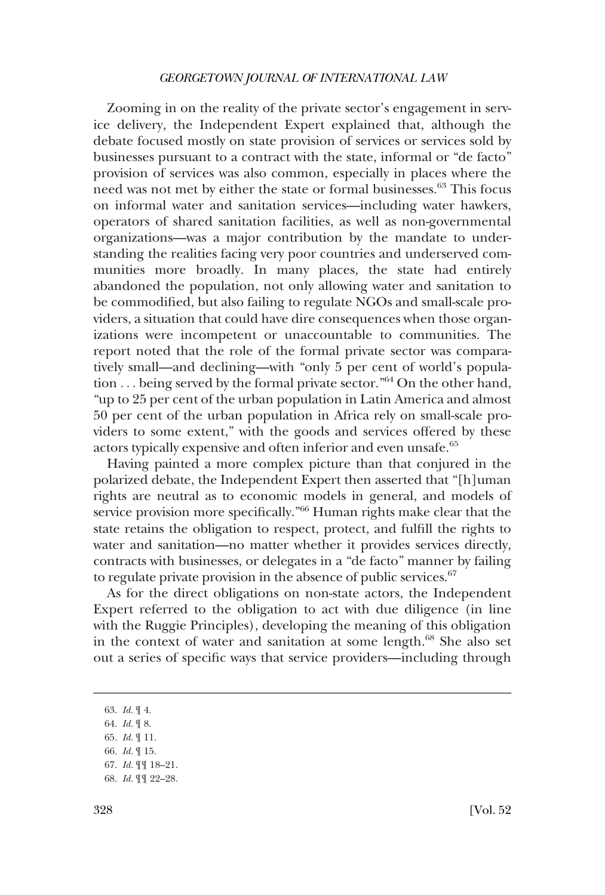Zooming in on the reality of the private sector's engagement in service delivery, the Independent Expert explained that, although the debate focused mostly on state provision of services or services sold by businesses pursuant to a contract with the state, informal or "de facto" provision of services was also common, especially in places where the need was not met by either the state or formal businesses.63 This focus on informal water and sanitation services—including water hawkers, operators of shared sanitation facilities, as well as non-governmental organizations—was a major contribution by the mandate to understanding the realities facing very poor countries and underserved communities more broadly. In many places, the state had entirely abandoned the population, not only allowing water and sanitation to be commodified, but also failing to regulate NGOs and small-scale providers, a situation that could have dire consequences when those organizations were incompetent or unaccountable to communities. The report noted that the role of the formal private sector was comparatively small—and declining—with "only 5 per cent of world's population . . . being served by the formal private sector."64 On the other hand, "up to 25 per cent of the urban population in Latin America and almost 50 per cent of the urban population in Africa rely on small-scale providers to some extent," with the goods and services offered by these actors typically expensive and often inferior and even unsafe.65

Having painted a more complex picture than that conjured in the polarized debate, the Independent Expert then asserted that "[h]uman rights are neutral as to economic models in general, and models of service provision more specifically."66 Human rights make clear that the state retains the obligation to respect, protect, and fulfill the rights to water and sanitation—no matter whether it provides services directly, contracts with businesses, or delegates in a "de facto" manner by failing to regulate private provision in the absence of public services. $67$ 

As for the direct obligations on non-state actors, the Independent Expert referred to the obligation to act with due diligence (in line with the Ruggie Principles), developing the meaning of this obligation in the context of water and sanitation at some length.<sup>68</sup> She also set out a series of specific ways that service providers—including through

66. *Id.* ¶ 15.

68. *Id.* ¶¶ 22–28.

<sup>63.</sup> *Id.* ¶ 4.

<sup>64.</sup> *Id.* ¶ 8.

<sup>65.</sup> *Id.* ¶ 11.

<sup>67.</sup> *Id.* ¶¶ 18–21.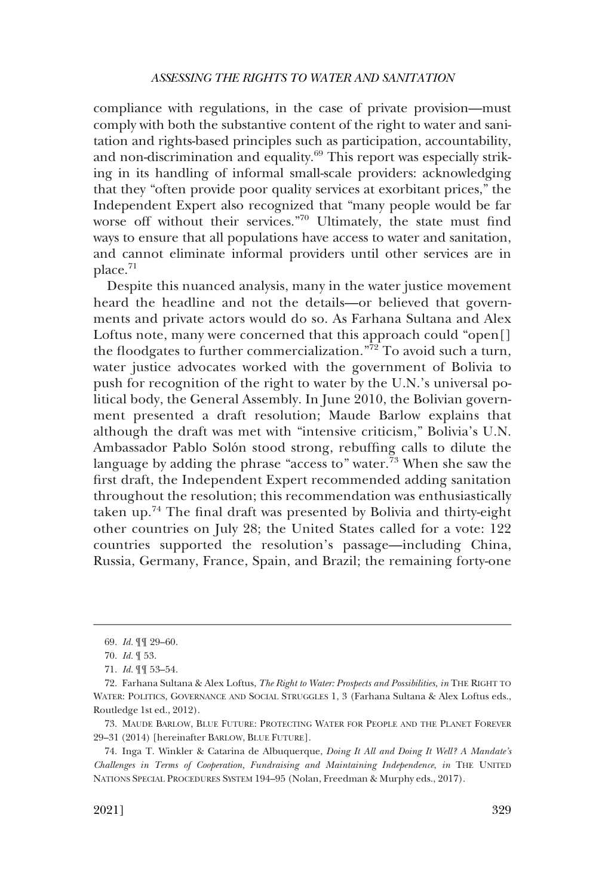compliance with regulations, in the case of private provision—must comply with both the substantive content of the right to water and sanitation and rights-based principles such as participation, accountability, and non-discrimination and equality.69 This report was especially striking in its handling of informal small-scale providers: acknowledging that they "often provide poor quality services at exorbitant prices," the Independent Expert also recognized that "many people would be far worse off without their services."<sup>70</sup> Ultimately, the state must find ways to ensure that all populations have access to water and sanitation, and cannot eliminate informal providers until other services are in place.<sup>71</sup>

Despite this nuanced analysis, many in the water justice movement heard the headline and not the details—or believed that governments and private actors would do so. As Farhana Sultana and Alex Loftus note, many were concerned that this approach could "open[] the floodgates to further commercialization." $\frac{7}{2}$  To avoid such a turn, water justice advocates worked with the government of Bolivia to push for recognition of the right to water by the U.N.'s universal political body, the General Assembly. In June 2010, the Bolivian government presented a draft resolution; Maude Barlow explains that although the draft was met with "intensive criticism," Bolivia's U.N. Ambassador Pablo Solón stood strong, rebuffing calls to dilute the language by adding the phrase "access to" water.<sup>73</sup> When she saw the first draft, the Independent Expert recommended adding sanitation throughout the resolution; this recommendation was enthusiastically taken up.74 The final draft was presented by Bolivia and thirty-eight other countries on July 28; the United States called for a vote: 122 countries supported the resolution's passage—including China, Russia, Germany, France, Spain, and Brazil; the remaining forty-one

<sup>69.</sup> *Id.* ¶¶ 29–60.

<sup>70.</sup> *Id.* ¶ 53.

<sup>71.</sup> *Id.* ¶¶ 53–54.

<sup>72.</sup> Farhana Sultana & Alex Loftus, *The Right to Water: Prospects and Possibilities, in* THE RIGHT TO WATER: POLITICS, GOVERNANCE AND SOCIAL STRUGGLES 1, 3 (Farhana Sultana & Alex Loftus eds., Routledge 1st ed., 2012).

<sup>73.</sup> MAUDE BARLOW, BLUE FUTURE: PROTECTING WATER FOR PEOPLE AND THE PLANET FOREVER 29–31 (2014) [hereinafter BARLOW, BLUE FUTURE].

<sup>74.</sup> Inga T. Winkler & Catarina de Albuquerque, *Doing It All and Doing It Well? A Mandate's Challenges in Terms of Cooperation, Fundraising and Maintaining Independence*, *in* THE UNITED NATIONS SPECIAL PROCEDURES SYSTEM 194–95 (Nolan, Freedman & Murphy eds., 2017).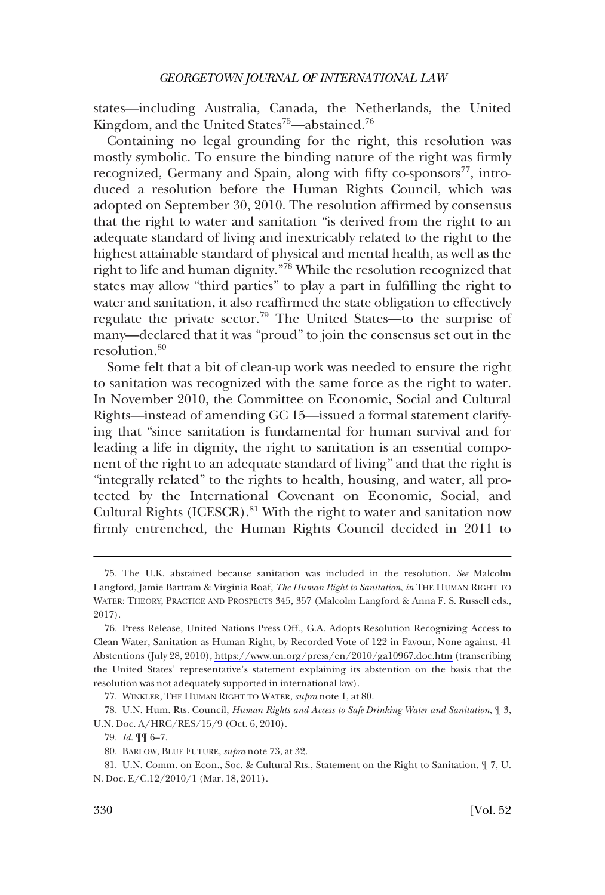states—including Australia, Canada, the Netherlands, the United Kingdom, and the United States<sup>75</sup>—abstained.<sup>76</sup>

Containing no legal grounding for the right, this resolution was mostly symbolic. To ensure the binding nature of the right was firmly recognized, Germany and Spain, along with fifty co-sponsors $^{77}$ , introduced a resolution before the Human Rights Council, which was adopted on September 30, 2010. The resolution affirmed by consensus that the right to water and sanitation "is derived from the right to an adequate standard of living and inextricably related to the right to the highest attainable standard of physical and mental health, as well as the right to life and human dignity."78 While the resolution recognized that states may allow "third parties" to play a part in fulfilling the right to water and sanitation, it also reaffirmed the state obligation to effectively regulate the private sector.79 The United States—to the surprise of many—declared that it was "proud" to join the consensus set out in the resolution.<sup>80</sup>

Some felt that a bit of clean-up work was needed to ensure the right to sanitation was recognized with the same force as the right to water. In November 2010, the Committee on Economic, Social and Cultural Rights—instead of amending GC 15—issued a formal statement clarifying that "since sanitation is fundamental for human survival and for leading a life in dignity, the right to sanitation is an essential component of the right to an adequate standard of living" and that the right is "integrally related" to the rights to health, housing, and water, all protected by the International Covenant on Economic, Social, and Cultural Rights (ICESCR).<sup>81</sup> With the right to water and sanitation now firmly entrenched, the Human Rights Council decided in 2011 to

<sup>75.</sup> The U.K. abstained because sanitation was included in the resolution. *See* Malcolm Langford, Jamie Bartram & Virginia Roaf, *The Human Right to Sanitation*, *in* THE HUMAN RIGHT TO WATER: THEORY, PRACTICE AND PROSPECTS 345, 357 (Malcolm Langford & Anna F. S. Russell eds., 2017).

<sup>76.</sup> Press Release, United Nations Press Off., G.A. Adopts Resolution Recognizing Access to Clean Water, Sanitation as Human Right, by Recorded Vote of 122 in Favour, None against, 41 Abstentions (July 28, 2010),<https://www.un.org/press/en/2010/ga10967.doc.htm>(transcribing the United States' representative's statement explaining its abstention on the basis that the resolution was not adequately supported in international law).

<sup>77.</sup> WINKLER, THE HUMAN RIGHT TO WATER, *supra* note 1, at 80.

<sup>78.</sup> U.N. Hum. Rts. Council, *Human Rights and Access to Safe Drinking Water and Sanitation*, ¶ 3, U.N. Doc. A/HRC/RES/15/9 (Oct. 6, 2010).

<sup>79.</sup> *Id.* ¶¶ 6–7.

<sup>80.</sup> BARLOW, BLUE FUTURE, *supra* note 73, at 32.

<sup>81.</sup> U.N. Comm. on Econ., Soc. & Cultural Rts., Statement on the Right to Sanitation, ¶ 7, U. N. Doc. E/C.12/2010/1 (Mar. 18, 2011).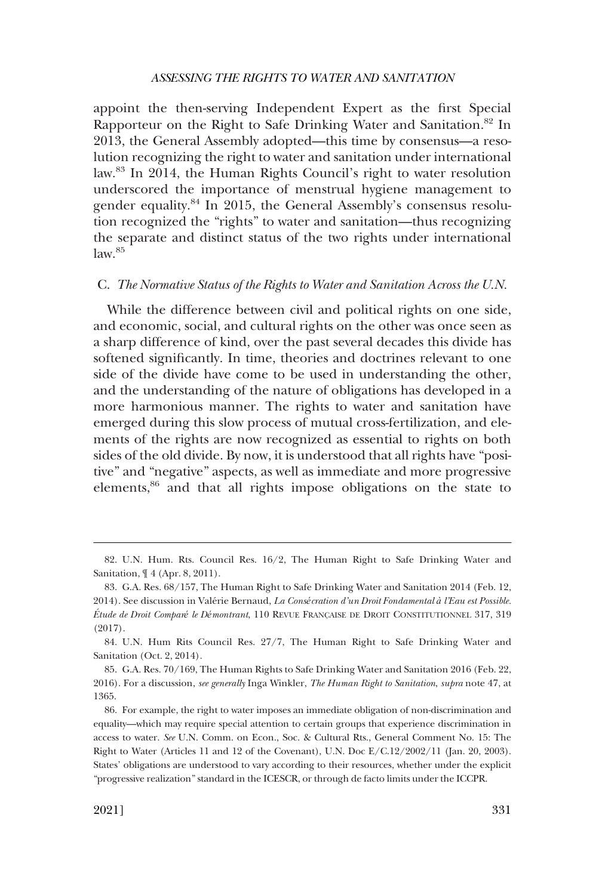<span id="page-16-0"></span>appoint the then-serving Independent Expert as the first Special Rapporteur on the Right to Safe Drinking Water and Sanitation.<sup>82</sup> In 2013, the General Assembly adopted—this time by consensus—a resolution recognizing the right to water and sanitation under international law.<sup>83</sup> In 2014, the Human Rights Council's right to water resolution underscored the importance of menstrual hygiene management to gender equality.84 In 2015, the General Assembly's consensus resolution recognized the "rights" to water and sanitation—thus recognizing the separate and distinct status of the two rights under international  $law.<sup>85</sup>$ 

### C. *The Normative Status of the Rights to Water and Sanitation Across the U.N.*

While the difference between civil and political rights on one side, and economic, social, and cultural rights on the other was once seen as a sharp difference of kind, over the past several decades this divide has softened significantly. In time, theories and doctrines relevant to one side of the divide have come to be used in understanding the other, and the understanding of the nature of obligations has developed in a more harmonious manner. The rights to water and sanitation have emerged during this slow process of mutual cross-fertilization, and elements of the rights are now recognized as essential to rights on both sides of the old divide. By now, it is understood that all rights have "positive" and "negative" aspects, as well as immediate and more progressive elements,<sup>86</sup> and that all rights impose obligations on the state to

<sup>82.</sup> U.N. Hum. Rts. Council Res. 16/2, The Human Right to Safe Drinking Water and Sanitation, ¶ 4 (Apr. 8, 2011).

<sup>83.</sup> G.A. Res. 68/157, The Human Right to Safe Drinking Water and Sanitation 2014 (Feb. 12, 2014). See discussion in Vale´rie Bernaud, *La Consécration d'un Droit Fondamental à l'Eau est Possible. E´tude de Droit Comparé le Démontrant*, 110 REVUE FRANC¸ AISE DE DROIT CONSTITUTIONNEL 317, 319 (2017).

<sup>84.</sup> U.N. Hum Rits Council Res. 27/7, The Human Right to Safe Drinking Water and Sanitation (Oct. 2, 2014).

<sup>85.</sup> G.A. Res. 70/169, The Human Rights to Safe Drinking Water and Sanitation 2016 (Feb. 22, 2016). For a discussion, *see generally* Inga Winkler, *The Human Right to Sanitation*, *supra* note 47, at 1365.

<sup>86.</sup> For example, the right to water imposes an immediate obligation of non-discrimination and equality—which may require special attention to certain groups that experience discrimination in access to water. *See* U.N. Comm. on Econ., Soc. & Cultural Rts., General Comment No. 15: The Right to Water (Articles 11 and 12 of the Covenant), U.N. Doc E/C.12/2002/11 (Jan. 20, 2003). States' obligations are understood to vary according to their resources, whether under the explicit "progressive realization" standard in the ICESCR, or through de facto limits under the ICCPR.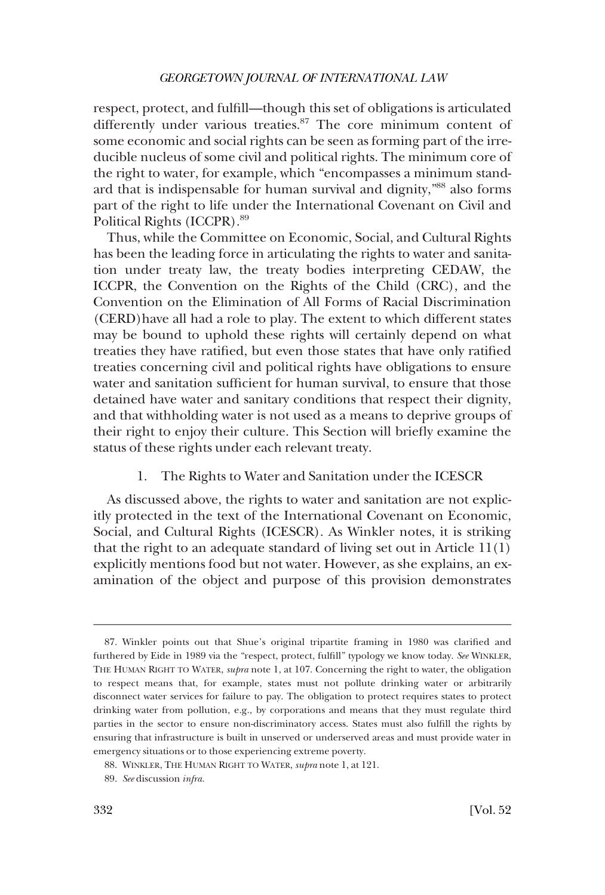<span id="page-17-0"></span>respect, protect, and fulfill—though this set of obligations is articulated differently under various treaties.<sup>87</sup> The core minimum content of some economic and social rights can be seen as forming part of the irreducible nucleus of some civil and political rights. The minimum core of the right to water, for example, which "encompasses a minimum standard that is indispensable for human survival and dignity,"88 also forms part of the right to life under the International Covenant on Civil and Political Rights (ICCPR).<sup>89</sup>

Thus, while the Committee on Economic, Social, and Cultural Rights has been the leading force in articulating the rights to water and sanitation under treaty law, the treaty bodies interpreting CEDAW, the ICCPR, the Convention on the Rights of the Child (CRC), and the Convention on the Elimination of All Forms of Racial Discrimination (CERD)have all had a role to play. The extent to which different states may be bound to uphold these rights will certainly depend on what treaties they have ratified, but even those states that have only ratified treaties concerning civil and political rights have obligations to ensure water and sanitation sufficient for human survival, to ensure that those detained have water and sanitary conditions that respect their dignity, and that withholding water is not used as a means to deprive groups of their right to enjoy their culture. This Section will briefly examine the status of these rights under each relevant treaty.

1. The Rights to Water and Sanitation under the ICESCR

As discussed above, the rights to water and sanitation are not explicitly protected in the text of the International Covenant on Economic, Social, and Cultural Rights (ICESCR). As Winkler notes, it is striking that the right to an adequate standard of living set out in Article 11(1) explicitly mentions food but not water. However, as she explains, an examination of the object and purpose of this provision demonstrates

<sup>87.</sup> Winkler points out that Shue's original tripartite framing in 1980 was clarified and furthered by Eide in 1989 via the "respect, protect, fulfill" typology we know today. *See* WINKLER, THE HUMAN RIGHT TO WATER, *supra* note 1, at 107. Concerning the right to water, the obligation to respect means that, for example, states must not pollute drinking water or arbitrarily disconnect water services for failure to pay. The obligation to protect requires states to protect drinking water from pollution, e.g., by corporations and means that they must regulate third parties in the sector to ensure non-discriminatory access. States must also fulfill the rights by ensuring that infrastructure is built in unserved or underserved areas and must provide water in emergency situations or to those experiencing extreme poverty.

<sup>88.</sup> WINKLER, THE HUMAN RIGHT TO WATER, *supra* note 1, at 121.

<sup>89.</sup> *See* discussion *infra.*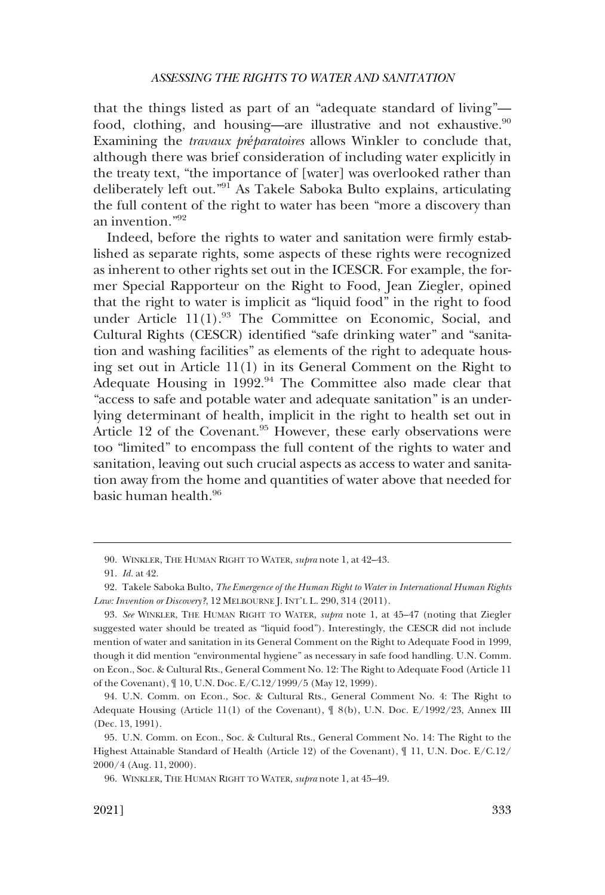that the things listed as part of an "adequate standard of living" food, clothing, and housing—are illustrative and not exhaustive. $90$ Examining the *travaux préparatoires* allows Winkler to conclude that, although there was brief consideration of including water explicitly in the treaty text, "the importance of [water] was overlooked rather than deliberately left out."91 As Takele Saboka Bulto explains, articulating the full content of the right to water has been "more a discovery than an invention."<sup>92</sup>

Indeed, before the rights to water and sanitation were firmly established as separate rights, some aspects of these rights were recognized as inherent to other rights set out in the ICESCR. For example, the former Special Rapporteur on the Right to Food, Jean Ziegler, opined that the right to water is implicit as "liquid food" in the right to food under Article  $11(1)$ .<sup>93</sup> The Committee on Economic, Social, and Cultural Rights (CESCR) identified "safe drinking water" and "sanitation and washing facilities" as elements of the right to adequate housing set out in Article 11(1) in its General Comment on the Right to Adequate Housing in 1992.<sup>94</sup> The Committee also made clear that "access to safe and potable water and adequate sanitation" is an underlying determinant of health, implicit in the right to health set out in Article 12 of the Covenant.<sup>95</sup> However, these early observations were too "limited" to encompass the full content of the rights to water and sanitation, leaving out such crucial aspects as access to water and sanitation away from the home and quantities of water above that needed for basic human health.96

<sup>90.</sup> WINKLER, THE HUMAN RIGHT TO WATER, *supra* note 1, at 42–43.

<sup>91.</sup> *Id.* at 42.

<sup>92.</sup> Takele Saboka Bulto, *The Emergence of the Human Right to Water in International Human Rights Law: Invention or Discovery?*, 12 MELBOURNE J. INT'L L. 290, 314 (2011).

<sup>93.</sup> *See* WINKLER, THE HUMAN RIGHT TO WATER, *supra* note 1, at 45–47 (noting that Ziegler suggested water should be treated as "liquid food"). Interestingly, the CESCR did not include mention of water and sanitation in its General Comment on the Right to Adequate Food in 1999, though it did mention "environmental hygiene" as necessary in safe food handling. U.N. Comm. on Econ., Soc. & Cultural Rts., General Comment No. 12: The Right to Adequate Food (Article 11 of the Covenant), ¶ 10, U.N. Doc. E/C.12/1999/5 (May 12, 1999).

<sup>94.</sup> U.N. Comm. on Econ., Soc. & Cultural Rts., General Comment No. 4: The Right to Adequate Housing (Article 11(1) of the Covenant), ¶ 8(b), U.N. Doc. E/1992/23, Annex III (Dec. 13, 1991).

<sup>95.</sup> U.N. Comm. on Econ., Soc. & Cultural Rts., General Comment No. 14: The Right to the Highest Attainable Standard of Health (Article 12) of the Covenant), ¶ 11, U.N. Doc. E/C.12/ 2000/4 (Aug. 11, 2000).

<sup>96.</sup> WINKLER, THE HUMAN RIGHT TO WATER, *supra* note 1, at 45–49.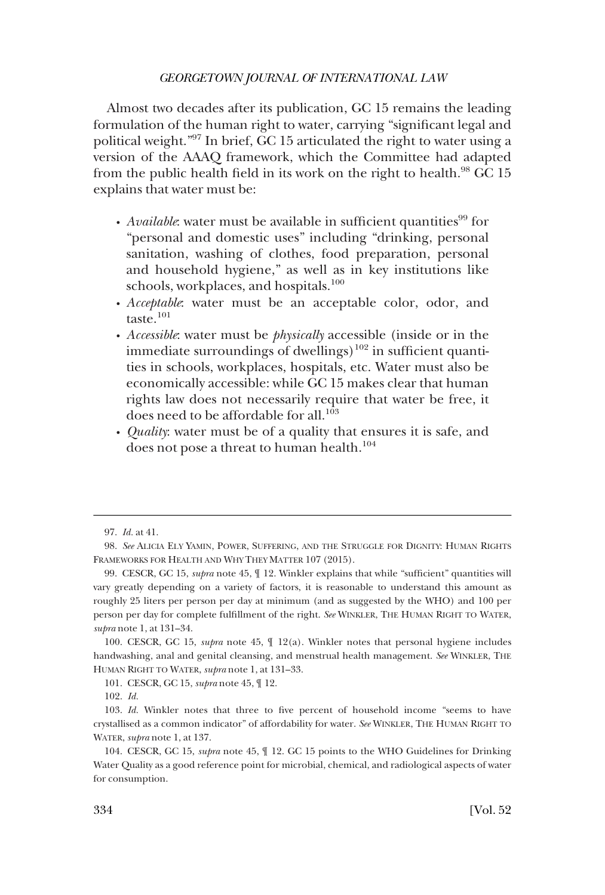Almost two decades after its publication, GC 15 remains the leading formulation of the human right to water, carrying "significant legal and political weight."97 In brief, GC 15 articulated the right to water using a version of the AAAQ framework, which the Committee had adapted from the public health field in its work on the right to health. $^{98}$  GC 15 explains that water must be:

- *Available*: water must be available in sufficient quantities<sup>99</sup> for "personal and domestic uses" including "drinking, personal sanitation, washing of clothes, food preparation, personal and household hygiene," as well as in key institutions like schools, workplaces, and hospitals.<sup>100</sup>
- *Acceptable*: water must be an acceptable color, odor, and � taste. $101$
- *Accessible*: water must be *physically* accessible (inside or in the � immediate surroundings of dwellings)<sup>102</sup> in sufficient quantities in schools, workplaces, hospitals, etc. Water must also be economically accessible: while GC 15 makes clear that human rights law does not necessarily require that water be free, it does need to be affordable for all.<sup>103</sup>
- *Quality*: water must be of a quality that ensures it is safe, and � does not pose a threat to human health.<sup>104</sup>

<sup>97.</sup> *Id.* at 41.

<sup>98.</sup> *See* ALICIA ELY YAMIN, POWER, SUFFERING, AND THE STRUGGLE FOR DIGNITY: HUMAN RIGHTS FRAMEWORKS FOR HEALTH AND WHY THEY MATTER 107 (2015).

<sup>99.</sup> CESCR, GC 15, *supra* note 45, ¶ 12. Winkler explains that while "sufficient" quantities will vary greatly depending on a variety of factors, it is reasonable to understand this amount as roughly 25 liters per person per day at minimum (and as suggested by the WHO) and 100 per person per day for complete fulfillment of the right. *See* WINKLER, THE HUMAN RIGHT TO WATER, *supra* note 1, at 131–34.

<sup>100.</sup> CESCR, GC 15, *supra* note 45, ¶ 12(a). Winkler notes that personal hygiene includes handwashing, anal and genital cleansing, and menstrual health management. *See* WINKLER, THE HUMAN RIGHT TO WATER, *supra* note 1, at 131–33.

<sup>101.</sup> CESCR, GC 15, *supra* note 45, ¶ 12.

<sup>102.</sup> *Id.* 

<sup>103.</sup> *Id.* Winkler notes that three to five percent of household income "seems to have crystallised as a common indicator" of affordability for water. *See* WINKLER, THE HUMAN RIGHT TO WATER, *supra* note 1, at 137.

<sup>104.</sup> CESCR, GC 15, *supra* note 45, ¶ 12. GC 15 points to the WHO Guidelines for Drinking Water Quality as a good reference point for microbial, chemical, and radiological aspects of water for consumption.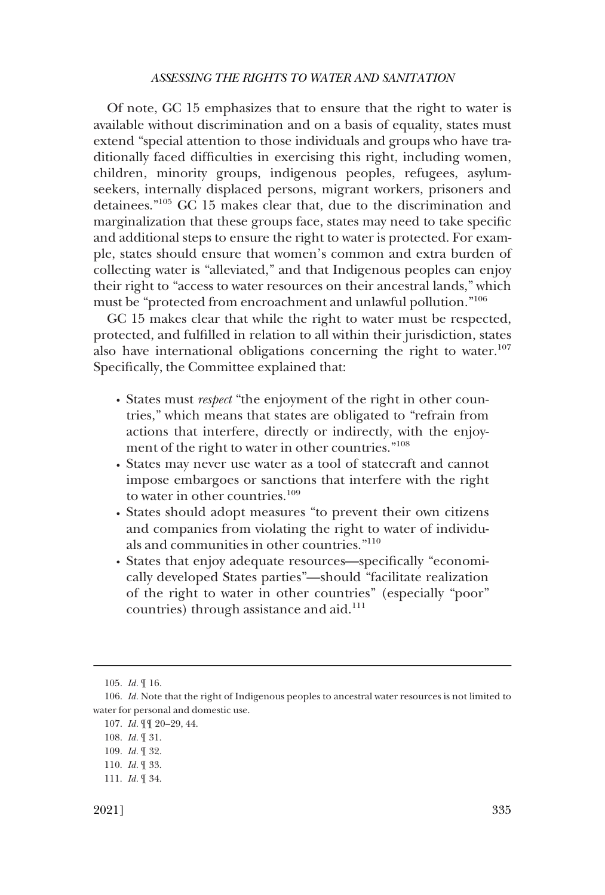Of note, GC 15 emphasizes that to ensure that the right to water is available without discrimination and on a basis of equality, states must extend "special attention to those individuals and groups who have traditionally faced difficulties in exercising this right, including women, children, minority groups, indigenous peoples, refugees, asylumseekers, internally displaced persons, migrant workers, prisoners and detainees."105 GC 15 makes clear that, due to the discrimination and marginalization that these groups face, states may need to take specific and additional steps to ensure the right to water is protected. For example, states should ensure that women's common and extra burden of collecting water is "alleviated," and that Indigenous peoples can enjoy their right to "access to water resources on their ancestral lands," which must be "protected from encroachment and unlawful pollution."<sup>106</sup>

GC 15 makes clear that while the right to water must be respected, protected, and fulfilled in relation to all within their jurisdiction, states also have international obligations concerning the right to water.<sup>107</sup> Specifically, the Committee explained that:

- � States must *respect* "the enjoyment of the right in other countries," which means that states are obligated to "refrain from actions that interfere, directly or indirectly, with the enjoyment of the right to water in other countries."<sup>108</sup>
- States may never use water as a tool of statecraft and cannot � impose embargoes or sanctions that interfere with the right to water in other countries.<sup>109</sup>
- States should adopt measures "to prevent their own citizens � and companies from violating the right to water of individuals and communities in other countries."<sup>110</sup>
- States that enjoy adequate resources—specifically "economi-� cally developed States parties"—should "facilitate realization of the right to water in other countries" (especially "poor" countries) through assistance and aid.<sup>111</sup>

<sup>105.</sup> *Id.* ¶ 16.

<sup>106.</sup> *Id.* Note that the right of Indigenous peoples to ancestral water resources is not limited to water for personal and domestic use.

<sup>107.</sup> *Id.* ¶¶ 20–29, 44.

<sup>108.</sup> *Id.* ¶ 31.

<sup>109.</sup> *Id.* ¶ 32.

<sup>110.</sup> *Id.* ¶ 33.

<sup>111.</sup> *Id.* ¶ 34.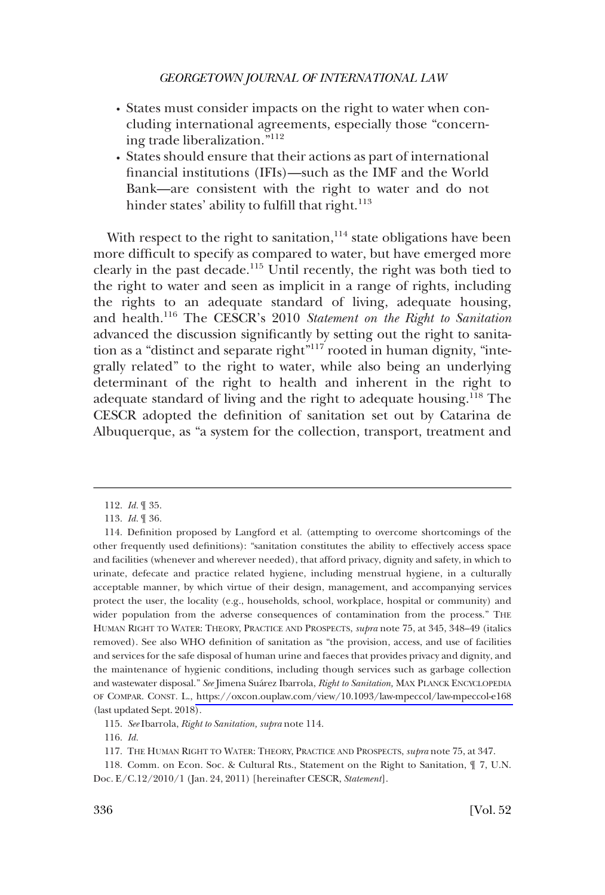- � States must consider impacts on the right to water when concluding international agreements, especially those "concerning trade liberalization."<sup>112</sup>
- States should ensure that their actions as part of international � financial institutions (IFIs)—such as the IMF and the World Bank—are consistent with the right to water and do not hinder states' ability to fulfill that right.<sup>113</sup>

With respect to the right to sanitation,  $114$  state obligations have been more difficult to specify as compared to water, but have emerged more clearly in the past decade.115 Until recently, the right was both tied to the right to water and seen as implicit in a range of rights, including the rights to an adequate standard of living, adequate housing, and health.116 The CESCR's 2010 *Statement on the Right to Sanitation*  advanced the discussion significantly by setting out the right to sanitation as a "distinct and separate right"<sup>117</sup> rooted in human dignity, "integrally related" to the right to water, while also being an underlying determinant of the right to health and inherent in the right to adequate standard of living and the right to adequate housing.118 The CESCR adopted the definition of sanitation set out by Catarina de Albuquerque, as "a system for the collection, transport, treatment and

115. *See* Ibarrola, *Right to Sanitation, supra* note 114.

118. Comm. on Econ. Soc. & Cultural Rts., Statement on the Right to Sanitation, ¶ 7, U.N. Doc. E/C.12/2010/1 (Jan. 24, 2011) [hereinafter CESCR, *Statement*].

<sup>112.</sup> *Id.* ¶ 35.

<sup>113.</sup> *Id.* ¶ 36.

<sup>114.</sup> Definition proposed by Langford et al. (attempting to overcome shortcomings of the other frequently used definitions): "sanitation constitutes the ability to effectively access space and facilities (whenever and wherever needed), that afford privacy, dignity and safety, in which to urinate, defecate and practice related hygiene, including menstrual hygiene, in a culturally acceptable manner, by which virtue of their design, management, and accompanying services protect the user, the locality (e.g., households, school, workplace, hospital or community) and wider population from the adverse consequences of contamination from the process." THE HUMAN RIGHT TO WATER: THEORY, PRACTICE AND PROSPECTS, *supra* note 75, at 345, 348–49 (italics removed). See also WHO definition of sanitation as "the provision, access, and use of facilities and services for the safe disposal of human urine and faeces that provides privacy and dignity, and the maintenance of hygienic conditions, including though services such as garbage collection and wastewater disposal." *See* Jimena Sua´rez Ibarrola, *Right to Sanitation,* MAX PLANCK ENCYCLOPEDIA OF COMPAR. CONST. L., <https://oxcon.ouplaw.com/view/10.1093/law-mpeccol/law-mpeccol-e168> (last updated Sept. 2018).

<sup>116.</sup> *Id.* 

<sup>117.</sup> THE HUMAN RIGHT TO WATER: THEORY, PRACTICE AND PROSPECTS, *supra* note 75, at 347.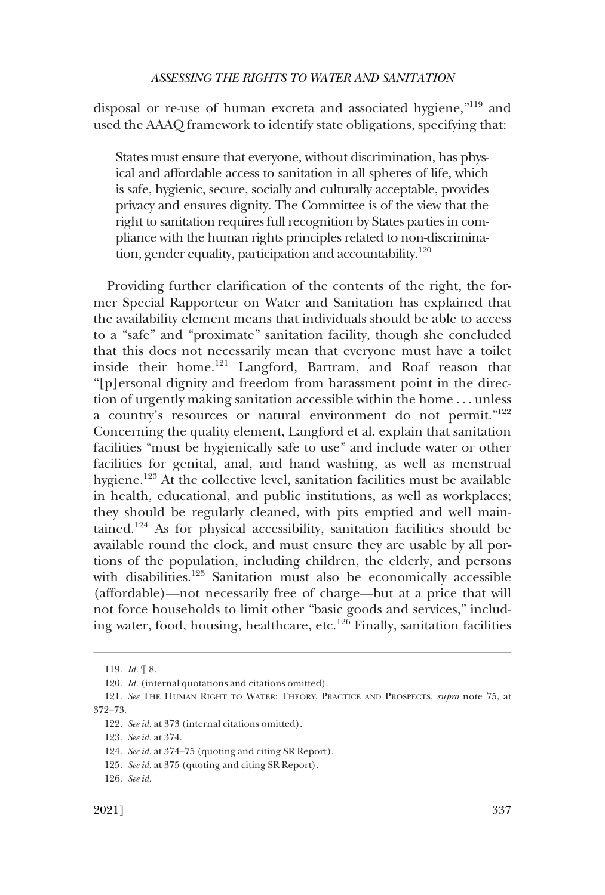disposal or re-use of human excreta and associated hygiene,"119 and used the AAAQ framework to identify state obligations, specifying that:

States must ensure that everyone, without discrimination, has physical and affordable access to sanitation in all spheres of life, which is safe, hygienic, secure, socially and culturally acceptable, provides privacy and ensures dignity. The Committee is of the view that the right to sanitation requires full recognition by States parties in compliance with the human rights principles related to non-discrimination, gender equality, participation and accountability.<sup>120</sup>

Providing further clarification of the contents of the right, the former Special Rapporteur on Water and Sanitation has explained that the availability element means that individuals should be able to access to a "safe" and "proximate" sanitation facility, though she concluded that this does not necessarily mean that everyone must have a toilet inside their home.<sup>121</sup> Langford, Bartram, and Roaf reason that "[p]ersonal dignity and freedom from harassment point in the direction of urgently making sanitation accessible within the home . . . unless a country's resources or natural environment do not permit."<sup>122</sup> Concerning the quality element, Langford et al. explain that sanitation facilities "must be hygienically safe to use" and include water or other facilities for genital, anal, and hand washing, as well as menstrual hygiene.<sup>123</sup> At the collective level, sanitation facilities must be available in health, educational, and public institutions, as well as workplaces; they should be regularly cleaned, with pits emptied and well maintained.124 As for physical accessibility, sanitation facilities should be available round the clock, and must ensure they are usable by all portions of the population, including children, the elderly, and persons with disabilities.<sup>125</sup> Sanitation must also be economically accessible (affordable)—not necessarily free of charge—but at a price that will not force households to limit other "basic goods and services," including water, food, housing, healthcare, etc.<sup>126</sup> Finally, sanitation facilities

<sup>119.</sup> *Id.* ¶ 8.

<sup>120.</sup> *Id.* (internal quotations and citations omitted).

<sup>121.</sup> *See* THE HUMAN RIGHT TO WATER: THEORY, PRACTICE AND PROSPECTS, *supra* note 75, at 372–73.

<sup>122.</sup> *See id.* at 373 (internal citations omitted).

<sup>123.</sup> *See id.* at 374.

<sup>124.</sup> *See id.* at 374–75 (quoting and citing SR Report).

<sup>125.</sup> *See id.* at 375 (quoting and citing SR Report).

<sup>126.</sup> *See id.*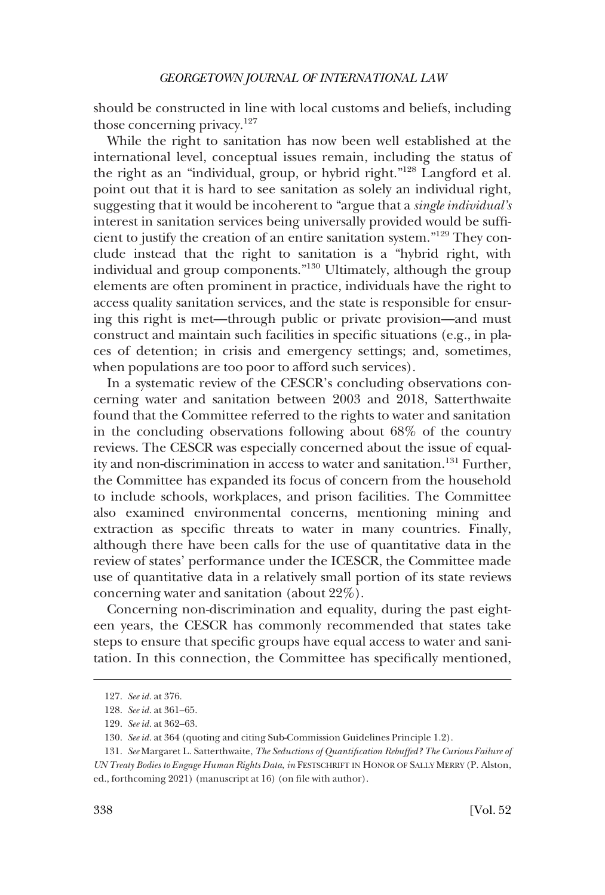should be constructed in line with local customs and beliefs, including those concerning privacy. $127$ 

While the right to sanitation has now been well established at the international level, conceptual issues remain, including the status of the right as an "individual, group, or hybrid right."128 Langford et al. point out that it is hard to see sanitation as solely an individual right, suggesting that it would be incoherent to "argue that a *single individual's*  interest in sanitation services being universally provided would be sufficient to justify the creation of an entire sanitation system."129 They conclude instead that the right to sanitation is a "hybrid right, with individual and group components."130 Ultimately, although the group elements are often prominent in practice, individuals have the right to access quality sanitation services, and the state is responsible for ensuring this right is met—through public or private provision—and must construct and maintain such facilities in specific situations (e.g., in places of detention; in crisis and emergency settings; and, sometimes, when populations are too poor to afford such services).

In a systematic review of the CESCR's concluding observations concerning water and sanitation between 2003 and 2018, Satterthwaite found that the Committee referred to the rights to water and sanitation in the concluding observations following about 68% of the country reviews. The CESCR was especially concerned about the issue of equality and non-discrimination in access to water and sanitation.<sup>131</sup> Further, the Committee has expanded its focus of concern from the household to include schools, workplaces, and prison facilities. The Committee also examined environmental concerns, mentioning mining and extraction as specific threats to water in many countries. Finally, although there have been calls for the use of quantitative data in the review of states' performance under the ICESCR, the Committee made use of quantitative data in a relatively small portion of its state reviews concerning water and sanitation (about 22%).

Concerning non-discrimination and equality, during the past eighteen years, the CESCR has commonly recommended that states take steps to ensure that specific groups have equal access to water and sanitation. In this connection, the Committee has specifically mentioned,

<sup>127.</sup> *See id.* at 376.

<sup>128.</sup> *See id.* at 361–65.

<sup>129.</sup> *See id.* at 362–63.

<sup>130.</sup> *See id.* at 364 (quoting and citing Sub-Commission Guidelines Principle 1.2).

<sup>131.</sup> *See* Margaret L. Satterthwaite, *The Seductions of Quantification Rebuffed? The Curious Failure of UN Treaty Bodies to Engage Human Rights Data*, *in* FESTSCHRIFT IN HONOR OF SALLY MERRY (P. Alston, ed., forthcoming 2021) (manuscript at 16) (on file with author).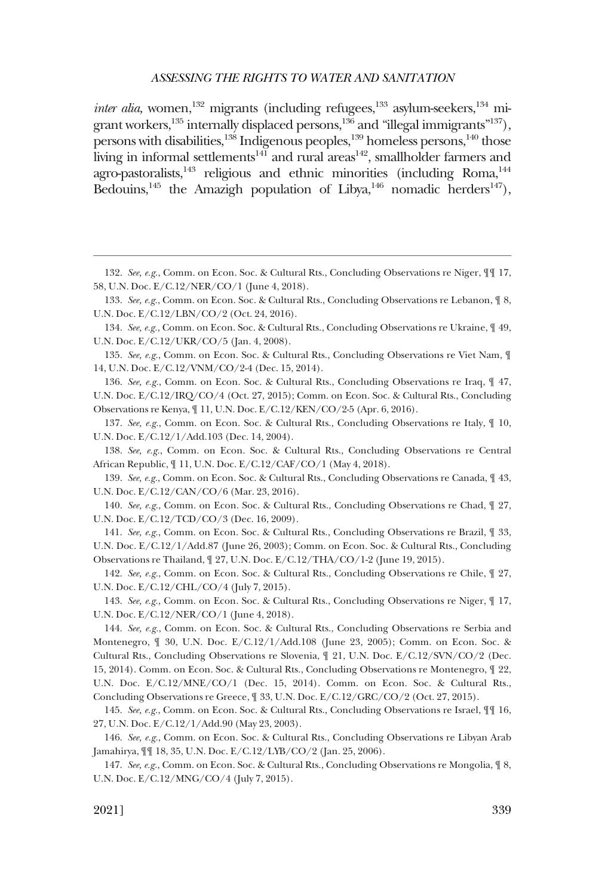*inter alia,* women,<sup>132</sup> migrants (including refugees,<sup>133</sup> asylum-seekers,<sup>134</sup> migrant workers, $135$  internally displaced persons, $136$  and "illegal immigrants"<sup>137</sup>), persons with disabilities,<sup>138</sup> Indigenous peoples,<sup>139</sup> homeless persons,<sup>140</sup> those living in informal settlements<sup>141</sup> and rural areas<sup>142</sup>, smallholder farmers and agro-pastoralists, $143$  religious and ethnic minorities (including Roma, $144$ Bedouins,<sup>145</sup> the Amazigh population of Libya,<sup>146</sup> nomadic herders<sup>147</sup>),

135. *See, e.g.*, Comm. on Econ. Soc. & Cultural Rts., Concluding Observations re Viet Nam, ¶ 14, U.N. Doc. E/C.12/VNM/CO/2-4 (Dec. 15, 2014).

136. *See, e.g.*, Comm. on Econ. Soc. & Cultural Rts., Concluding Observations re Iraq, ¶ 47, U.N. Doc. E/C.12/IRQ/CO/4 (Oct. 27, 2015); Comm. on Econ. Soc. & Cultural Rts., Concluding Observations re Kenya, ¶ 11, U.N. Doc. E/C.12/KEN/CO/2-5 (Apr. 6, 2016).

137. *See, e.g.*, Comm. on Econ. Soc. & Cultural Rts., Concluding Observations re Italy, ¶ 10, U.N. Doc. E/C.12/1/Add.103 (Dec. 14, 2004).

138. *See, e.g.*, Comm. on Econ. Soc. & Cultural Rts., Concluding Observations re Central African Republic, ¶ 11, U.N. Doc. E/C.12/CAF/CO/1 (May 4, 2018).

139. *See, e.g.*, Comm. on Econ. Soc. & Cultural Rts., Concluding Observations re Canada, ¶ 43, U.N. Doc. E/C.12/CAN/CO/6 (Mar. 23, 2016).

140. *See, e.g.*, Comm. on Econ. Soc. & Cultural Rts., Concluding Observations re Chad, ¶ 27, U.N. Doc. E/C.12/TCD/CO/3 (Dec. 16, 2009).

141. *See, e.g.*, Comm. on Econ. Soc. & Cultural Rts., Concluding Observations re Brazil, ¶ 33, U.N. Doc. E/C.12/1/Add.87 (June 26, 2003); Comm. on Econ. Soc. & Cultural Rts., Concluding Observations re Thailand, ¶ 27, U.N. Doc. E/C.12/THA/CO/1-2 (June 19, 2015).

142. *See, e.g.*, Comm. on Econ. Soc. & Cultural Rts., Concluding Observations re Chile, ¶ 27, U.N. Doc. E/C.12/CHL/CO/4 (July 7, 2015).

143. *See, e.g.*, Comm. on Econ. Soc. & Cultural Rts., Concluding Observations re Niger, ¶ 17, U.N. Doc. E/C.12/NER/CO/1 (June 4, 2018).

144. *See, e.g.*, Comm. on Econ. Soc. & Cultural Rts., Concluding Observations re Serbia and Montenegro, ¶ 30, U.N. Doc. E/C.12/1/Add.108 (June 23, 2005); Comm. on Econ. Soc. & Cultural Rts., Concluding Observations re Slovenia, ¶ 21, U.N. Doc. E/C.12/SVN/CO/2 (Dec. 15, 2014). Comm. on Econ. Soc. & Cultural Rts., Concluding Observations re Montenegro, ¶ 22, U.N. Doc. E/C.12/MNE/CO/1 (Dec. 15, 2014). Comm. on Econ. Soc. & Cultural Rts., Concluding Observations re Greece, ¶ 33, U.N. Doc. E/C.12/GRC/CO/2 (Oct. 27, 2015).

145. *See, e.g.*, Comm. on Econ. Soc. & Cultural Rts., Concluding Observations re Israel, ¶¶ 16, 27, U.N. Doc. E/C.12/1/Add.90 (May 23, 2003).

146. *See, e.g.*, Comm. on Econ. Soc. & Cultural Rts., Concluding Observations re Libyan Arab Jamahirya, ¶¶ 18, 35, U.N. Doc. E/C.12/LYB/CO/2 (Jan. 25, 2006).

147. *See, e.g.*, Comm. on Econ. Soc. & Cultural Rts., Concluding Observations re Mongolia, ¶ 8, U.N. Doc. E/C.12/MNG/CO/4 (July 7, 2015).

<sup>132.</sup> *See, e.g.*, Comm. on Econ. Soc. & Cultural Rts., Concluding Observations re Niger, ¶¶ 17, 58, U.N. Doc. E/C.12/NER/CO/1 (June 4, 2018).

<sup>133.</sup> *See, e.g.*, Comm. on Econ. Soc. & Cultural Rts., Concluding Observations re Lebanon, ¶ 8, U.N. Doc. E/C.12/LBN/CO/2 (Oct. 24, 2016).

<sup>134.</sup> *See, e.g.*, Comm. on Econ. Soc. & Cultural Rts., Concluding Observations re Ukraine, ¶ 49, U.N. Doc. E/C.12/UKR/CO/5 (Jan. 4, 2008).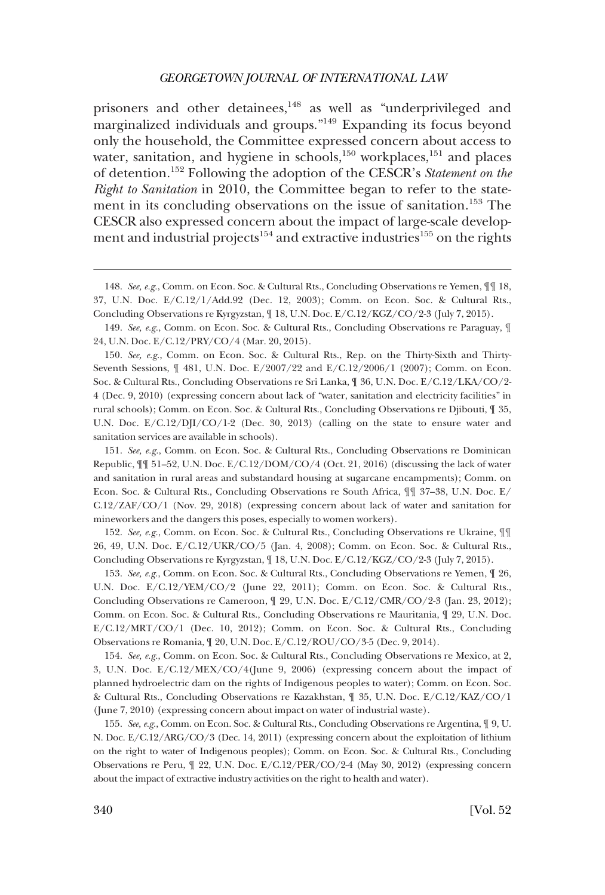prisoners and other detainees,<sup>148</sup> as well as "underprivileged and marginalized individuals and groups."149 Expanding its focus beyond only the household, the Committee expressed concern about access to water, sanitation, and hygiene in schools, $150$  workplaces, $151$  and places of detention.152 Following the adoption of the CESCR's *Statement on the Right to Sanitation* in 2010, the Committee began to refer to the statement in its concluding observations on the issue of sanitation.<sup>153</sup> The CESCR also expressed concern about the impact of large-scale development and industrial projects<sup>154</sup> and extractive industries<sup>155</sup> on the rights

151. *See, e.g.*, Comm. on Econ. Soc. & Cultural Rts., Concluding Observations re Dominican Republic, ¶¶ 51–52, U.N. Doc. E/C.12/DOM/CO/4 (Oct. 21, 2016) (discussing the lack of water and sanitation in rural areas and substandard housing at sugarcane encampments); Comm. on Econ. Soc. & Cultural Rts., Concluding Observations re South Africa, ¶¶ 37–38, U.N. Doc. E/ C.12/ZAF/CO/1 (Nov. 29, 2018) (expressing concern about lack of water and sanitation for mineworkers and the dangers this poses, especially to women workers).

152. *See, e.g.*, Comm. on Econ. Soc. & Cultural Rts., Concluding Observations re Ukraine, ¶¶ 26, 49, U.N. Doc. E/C.12/UKR/CO/5 (Jan. 4, 2008); Comm. on Econ. Soc. & Cultural Rts., Concluding Observations re Kyrgyzstan, ¶ 18, U.N. Doc. E/C.12/KGZ/CO/2-3 (July 7, 2015).

153. *See, e.g.*, Comm. on Econ. Soc. & Cultural Rts., Concluding Observations re Yemen, ¶ 26, U.N. Doc. E/C.12/YEM/CO/2 (June 22, 2011); Comm. on Econ. Soc. & Cultural Rts., Concluding Observations re Cameroon, ¶ 29, U.N. Doc. E/C.12/CMR/CO/2-3 (Jan. 23, 2012); Comm. on Econ. Soc. & Cultural Rts., Concluding Observations re Mauritania, ¶ 29, U.N. Doc. E/C.12/MRT/CO/1 (Dec. 10, 2012); Comm. on Econ. Soc. & Cultural Rts., Concluding Observations re Romania, ¶ 20, U.N. Doc. E/C.12/ROU/CO/3-5 (Dec. 9, 2014).

154. *See, e.g.*, Comm. on Econ. Soc. & Cultural Rts., Concluding Observations re Mexico, at 2, 3, U.N. Doc. E/C.12/MEX/CO/4(June 9, 2006) (expressing concern about the impact of planned hydroelectric dam on the rights of Indigenous peoples to water); Comm. on Econ. Soc. & Cultural Rts., Concluding Observations re Kazakhstan, ¶ 35, U.N. Doc. E/C.12/KAZ/CO/1 (June 7, 2010) (expressing concern about impact on water of industrial waste).

155. *See, e.g.*, Comm. on Econ. Soc. & Cultural Rts., Concluding Observations re Argentina, ¶ 9, U. N. Doc. E/C.12/ARG/CO/3 (Dec. 14, 2011) (expressing concern about the exploitation of lithium on the right to water of Indigenous peoples); Comm. on Econ. Soc. & Cultural Rts., Concluding Observations re Peru, ¶ 22, U.N. Doc. E/C.12/PER/CO/2-4 (May 30, 2012) (expressing concern about the impact of extractive industry activities on the right to health and water).

<sup>148.</sup> *See, e.g.*, Comm. on Econ. Soc. & Cultural Rts., Concluding Observations re Yemen, ¶¶ 18, 37, U.N. Doc. E/C.12/1/Add.92 (Dec. 12, 2003); Comm. on Econ. Soc. & Cultural Rts., Concluding Observations re Kyrgyzstan, ¶ 18, U.N. Doc. E/C.12/KGZ/CO/2-3 (July 7, 2015).

<sup>149.</sup> *See, e.g.*, Comm. on Econ. Soc. & Cultural Rts., Concluding Observations re Paraguay, ¶ 24, U.N. Doc. E/C.12/PRY/CO/4 (Mar. 20, 2015).

<sup>150.</sup> *See, e.g.*, Comm. on Econ. Soc. & Cultural Rts., Rep. on the Thirty-Sixth and Thirty-Seventh Sessions, ¶ 481, U.N. Doc. E/2007/22 and E/C.12/2006/1 (2007); Comm. on Econ. Soc. & Cultural Rts., Concluding Observations re Sri Lanka, ¶ 36, U.N. Doc. E/C.12/LKA/CO/2- 4 (Dec. 9, 2010) (expressing concern about lack of "water, sanitation and electricity facilities" in rural schools); Comm. on Econ. Soc. & Cultural Rts., Concluding Observations re Djibouti, ¶ 35, U.N. Doc. E/C.12/DJI/CO/1-2 (Dec. 30, 2013) (calling on the state to ensure water and sanitation services are available in schools).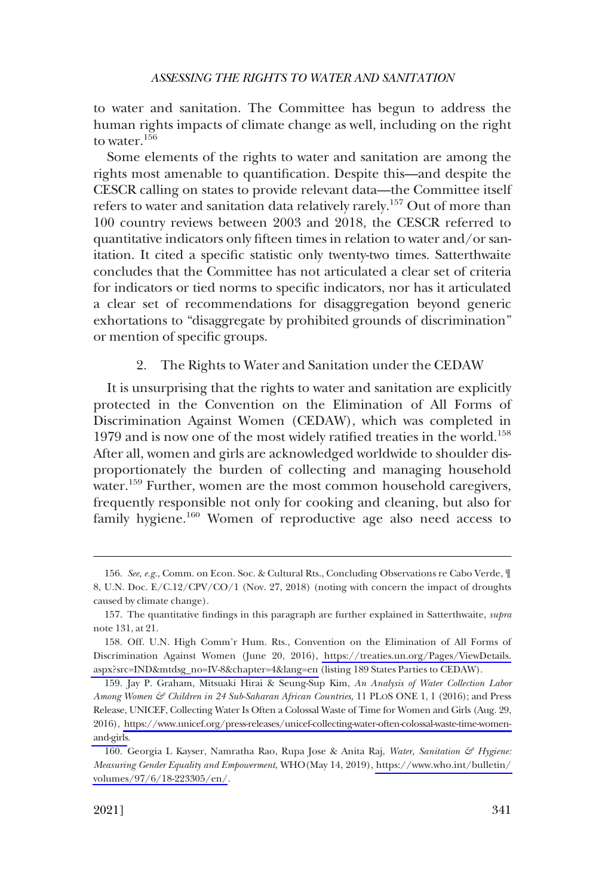<span id="page-26-0"></span>to water and sanitation. The Committee has begun to address the human rights impacts of climate change as well, including on the right to water.156

Some elements of the rights to water and sanitation are among the rights most amenable to quantification. Despite this—and despite the CESCR calling on states to provide relevant data—the Committee itself refers to water and sanitation data relatively rarely.157 Out of more than 100 country reviews between 2003 and 2018, the CESCR referred to quantitative indicators only fifteen times in relation to water and/or sanitation. It cited a specific statistic only twenty-two times. Satterthwaite concludes that the Committee has not articulated a clear set of criteria for indicators or tied norms to specific indicators, nor has it articulated a clear set of recommendations for disaggregation beyond generic exhortations to "disaggregate by prohibited grounds of discrimination" or mention of specific groups.

# 2. The Rights to Water and Sanitation under the CEDAW

It is unsurprising that the rights to water and sanitation are explicitly protected in the Convention on the Elimination of All Forms of Discrimination Against Women (CEDAW), which was completed in 1979 and is now one of the most widely ratified treaties in the world.<sup>158</sup> After all, women and girls are acknowledged worldwide to shoulder disproportionately the burden of collecting and managing household water.<sup>159</sup> Further, women are the most common household caregivers, frequently responsible not only for cooking and cleaning, but also for family hygiene.<sup>160</sup> Women of reproductive age also need access to

<sup>156.</sup> *See, e.g.*, Comm. on Econ. Soc. & Cultural Rts., Concluding Observations re Cabo Verde, ¶ 8, U.N. Doc. E/C.12/CPV/CO/1 (Nov. 27, 2018) (noting with concern the impact of droughts caused by climate change).

<sup>157.</sup> The quantitative findings in this paragraph are further explained in Satterthwaite, *supra*  note 131, at 21.

<sup>158.</sup> Off. U.N. High Comm'r Hum. Rts., Convention on the Elimination of All Forms of Discrimination Against Women (June 20, 2016), [https://treaties.un.org/Pages/ViewDetails.](https://treaties.un.org/Pages/ViewDetails.aspx?src=IND&mtdsg_no=IV-8&chapter=4&lang=en) [aspx?src=IND&mtdsg\\_no=IV-8&chapter=4&lang=en](https://treaties.un.org/Pages/ViewDetails.aspx?src=IND&mtdsg_no=IV-8&chapter=4&lang=en) (listing 189 States Parties to CEDAW).

<sup>159.</sup> Jay P. Graham, Mitsuaki Hirai & Seung-Sup Kim, An Analysis of Water Collection Labor *Among Women & Children in 24 Sub-Saharan African Countries,* 11 PLOS ONE 1, 1 (2016); and Press Release, UNICEF, Collecting Water Is Often a Colossal Waste of Time for Women and Girls (Aug. 29, 2016), [https://www.unicef.org/press-releases/unicef-collecting-water-often-colossal-waste-time-women](https://www.unicef.org/press-releases/unicef-collecting-water-often-colossal-waste-time-women-and-girls)[and-girls](https://www.unicef.org/press-releases/unicef-collecting-water-often-colossal-waste-time-women-and-girls).

<sup>160.</sup> Georgia L Kayser, Namratha Rao, Rupa Jose & Anita Raj, *Water, Sanitation & Hygiene: Measuring Gender Equality and Empowerment*, WHO(May 14, 2019), [https://www.who.int/bulletin/](https://www.who.int/bulletin/volumes/97/6/18-223305/en/)  [volumes/97/6/18-223305/en/](https://www.who.int/bulletin/volumes/97/6/18-223305/en/).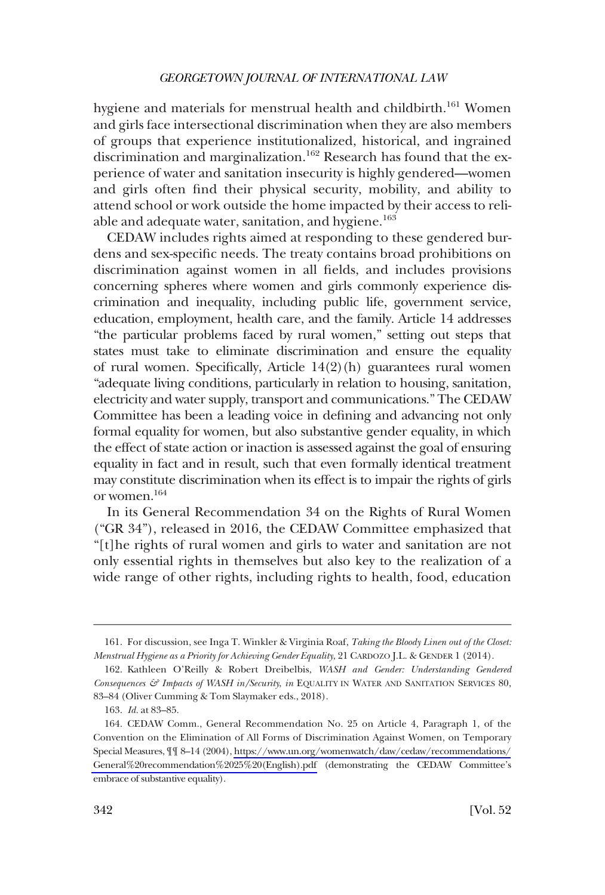hygiene and materials for menstrual health and childbirth.<sup>161</sup> Women and girls face intersectional discrimination when they are also members of groups that experience institutionalized, historical, and ingrained discrimination and marginalization.<sup>162</sup> Research has found that the experience of water and sanitation insecurity is highly gendered—women and girls often find their physical security, mobility, and ability to attend school or work outside the home impacted by their access to reliable and adequate water, sanitation, and hygiene.<sup>163</sup>

CEDAW includes rights aimed at responding to these gendered burdens and sex-specific needs. The treaty contains broad prohibitions on discrimination against women in all fields, and includes provisions concerning spheres where women and girls commonly experience discrimination and inequality, including public life, government service, education, employment, health care, and the family. Article 14 addresses "the particular problems faced by rural women," setting out steps that states must take to eliminate discrimination and ensure the equality of rural women. Specifically, Article 14(2)(h) guarantees rural women "adequate living conditions, particularly in relation to housing, sanitation, electricity and water supply, transport and communications." The CEDAW Committee has been a leading voice in defining and advancing not only formal equality for women, but also substantive gender equality, in which the effect of state action or inaction is assessed against the goal of ensuring equality in fact and in result, such that even formally identical treatment may constitute discrimination when its effect is to impair the rights of girls or women.164

In its General Recommendation 34 on the Rights of Rural Women ("GR 34"), released in 2016, the CEDAW Committee emphasized that "[t]he rights of rural women and girls to water and sanitation are not only essential rights in themselves but also key to the realization of a wide range of other rights, including rights to health, food, education

<sup>161.</sup> For discussion, see Inga T. Winkler & Virginia Roaf, *Taking the Bloody Linen out of the Closet: Menstrual Hygiene as a Priority for Achieving Gender Equality*, 21 CARDOZO J.L. & GENDER 1 (2014).

<sup>162.</sup> Kathleen O'Reilly & Robert Dreibelbis, *WASH and Gender: Understanding Gendered Consequences & Impacts of WASH in/Security*, *in* EQUALITY IN WATER AND SANITATION SERVICES 80, 83–84 (Oliver Cumming & Tom Slaymaker eds., 2018).

<sup>163.</sup> *Id.* at 83–85.

<sup>164.</sup> CEDAW Comm., General Recommendation No. 25 on Article 4, Paragraph 1, of the Convention on the Elimination of All Forms of Discrimination Against Women, on Temporary Special Measures, ¶¶ 8–14 (2004), [https://www.un.org/womenwatch/daw/cedaw/recommendations/](https://www.un.org/womenwatch/daw/cedaw/recommendations/General%20recommendation%2025%20(English).pdf) [General%20recommendation%2025%20\(English\).pdf](https://www.un.org/womenwatch/daw/cedaw/recommendations/General%20recommendation%2025%20(English).pdf) (demonstrating the CEDAW Committee's embrace of substantive equality).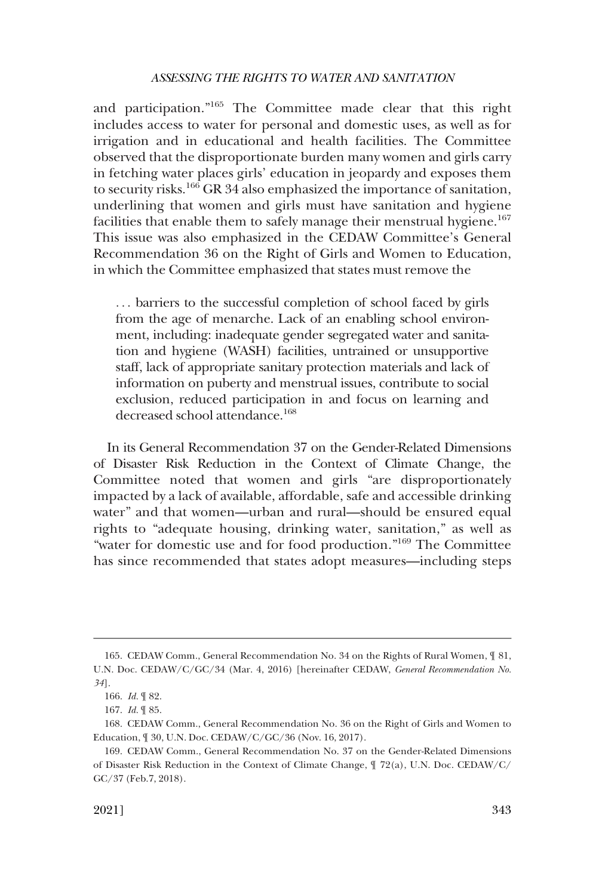and participation."165 The Committee made clear that this right includes access to water for personal and domestic uses, as well as for irrigation and in educational and health facilities. The Committee observed that the disproportionate burden many women and girls carry in fetching water places girls' education in jeopardy and exposes them to security risks.166 GR 34 also emphasized the importance of sanitation, underlining that women and girls must have sanitation and hygiene facilities that enable them to safely manage their menstrual hygiene.<sup>167</sup> This issue was also emphasized in the CEDAW Committee's General Recommendation 36 on the Right of Girls and Women to Education, in which the Committee emphasized that states must remove the

. . . barriers to the successful completion of school faced by girls from the age of menarche. Lack of an enabling school environment, including: inadequate gender segregated water and sanitation and hygiene (WASH) facilities, untrained or unsupportive staff, lack of appropriate sanitary protection materials and lack of information on puberty and menstrual issues, contribute to social exclusion, reduced participation in and focus on learning and decreased school attendance.<sup>168</sup>

In its General Recommendation 37 on the Gender-Related Dimensions of Disaster Risk Reduction in the Context of Climate Change, the Committee noted that women and girls "are disproportionately impacted by a lack of available, affordable, safe and accessible drinking water" and that women—urban and rural—should be ensured equal rights to "adequate housing, drinking water, sanitation," as well as "water for domestic use and for food production."169 The Committee has since recommended that states adopt measures—including steps

<sup>165.</sup> CEDAW Comm., General Recommendation No. 34 on the Rights of Rural Women, ¶ 81, U.N. Doc. CEDAW/C/GC/34 (Mar. 4, 2016) [hereinafter CEDAW, *General Recommendation No. 34*].

<sup>166.</sup> *Id.* ¶ 82.

<sup>167.</sup> *Id.* ¶ 85.

<sup>168.</sup> CEDAW Comm., General Recommendation No. 36 on the Right of Girls and Women to Education, ¶ 30, U.N. Doc. CEDAW/C/GC/36 (Nov. 16, 2017).

<sup>169.</sup> CEDAW Comm., General Recommendation No. 37 on the Gender-Related Dimensions of Disaster Risk Reduction in the Context of Climate Change, ¶ 72(a), U.N. Doc. CEDAW/C/ GC/37 (Feb.7, 2018).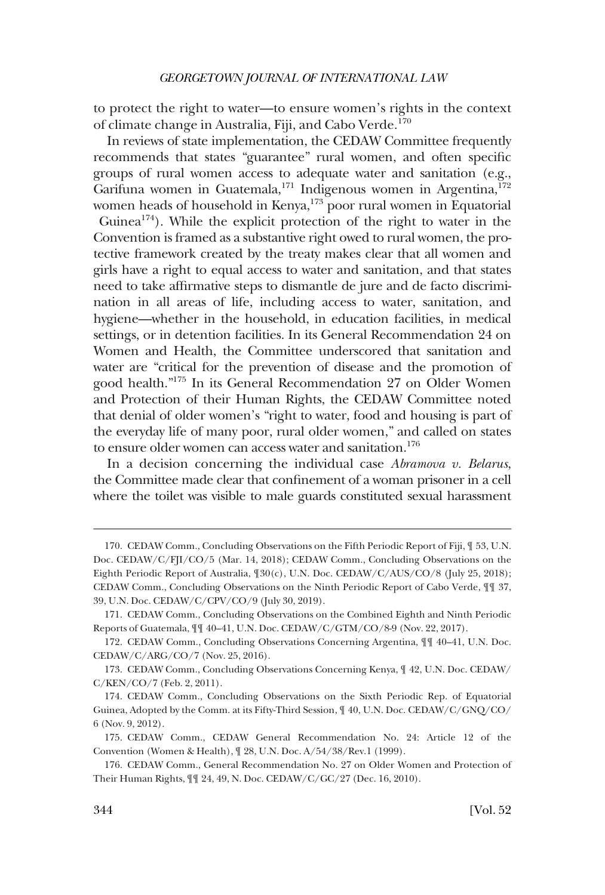to protect the right to water—to ensure women's rights in the context of climate change in Australia, Fiji, and Cabo Verde.<sup>170</sup>

In reviews of state implementation, the CEDAW Committee frequently recommends that states "guarantee" rural women, and often specific groups of rural women access to adequate water and sanitation (e.g., Garifuna women in Guatemala,<sup>171</sup> Indigenous women in Argentina,<sup>172</sup> women heads of household in Kenya,<sup>173</sup> poor rural women in Equatorial Guinea<sup>174</sup>). While the explicit protection of the right to water in the Convention is framed as a substantive right owed to rural women, the protective framework created by the treaty makes clear that all women and girls have a right to equal access to water and sanitation, and that states need to take affirmative steps to dismantle de jure and de facto discrimination in all areas of life, including access to water, sanitation, and hygiene—whether in the household, in education facilities, in medical settings, or in detention facilities. In its General Recommendation 24 on Women and Health, the Committee underscored that sanitation and water are "critical for the prevention of disease and the promotion of good health."175 In its General Recommendation 27 on Older Women and Protection of their Human Rights, the CEDAW Committee noted that denial of older women's "right to water, food and housing is part of the everyday life of many poor, rural older women," and called on states to ensure older women can access water and sanitation.<sup>176</sup>

In a decision concerning the individual case *Abramova v. Belarus*, the Committee made clear that confinement of a woman prisoner in a cell where the toilet was visible to male guards constituted sexual harassment

<sup>170.</sup> CEDAW Comm., Concluding Observations on the Fifth Periodic Report of Fiji, ¶ 53, U.N. Doc. CEDAW/C/FJI/CO/5 (Mar. 14, 2018); CEDAW Comm., Concluding Observations on the Eighth Periodic Report of Australia, ¶30(c), U.N. Doc. CEDAW/C/AUS/CO/8 (July 25, 2018); CEDAW Comm., Concluding Observations on the Ninth Periodic Report of Cabo Verde, ¶¶ 37, 39, U.N. Doc. CEDAW/C/CPV/CO/9 (July 30, 2019).

<sup>171.</sup> CEDAW Comm., Concluding Observations on the Combined Eighth and Ninth Periodic Reports of Guatemala, ¶¶ 40–41, U.N. Doc. CEDAW/C/GTM/CO/8-9 (Nov. 22, 2017).

<sup>172.</sup> CEDAW Comm., Concluding Observations Concerning Argentina, ¶¶ 40–41, U.N. Doc. CEDAW/C/ARG/CO/7 (Nov. 25, 2016).

<sup>173.</sup> CEDAW Comm., Concluding Observations Concerning Kenya, ¶ 42, U.N. Doc. CEDAW/ C/KEN/CO/7 (Feb. 2, 2011).

<sup>174.</sup> CEDAW Comm., Concluding Observations on the Sixth Periodic Rep. of Equatorial Guinea, Adopted by the Comm. at its Fifty-Third Session, ¶ 40, U.N. Doc. CEDAW/C/GNQ/CO/ 6 (Nov. 9, 2012).

<sup>175.</sup> CEDAW Comm., CEDAW General Recommendation No. 24: Article 12 of the Convention (Women & Health), ¶ 28, U.N. Doc. A/54/38/Rev.1 (1999).

<sup>176.</sup> CEDAW Comm., General Recommendation No. 27 on Older Women and Protection of Their Human Rights, ¶¶ 24, 49, N. Doc. CEDAW/C/GC/27 (Dec. 16, 2010).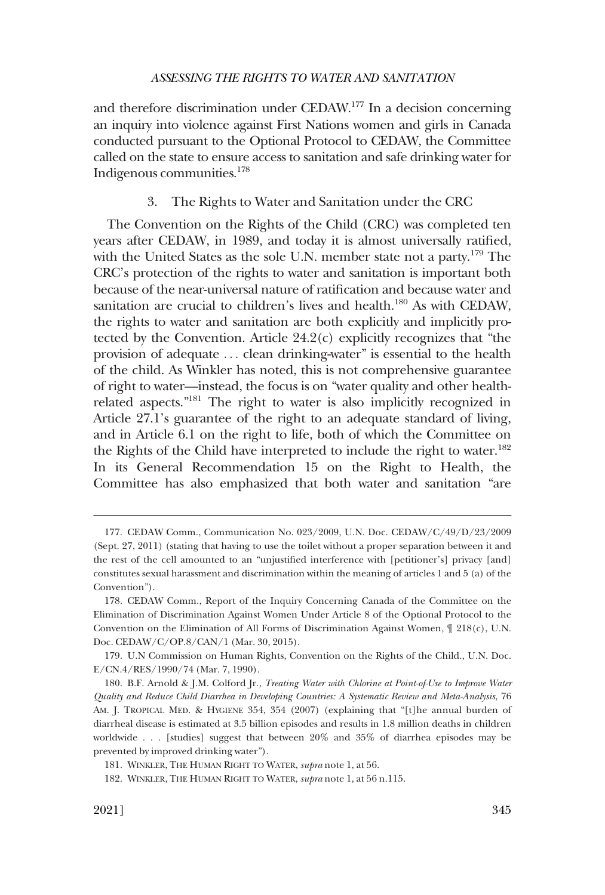<span id="page-30-0"></span>and therefore discrimination under CEDAW.177 In a decision concerning an inquiry into violence against First Nations women and girls in Canada conducted pursuant to the Optional Protocol to CEDAW, the Committee called on the state to ensure access to sanitation and safe drinking water for Indigenous communities.178

#### 3. The Rights to Water and Sanitation under the CRC

The Convention on the Rights of the Child (CRC) was completed ten years after CEDAW, in 1989, and today it is almost universally ratified, with the United States as the sole U.N. member state not a party.<sup>179</sup> The CRC's protection of the rights to water and sanitation is important both because of the near-universal nature of ratification and because water and sanitation are crucial to children's lives and health.<sup>180</sup> As with CEDAW, the rights to water and sanitation are both explicitly and implicitly protected by the Convention. Article 24.2(c) explicitly recognizes that "the provision of adequate . . . clean drinking-water" is essential to the health of the child. As Winkler has noted, this is not comprehensive guarantee of right to water—instead, the focus is on "water quality and other healthrelated aspects."181 The right to water is also implicitly recognized in Article 27.1's guarantee of the right to an adequate standard of living, and in Article 6.1 on the right to life, both of which the Committee on the Rights of the Child have interpreted to include the right to water.<sup>182</sup> In its General Recommendation 15 on the Right to Health, the Committee has also emphasized that both water and sanitation "are

<sup>177.</sup> CEDAW Comm., Communication No. 023/2009, U.N. Doc. CEDAW/C/49/D/23/2009 (Sept. 27, 2011) (stating that having to use the toilet without a proper separation between it and the rest of the cell amounted to an "unjustified interference with [petitioner's] privacy [and] constitutes sexual harassment and discrimination within the meaning of articles 1 and 5 (a) of the Convention").

<sup>178.</sup> CEDAW Comm., Report of the Inquiry Concerning Canada of the Committee on the Elimination of Discrimination Against Women Under Article 8 of the Optional Protocol to the Convention on the Elimination of All Forms of Discrimination Against Women,  $\mathcal{F}$  218(c), U.N. Doc. CEDAW/C/OP.8/CAN/1 (Mar. 30, 2015).

<sup>179.</sup> U.N Commission on Human Rights, Convention on the Rights of the Child., U.N. Doc. E/CN.4/RES/1990/74 (Mar. 7, 1990).

<sup>180.</sup> B.F. Arnold & J.M. Colford Jr., *Treating Water with Chlorine at Point-of-Use to Improve Water Quality and Reduce Child Diarrhea in Developing Countries: A Systematic Review and Meta-Analysis*, 76 AM. J. TROPICAL MED. & HYGIENE 354, 354 (2007) (explaining that "[t]he annual burden of diarrheal disease is estimated at 3.5 billion episodes and results in 1.8 million deaths in children worldwide . . . [studies] suggest that between 20% and 35% of diarrhea episodes may be prevented by improved drinking water").

<sup>181.</sup> WINKLER, THE HUMAN RIGHT TO WATER, *supra* note 1, at 56.

<sup>182.</sup> WINKLER, THE HUMAN RIGHT TO WATER, *supra* note 1, at 56 n.115.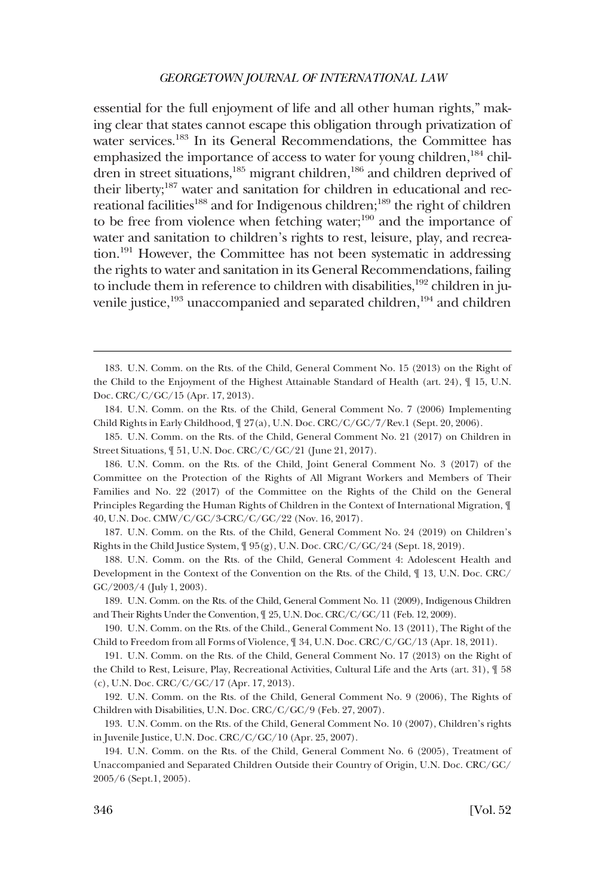essential for the full enjoyment of life and all other human rights," making clear that states cannot escape this obligation through privatization of water services.<sup>183</sup> In its General Recommendations, the Committee has emphasized the importance of access to water for young children, $^{184}$  children in street situations,<sup>185</sup> migrant children,<sup>186</sup> and children deprived of their liberty;<sup>187</sup> water and sanitation for children in educational and recreational facilities<sup>188</sup> and for Indigenous children;<sup>189</sup> the right of children to be free from violence when fetching water; $190$  and the importance of water and sanitation to children's rights to rest, leisure, play, and recreation.191 However, the Committee has not been systematic in addressing the rights to water and sanitation in its General Recommendations, failing to include them in reference to children with disabilities,<sup>192</sup> children in juvenile justice,<sup>193</sup> unaccompanied and separated children,<sup>194</sup> and children

184. U.N. Comm. on the Rts. of the Child, General Comment No. 7 (2006) Implementing Child Rights in Early Childhood,  $\sqrt{27(a)}$ , U.N. Doc. CRC/C/GC/7/Rev.1 (Sept. 20, 2006).

185. U.N. Comm. on the Rts. of the Child, General Comment No. 21 (2017) on Children in Street Situations, ¶ 51, U.N. Doc. CRC/C/GC/21 (June 21, 2017).

186. U.N. Comm. on the Rts. of the Child, Joint General Comment No. 3 (2017) of the Committee on the Protection of the Rights of All Migrant Workers and Members of Their Families and No. 22 (2017) of the Committee on the Rights of the Child on the General Principles Regarding the Human Rights of Children in the Context of International Migration, ¶ 40, U.N. Doc. CMW/C/GC/3-CRC/C/GC/22 (Nov. 16, 2017).

187. U.N. Comm. on the Rts. of the Child, General Comment No. 24 (2019) on Children's Rights in the Child Justice System, ¶ 95(g), U.N. Doc. CRC/C/GC/24 (Sept. 18, 2019).

188. U.N. Comm. on the Rts. of the Child, General Comment 4: Adolescent Health and Development in the Context of the Convention on the Rts. of the Child, ¶ 13, U.N. Doc. CRC/ GC/2003/4 (July 1, 2003).

189. U.N. Comm. on the Rts. of the Child, General Comment No. 11 (2009), Indigenous Children and Their Rights Under the Convention, ¶ 25, U.N. Doc. CRC/C/GC/11 (Feb. 12, 2009).

190. U.N. Comm. on the Rts. of the Child., General Comment No. 13 (2011), The Right of the Child to Freedom from all Forms of Violence, ¶ 34, U.N. Doc. CRC/C/GC/13 (Apr. 18, 2011).

191. U.N. Comm. on the Rts. of the Child, General Comment No. 17 (2013) on the Right of the Child to Rest, Leisure, Play, Recreational Activities, Cultural Life and the Arts (art. 31), ¶ 58 (c), U.N. Doc. CRC/C/GC/17 (Apr. 17, 2013).

192. U.N. Comm. on the Rts. of the Child, General Comment No. 9 (2006), The Rights of Children with Disabilities, U.N. Doc. CRC/C/GC/9 (Feb. 27, 2007).

193. U.N. Comm. on the Rts. of the Child, General Comment No. 10 (2007), Children's rights in Juvenile Justice, U.N. Doc. CRC/C/GC/10 (Apr. 25, 2007).

194. U.N. Comm. on the Rts. of the Child, General Comment No. 6 (2005), Treatment of Unaccompanied and Separated Children Outside their Country of Origin, U.N. Doc. CRC/GC/ 2005/6 (Sept.1, 2005).

<sup>183.</sup> U.N. Comm. on the Rts. of the Child, General Comment No. 15 (2013) on the Right of the Child to the Enjoyment of the Highest Attainable Standard of Health (art. 24), ¶ 15, U.N. Doc. CRC/C/GC/15 (Apr. 17, 2013).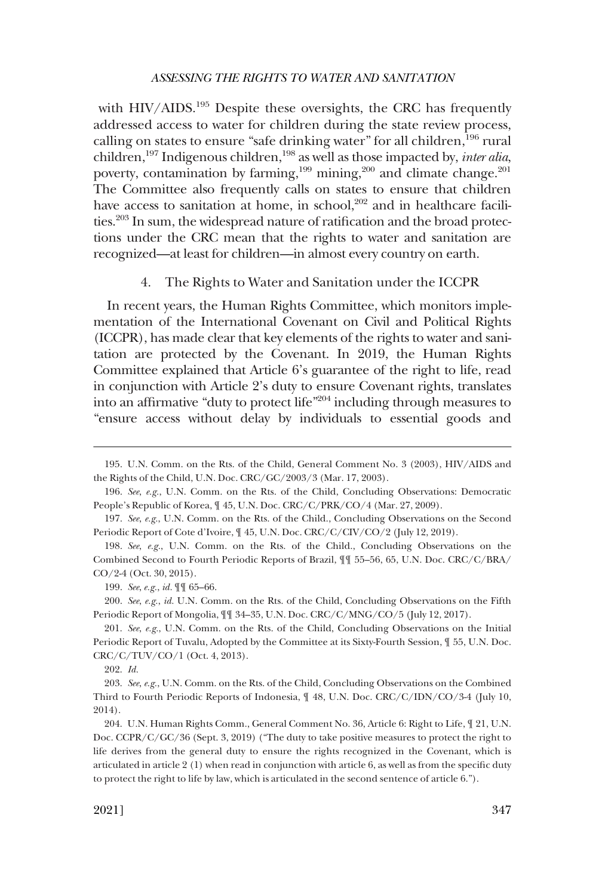<span id="page-32-0"></span>with HIV/AIDS.<sup>195</sup> Despite these oversights, the CRC has frequently addressed access to water for children during the state review process, calling on states to ensure "safe drinking water" for all children,  $196$  rural children,<sup>197</sup> Indigenous children,<sup>198</sup> as well as those impacted by, *inter alia*, poverty, contamination by farming,<sup>199</sup> mining,<sup>200</sup> and climate change.<sup>201</sup> The Committee also frequently calls on states to ensure that children have access to sanitation at home, in school, $202$  and in healthcare facilities.<sup>203</sup> In sum, the widespread nature of ratification and the broad protections under the CRC mean that the rights to water and sanitation are recognized—at least for children—in almost every country on earth.

### 4. The Rights to Water and Sanitation under the ICCPR

In recent years, the Human Rights Committee, which monitors implementation of the International Covenant on Civil and Political Rights (ICCPR), has made clear that key elements of the rights to water and sanitation are protected by the Covenant. In 2019, the Human Rights Committee explained that Article 6's guarantee of the right to life, read in conjunction with Article 2's duty to ensure Covenant rights, translates into an affirmative "duty to protect life"204 including through measures to "ensure access without delay by individuals to essential goods and

198. *See*, *e.g.*, U.N. Comm. on the Rts. of the Child., Concluding Observations on the Combined Second to Fourth Periodic Reports of Brazil, ¶¶ 55–56, 65, U.N. Doc. CRC/C/BRA/ CO/2-4 (Oct. 30, 2015).

199. *See*, *e.g.*, *id.* ¶¶ 65–66.

200. *See*, *e.g.*, *id.* U.N. Comm. on the Rts. of the Child, Concluding Observations on the Fifth Periodic Report of Mongolia, ¶¶ 34–35, U.N. Doc. CRC/C/MNG/CO/5 (July 12, 2017).

201. *See*, *e.g.*, U.N. Comm. on the Rts. of the Child, Concluding Observations on the Initial Periodic Report of Tuvalu, Adopted by the Committee at its Sixty-Fourth Session, ¶ 55, U.N. Doc. CRC/C/TUV/CO/1 (Oct. 4, 2013).

203. *See*, *e.g.*, U.N. Comm. on the Rts. of the Child, Concluding Observations on the Combined Third to Fourth Periodic Reports of Indonesia, ¶ 48, U.N. Doc. CRC/C/IDN/CO/3-4 (July 10, 2014).

204. U.N. Human Rights Comm., General Comment No. 36, Article 6: Right to Life, ¶ 21, U.N. Doc. CCPR/C/GC/36 (Sept. 3, 2019) ("The duty to take positive measures to protect the right to life derives from the general duty to ensure the rights recognized in the Covenant, which is articulated in article 2 (1) when read in conjunction with article 6, as well as from the specific duty to protect the right to life by law, which is articulated in the second sentence of article 6.").

<sup>195.</sup> U.N. Comm. on the Rts. of the Child, General Comment No. 3 (2003), HIV/AIDS and the Rights of the Child, U.N. Doc. CRC/GC/2003/3 (Mar. 17, 2003).

<sup>196.</sup> *See*, *e.g.*, U.N. Comm. on the Rts. of the Child, Concluding Observations: Democratic People's Republic of Korea,  $\P$  45, U.N. Doc. CRC/C/PRK/CO/4 (Mar. 27, 2009).

<sup>197.</sup> *See*, *e.g.*, U.N. Comm. on the Rts. of the Child., Concluding Observations on the Second Periodic Report of Cote d'Ivoire, ¶ 45, U.N. Doc. CRC/C/CIV/CO/2 (July 12, 2019).

<sup>202.</sup> *Id.*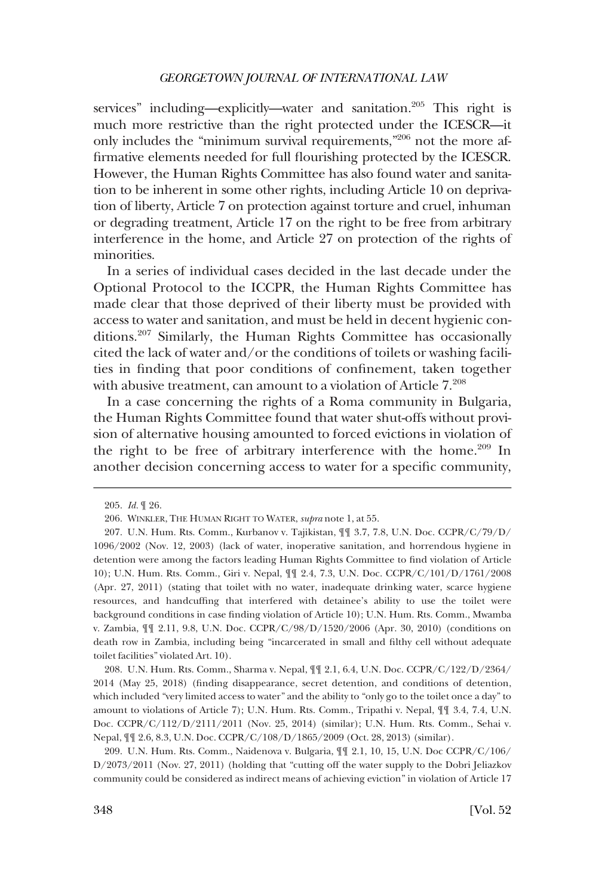services" including—explicitly—water and sanitation.<sup>205</sup> This right is much more restrictive than the right protected under the ICESCR—it only includes the "minimum survival requirements,"206 not the more affirmative elements needed for full flourishing protected by the ICESCR. However, the Human Rights Committee has also found water and sanitation to be inherent in some other rights, including Article 10 on deprivation of liberty, Article 7 on protection against torture and cruel, inhuman or degrading treatment, Article 17 on the right to be free from arbitrary interference in the home, and Article 27 on protection of the rights of minorities.

In a series of individual cases decided in the last decade under the Optional Protocol to the ICCPR, the Human Rights Committee has made clear that those deprived of their liberty must be provided with access to water and sanitation, and must be held in decent hygienic conditions.207 Similarly, the Human Rights Committee has occasionally cited the lack of water and/or the conditions of toilets or washing facilities in finding that poor conditions of confinement, taken together with abusive treatment, can amount to a violation of Article  $7.^{208}$ 

In a case concerning the rights of a Roma community in Bulgaria, the Human Rights Committee found that water shut-offs without provision of alternative housing amounted to forced evictions in violation of the right to be free of arbitrary interference with the home.<sup>209</sup> In another decision concerning access to water for a specific community,

208. U.N. Hum. Rts. Comm., Sharma v. Nepal, ¶¶ 2.1, 6.4, U.N. Doc. CCPR/C/122/D/2364/ 2014 (May 25, 2018) (finding disappearance, secret detention, and conditions of detention, which included "very limited access to water" and the ability to "only go to the toilet once a day" to amount to violations of Article 7); U.N. Hum. Rts. Comm., Tripathi v. Nepal, ¶¶ 3.4, 7.4, U.N. Doc. CCPR/C/112/D/2111/2011 (Nov. 25, 2014) (similar); U.N. Hum. Rts. Comm., Sehai v. Nepal, ¶¶ 2.6, 8.3, U.N. Doc. CCPR/C/108/D/1865/2009 (Oct. 28, 2013) (similar).

209. U.N. Hum. Rts. Comm., Naidenova v. Bulgaria, ¶¶ 2.1, 10, 15, U.N. Doc CCPR/C/106/ D/2073/2011 (Nov. 27, 2011) (holding that "cutting off the water supply to the Dobri Jeliazkov community could be considered as indirect means of achieving eviction" in violation of Article 17

<sup>205.</sup> *Id.* ¶ 26.

<sup>206.</sup> WINKLER, THE HUMAN RIGHT TO WATER, *supra* note 1, at 55.

<sup>207.</sup> U.N. Hum. Rts. Comm., Kurbanov v. Tajikistan, ¶¶ 3.7, 7.8, U.N. Doc. CCPR/C/79/D/ 1096/2002 (Nov. 12, 2003) (lack of water, inoperative sanitation, and horrendous hygiene in detention were among the factors leading Human Rights Committee to find violation of Article 10); U.N. Hum. Rts. Comm., Giri v. Nepal, ¶¶ 2.4, 7.3, U.N. Doc. CCPR/C/101/D/1761/2008 (Apr. 27, 2011) (stating that toilet with no water, inadequate drinking water, scarce hygiene resources, and handcuffing that interfered with detainee's ability to use the toilet were background conditions in case finding violation of Article 10); U.N. Hum. Rts. Comm., Mwamba v. Zambia, ¶¶ 2.11, 9.8, U.N. Doc. CCPR/C/98/D/1520/2006 (Apr. 30, 2010) (conditions on death row in Zambia, including being "incarcerated in small and filthy cell without adequate toilet facilities" violated Art. 10).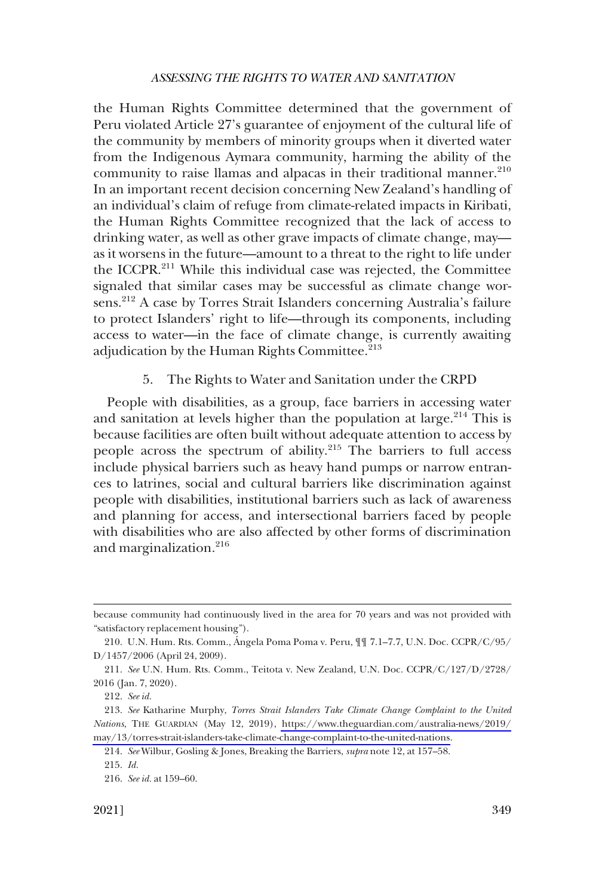<span id="page-34-0"></span>the Human Rights Committee determined that the government of Peru violated Article 27's guarantee of enjoyment of the cultural life of the community by members of minority groups when it diverted water from the Indigenous Aymara community, harming the ability of the community to raise llamas and alpacas in their traditional manner.<sup>210</sup> In an important recent decision concerning New Zealand's handling of an individual's claim of refuge from climate-related impacts in Kiribati, the Human Rights Committee recognized that the lack of access to drinking water, as well as other grave impacts of climate change, may as it worsens in the future—amount to a threat to the right to life under the ICCPR.<sup>211</sup> While this individual case was rejected, the Committee signaled that similar cases may be successful as climate change worsens.<sup>212</sup> A case by Torres Strait Islanders concerning Australia's failure to protect Islanders' right to life—through its components, including access to water—in the face of climate change, is currently awaiting adjudication by the Human Rights Committee.<sup>213</sup>

# 5. The Rights to Water and Sanitation under the CRPD

People with disabilities, as a group, face barriers in accessing water and sanitation at levels higher than the population at large. $214$  This is because facilities are often built without adequate attention to access by people across the spectrum of ability.215 The barriers to full access include physical barriers such as heavy hand pumps or narrow entrances to latrines, social and cultural barriers like discrimination against people with disabilities, institutional barriers such as lack of awareness and planning for access, and intersectional barriers faced by people with disabilities who are also affected by other forms of discrimination and marginalization.<sup>216</sup>

because community had continuously lived in the area for 70 years and was not provided with "satisfactory replacement housing").

<sup>210.</sup> U.N. Hum. Rts. Comm., Ángela Poma Poma v. Peru,  $\P\P$  7.1–7.7, U.N. Doc. CCPR/C/95/ D/1457/2006 (April 24, 2009).

<sup>211.</sup> *See* U.N. Hum. Rts. Comm., Teitota v. New Zealand, U.N. Doc. CCPR/C/127/D/2728/ 2016 (Jan. 7, 2020).

<sup>212.</sup> *See id.* 

*See* Katharine Murphy, *Torres Strait Islanders Take Climate Change Complaint to the United*  213. *Nations*, THE GUARDIAN (May 12, 2019), [https://www.theguardian.com/australia-news/2019/](https://www.theguardian.com/australia-news/2019/may/13/torres-strait-islanders-take-climate-change-complaint-to-the-united-nations) [may/13/torres-strait-islanders-take-climate-change-complaint-to-the-united-nations.](https://www.theguardian.com/australia-news/2019/may/13/torres-strait-islanders-take-climate-change-complaint-to-the-united-nations)

<sup>214.</sup> *See* Wilbur, Gosling & Jones, Breaking the Barriers, *supra* note 12, at 157–58.

<sup>215.</sup> *Id.* 

<sup>216.</sup> *See id.* at 159–60.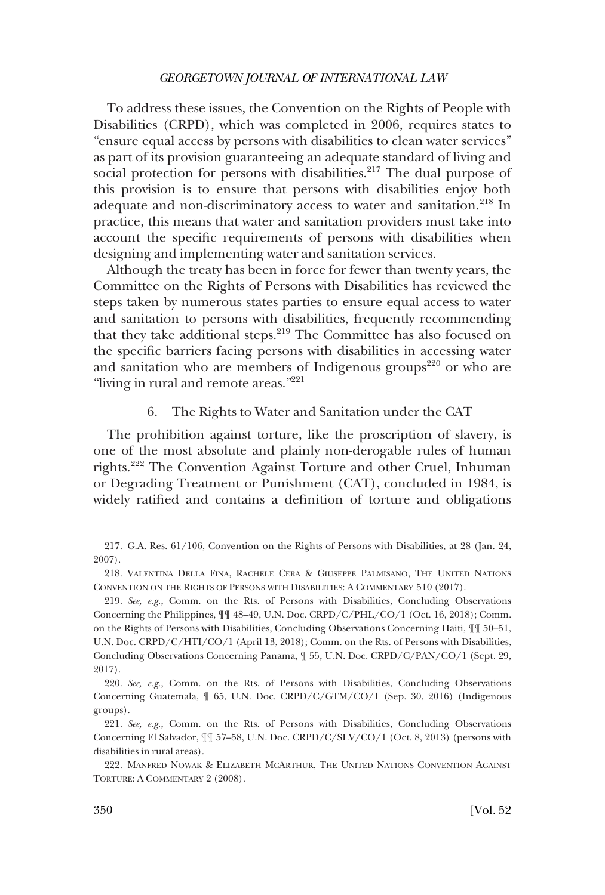<span id="page-35-0"></span>To address these issues, the Convention on the Rights of People with Disabilities (CRPD), which was completed in 2006, requires states to "ensure equal access by persons with disabilities to clean water services" as part of its provision guaranteeing an adequate standard of living and social protection for persons with disabilities.<sup>217</sup> The dual purpose of this provision is to ensure that persons with disabilities enjoy both adequate and non-discriminatory access to water and sanitation.<sup>218</sup> In practice, this means that water and sanitation providers must take into account the specific requirements of persons with disabilities when designing and implementing water and sanitation services.

Although the treaty has been in force for fewer than twenty years, the Committee on the Rights of Persons with Disabilities has reviewed the steps taken by numerous states parties to ensure equal access to water and sanitation to persons with disabilities, frequently recommending that they take additional steps.<sup>219</sup> The Committee has also focused on the specific barriers facing persons with disabilities in accessing water and sanitation who are members of Indigenous groups<sup>220</sup> or who are "living in rural and remote areas."<sup>221</sup>

#### 6. The Rights to Water and Sanitation under the CAT

The prohibition against torture, like the proscription of slavery, is one of the most absolute and plainly non-derogable rules of human rights.222 The Convention Against Torture and other Cruel, Inhuman or Degrading Treatment or Punishment (CAT), concluded in 1984, is widely ratified and contains a definition of torture and obligations

<sup>217.</sup> G.A. Res. 61/106, Convention on the Rights of Persons with Disabilities, at 28 (Jan. 24, 2007).

<sup>218.</sup> VALENTINA DELLA FINA, RACHELE CERA & GIUSEPPE PALMISANO, THE UNITED NATIONS CONVENTION ON THE RIGHTS OF PERSONS WITH DISABILITIES: A COMMENTARY 510 (2017).

<sup>219.</sup> *See, e.g.*, Comm. on the Rts. of Persons with Disabilities, Concluding Observations Concerning the Philippines, ¶¶ 48–49, U.N. Doc. CRPD/C/PHL/CO/1 (Oct. 16, 2018); Comm. on the Rights of Persons with Disabilities, Concluding Observations Concerning Haiti, ¶¶ 50–51, U.N. Doc. CRPD/C/HTI/CO/1 (April 13, 2018); Comm. on the Rts. of Persons with Disabilities, Concluding Observations Concerning Panama, ¶ 55, U.N. Doc. CRPD/C/PAN/CO/1 (Sept. 29, 2017).

<sup>220.</sup> *See, e.g.*, Comm. on the Rts. of Persons with Disabilities, Concluding Observations Concerning Guatemala, ¶ 65, U.N. Doc. CRPD/C/GTM/CO/1 (Sep. 30, 2016) (Indigenous groups).

<sup>221.</sup> *See, e.g.*, Comm. on the Rts. of Persons with Disabilities, Concluding Observations Concerning El Salvador, ¶¶ 57–58, U.N. Doc. CRPD/C/SLV/CO/1 (Oct. 8, 2013) (persons with disabilities in rural areas).

<sup>222.</sup> MANFRED NOWAK & ELIZABETH MCARTHUR, THE UNITED NATIONS CONVENTION AGAINST TORTURE: A COMMENTARY 2 (2008).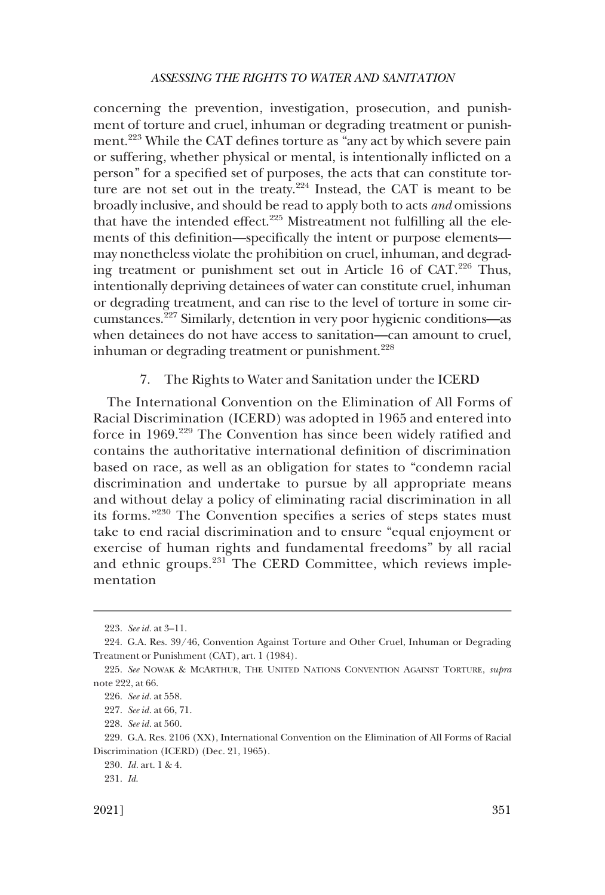<span id="page-36-0"></span>concerning the prevention, investigation, prosecution, and punishment of torture and cruel, inhuman or degrading treatment or punishment.223 While the CAT defines torture as "any act by which severe pain or suffering, whether physical or mental, is intentionally inflicted on a person" for a specified set of purposes, the acts that can constitute torture are not set out in the treaty.224 Instead, the CAT is meant to be broadly inclusive, and should be read to apply both to acts *and* omissions that have the intended effect. $225$  Mistreatment not fulfilling all the elements of this definition—specifically the intent or purpose elements may nonetheless violate the prohibition on cruel, inhuman, and degrading treatment or punishment set out in Article 16 of CAT.<sup>226</sup> Thus, intentionally depriving detainees of water can constitute cruel, inhuman or degrading treatment, and can rise to the level of torture in some circumstances.227 Similarly, detention in very poor hygienic conditions—as when detainees do not have access to sanitation—can amount to cruel, inhuman or degrading treatment or punishment.<sup>228</sup>

# 7. The Rights to Water and Sanitation under the ICERD

The International Convention on the Elimination of All Forms of Racial Discrimination (ICERD) was adopted in 1965 and entered into force in 1969.229 The Convention has since been widely ratified and contains the authoritative international definition of discrimination based on race, as well as an obligation for states to "condemn racial discrimination and undertake to pursue by all appropriate means and without delay a policy of eliminating racial discrimination in all its forms."230 The Convention specifies a series of steps states must take to end racial discrimination and to ensure "equal enjoyment or exercise of human rights and fundamental freedoms" by all racial and ethnic groups.<sup>231</sup> The CERD Committee, which reviews implementation

<sup>223.</sup> *See id.* at 3–11.

<sup>224.</sup> G.A. Res. 39/46, Convention Against Torture and Other Cruel, Inhuman or Degrading Treatment or Punishment (CAT), art. 1 (1984).

<sup>225.</sup> *See* NOWAK & MCARTHUR, THE UNITED NATIONS CONVENTION AGAINST TORTURE, *supra*  note 222, at 66.

<sup>226.</sup> *See id.* at 558.

<sup>227.</sup> *See id.* at 66, 71.

<sup>228.</sup> *See id.* at 560.

<sup>229.</sup> G.A. Res. 2106 (XX), International Convention on the Elimination of All Forms of Racial Discrimination (ICERD) (Dec. 21, 1965).

<sup>230.</sup> *Id.* art. 1 & 4.

<sup>231.</sup> *Id*.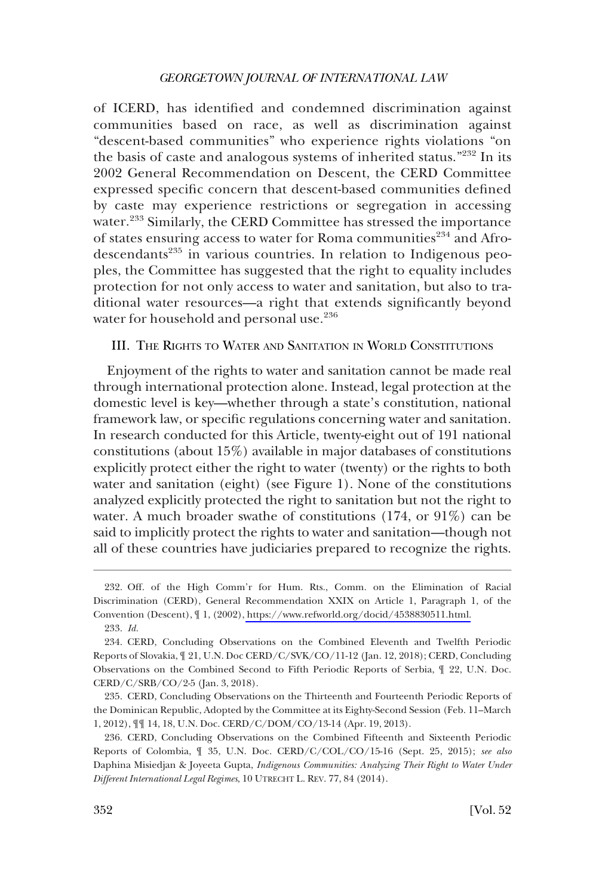<span id="page-37-0"></span>of ICERD, has identified and condemned discrimination against communities based on race, as well as discrimination against "descent-based communities" who experience rights violations "on the basis of caste and analogous systems of inherited status."232 In its 2002 General Recommendation on Descent, the CERD Committee expressed specific concern that descent-based communities defined by caste may experience restrictions or segregation in accessing water.233 Similarly, the CERD Committee has stressed the importance of states ensuring access to water for Roma communities<sup>234</sup> and Afrodescendants<sup>235</sup> in various countries. In relation to Indigenous peoples, the Committee has suggested that the right to equality includes protection for not only access to water and sanitation, but also to traditional water resources—a right that extends significantly beyond water for household and personal use.<sup>236</sup>

# III. THE RIGHTS TO WATER AND SANITATION IN WORLD CONSTITUTIONS

Enjoyment of the rights to water and sanitation cannot be made real through international protection alone. Instead, legal protection at the domestic level is key—whether through a state's constitution, national framework law, or specific regulations concerning water and sanitation. In research conducted for this Article, twenty-eight out of 191 national constitutions (about 15%) available in major databases of constitutions explicitly protect either the right to water (twenty) or the rights to both water and sanitation (eight) (see Figure 1). None of the constitutions analyzed explicitly protected the right to sanitation but not the right to water. A much broader swathe of constitutions (174, or 91%) can be said to implicitly protect the rights to water and sanitation—though not all of these countries have judiciaries prepared to recognize the rights.

<sup>232.</sup> Off. of the High Comm'r for Hum. Rts., Comm. on the Elimination of Racial Discrimination (CERD), General Recommendation XXIX on Article 1, Paragraph 1, of the Convention (Descent), ¶ 1, (2002), [https://www.refworld.org/docid/4538830511.html.](https://www.refworld.org/docid/4538830511.html)

<sup>233.</sup> *Id.* 

<sup>234.</sup> CERD, Concluding Observations on the Combined Eleventh and Twelfth Periodic Reports of Slovakia, ¶ 21, U.N. Doc CERD/C/SVK/CO/11-12 (Jan. 12, 2018); CERD, Concluding Observations on the Combined Second to Fifth Periodic Reports of Serbia, ¶ 22, U.N. Doc. CERD/C/SRB/CO/2-5 (Jan. 3, 2018).

<sup>235.</sup> CERD, Concluding Observations on the Thirteenth and Fourteenth Periodic Reports of the Dominican Republic, Adopted by the Committee at its Eighty-Second Session (Feb. 11–March 1, 2012), ¶¶ 14, 18, U.N. Doc. CERD/C/DOM/CO/13-14 (Apr. 19, 2013).

<sup>236.</sup> CERD, Concluding Observations on the Combined Fifteenth and Sixteenth Periodic Reports of Colombia, ¶ 35, U.N. Doc. CERD/C/COL/CO/15-16 (Sept. 25, 2015); *see also*  Daphina Misiedjan & Joyeeta Gupta, *Indigenous Communities: Analyzing Their Right to Water Under Different International Legal Regimes*, 10 UTRECHT L. REV. 77, 84 (2014).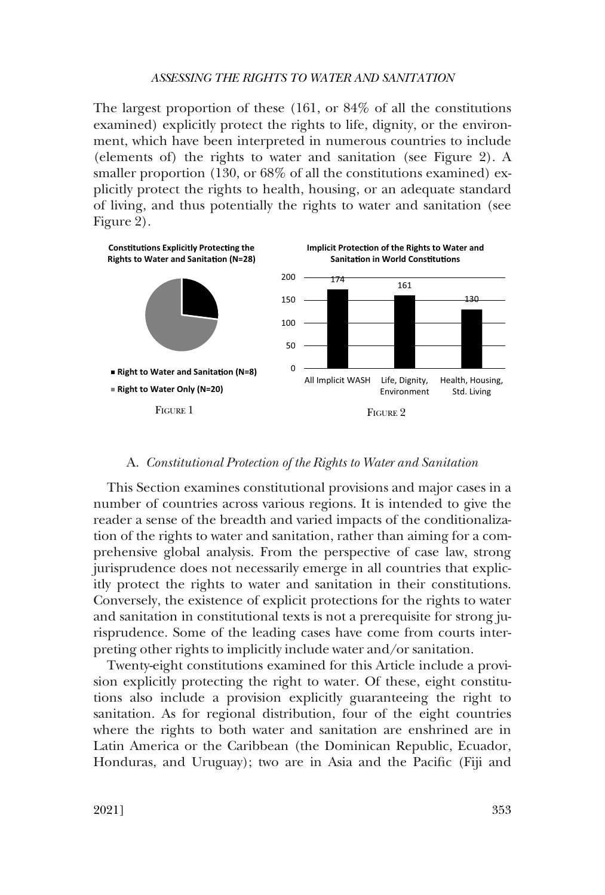<span id="page-38-0"></span>The largest proportion of these (161, or 84% of all the constitutions examined) explicitly protect the rights to life, dignity, or the environment, which have been interpreted in numerous countries to include (elements of) the rights to water and sanitation (see Figure 2). A smaller proportion (130, or 68% of all the constitutions examined) explicitly protect the rights to health, housing, or an adequate standard of living, and thus potentially the rights to water and sanitation (see Figure 2).



#### A. *Constitutional Protection of the Rights to Water and Sanitation*

This Section examines constitutional provisions and major cases in a number of countries across various regions. It is intended to give the reader a sense of the breadth and varied impacts of the conditionalization of the rights to water and sanitation, rather than aiming for a comprehensive global analysis. From the perspective of case law, strong jurisprudence does not necessarily emerge in all countries that explicitly protect the rights to water and sanitation in their constitutions. Conversely, the existence of explicit protections for the rights to water and sanitation in constitutional texts is not a prerequisite for strong jurisprudence. Some of the leading cases have come from courts interpreting other rights to implicitly include water and/or sanitation.

Twenty-eight constitutions examined for this Article include a provision explicitly protecting the right to water. Of these, eight constitutions also include a provision explicitly guaranteeing the right to sanitation. As for regional distribution, four of the eight countries where the rights to both water and sanitation are enshrined are in Latin America or the Caribbean (the Dominican Republic, Ecuador, Honduras, and Uruguay); two are in Asia and the Pacific (Fiji and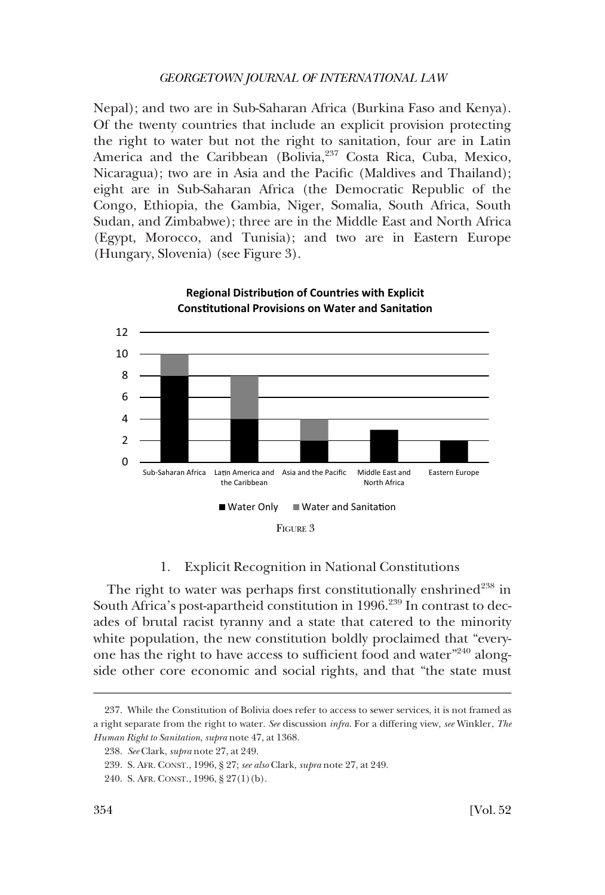<span id="page-39-0"></span>Nepal); and two are in Sub-Saharan Africa (Burkina Faso and Kenya). Of the twenty countries that include an explicit provision protecting the right to water but not the right to sanitation, four are in Latin America and the Caribbean (Bolivia, <sup>237</sup> Costa Rica, Cuba, Mexico, Nicaragua); two are in Asia and the Pacific (Maldives and Thailand); eight are in Sub-Saharan Africa (the Democratic Republic of the Congo, Ethiopia, the Gambia, Niger, Somalia, South Africa, South Sudan, and Zimbabwe); three are in the Middle East and North Africa (Egypt, Morocco, and Tunisia); and two are in Eastern Europe (Hungary, Slovenia) (see Figure 3).



# 1. Explicit Recognition in National Constitutions

The right to water was perhaps first constitutionally enshrined<sup>238</sup> in South Africa's post-apartheid constitution in 1996.<sup>239</sup> In contrast to decades of brutal racist tyranny and a state that catered to the minority white population, the new constitution boldly proclaimed that "everyone has the right to have access to sufficient food and water"240 alongside other core economic and social rights, and that "the state must

<sup>237.</sup> While the Constitution of Bolivia does refer to access to sewer services, it is not framed as a right separate from the right to water. *See* discussion *infra*. For a differing view, *see* Winkler, *The Human Right to Sanitation*, *supra* note 47, at 1368.

<sup>238.</sup> *See* Clark, *supra* note 27, at 249.

<sup>239.</sup> S. AFR. CONST., 1996, § 27; *see also* Clark, *supra* note 27, at 249.

<sup>240.</sup> S. AFR. CONST., 1996, § 27(1)(b).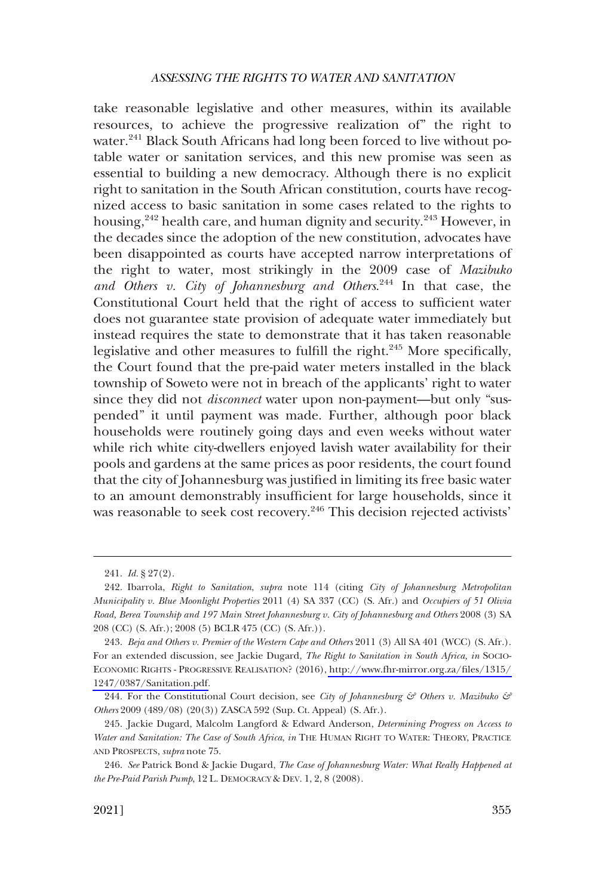take reasonable legislative and other measures, within its available resources, to achieve the progressive realization of" the right to water.<sup>241</sup> Black South Africans had long been forced to live without potable water or sanitation services, and this new promise was seen as essential to building a new democracy. Although there is no explicit right to sanitation in the South African constitution, courts have recognized access to basic sanitation in some cases related to the rights to housing,<sup>242</sup> health care, and human dignity and security.<sup>243</sup> However, in the decades since the adoption of the new constitution, advocates have been disappointed as courts have accepted narrow interpretations of the right to water, most strikingly in the 2009 case of *Mazibuko and Others v. City of Johannesburg and Others*. 244 In that case, the Constitutional Court held that the right of access to sufficient water does not guarantee state provision of adequate water immediately but instead requires the state to demonstrate that it has taken reasonable legislative and other measures to fulfill the right. $245$  More specifically, the Court found that the pre-paid water meters installed in the black township of Soweto were not in breach of the applicants' right to water since they did not *disconnect* water upon non-payment—but only "suspended" it until payment was made. Further, although poor black households were routinely going days and even weeks without water while rich white city-dwellers enjoyed lavish water availability for their pools and gardens at the same prices as poor residents, the court found that the city of Johannesburg was justified in limiting its free basic water to an amount demonstrably insufficient for large households, since it was reasonable to seek cost recovery.<sup>246</sup> This decision rejected activists'

<sup>241.</sup> *Id.* § 27(2).

<sup>242.</sup> Ibarrola, *Right to Sanitation*, *supra* note 114 (citing *City of Johannesburg Metropolitan Municipality v. Blue Moonlight Properties* 2011 (4) SA 337 (CC) (S. Afr.) and *Occupiers of 51 Olivia Road, Berea Township and 197 Main Street Johannesburg v. City of Johannesburg and Others* 2008 (3) SA 208 (CC) (S. Afr.); 2008 (5) BCLR 475 (CC) (S. Afr.)).

*Beja and Others v. Premier of the Western Cape and Others* 2011 (3) All SA 401 (WCC) (S. Afr.). 243. For an extended discussion, see Jackie Dugard, *The Right to Sanitation in South Africa, in* SOCIO-ECONOMIC RIGHTS - PROGRESSIVE REALISATION? (2016), [http://www.fhr-mirror.org.za/files/1315/](http://www.fhr-mirror.org.za/files/1315/1247/0387/Sanitation.pdf) [1247/0387/Sanitation.pdf.](http://www.fhr-mirror.org.za/files/1315/1247/0387/Sanitation.pdf)

<sup>244.</sup> For the Constitutional Court decision, see *City of Johannesburg & Others v. Mazibuko & Others* 2009 (489/08) (20(3)) ZASCA 592 (Sup. Ct. Appeal) (S. Afr.).

<sup>245.</sup> Jackie Dugard, Malcolm Langford & Edward Anderson, *Determining Progress on Access to Water and Sanitation: The Case of South Africa*, *in* THE HUMAN RIGHT TO WATER: THEORY, PRACTICE AND PROSPECTS, *supra* note 75.

<sup>246.</sup> *See* Patrick Bond & Jackie Dugard, *The Case of Johannesburg Water: What Really Happened at the Pre-Paid Parish Pump*, 12 L. DEMOCRACY & DEV. 1, 2, 8 (2008).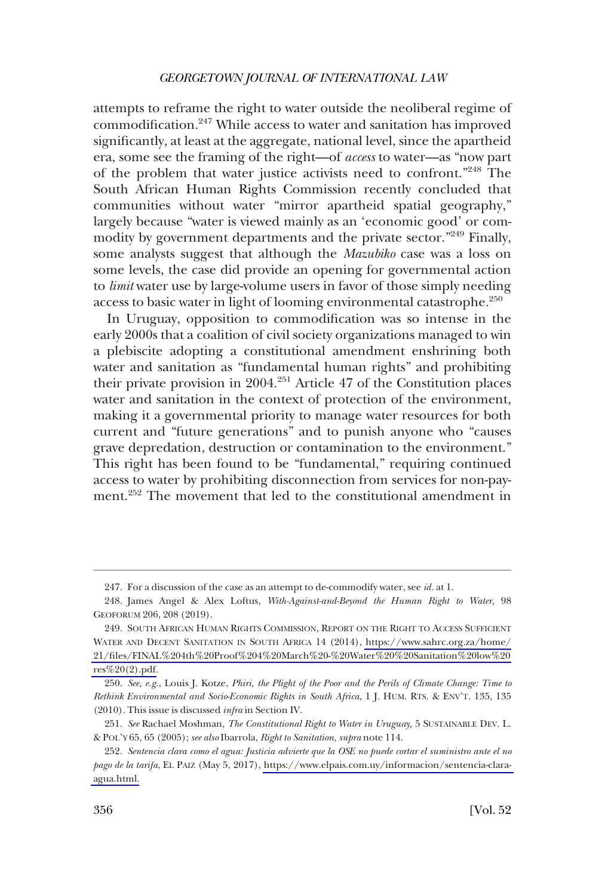attempts to reframe the right to water outside the neoliberal regime of commodification.247 While access to water and sanitation has improved significantly, at least at the aggregate, national level, since the apartheid era, some see the framing of the right—of *access* to water—as "now part of the problem that water justice activists need to confront."248 The South African Human Rights Commission recently concluded that communities without water "mirror apartheid spatial geography," largely because "water is viewed mainly as an 'economic good' or commodity by government departments and the private sector."<sup>249</sup> Finally, some analysts suggest that although the *Mazubiko* case was a loss on some levels, the case did provide an opening for governmental action to *limit* water use by large-volume users in favor of those simply needing access to basic water in light of looming environmental catastrophe.<sup>250</sup>

In Uruguay, opposition to commodification was so intense in the early 2000s that a coalition of civil society organizations managed to win a plebiscite adopting a constitutional amendment enshrining both water and sanitation as "fundamental human rights" and prohibiting their private provision in 2004.251 Article 47 of the Constitution places water and sanitation in the context of protection of the environment, making it a governmental priority to manage water resources for both current and "future generations" and to punish anyone who "causes grave depredation, destruction or contamination to the environment." This right has been found to be "fundamental," requiring continued access to water by prohibiting disconnection from services for non-payment.252 The movement that led to the constitutional amendment in

<sup>247.</sup> For a discussion of the case as an attempt to de-commodify water, see *id.* at 1.

<sup>248.</sup> James Angel & Alex Loftus, *With-Against-and-Beyond the Human Right to Water,* 98 GEOFORUM 206, 208 (2019).

<sup>249.</sup> SOUTH AFRICAN HUMAN RIGHTS COMMISSION, REPORT ON THE RIGHT TO ACCESS SUFFICIENT WATER AND DECENT SANITATION IN SOUTH AFRICA 14 (2014), [https://www.sahrc.org.za/home/](https://www.sahrc.org.za/home/21/files/FINAL%204th%20Proof%204%20March%20-%20Water%20%20Sanitation%20low%20res%20(2).pdf) [21/files/FINAL%204th%20Proof%204%20March%20-%20Water%20%20Sanitation%20low%20](https://www.sahrc.org.za/home/21/files/FINAL%204th%20Proof%204%20March%20-%20Water%20%20Sanitation%20low%20res%20(2).pdf)  [res%20\(2\).pdf.](https://www.sahrc.org.za/home/21/files/FINAL%204th%20Proof%204%20March%20-%20Water%20%20Sanitation%20low%20res%20(2).pdf)

<sup>250.</sup> *See, e.g.*, Louis J. Kotze, *Phiri, the Plight of the Poor and the Perils of Climate Change: Time to Rethink Environmental and Socio-Economic Rights in South Africa*, 1 J. HUM. RTS. & ENV'T. 135, 135 (2010). This issue is discussed *infra* in Section IV.

<sup>251.</sup> *See* Rachael Moshman, *The Constitutional Right to Water in Uruguay,* 5 SUSTAINABLE DEV. L. & POL'Y 65, 65 (2005); *see also* Ibarrola, *Right to Sanitation, supra* note 114.

*Sentencia clara como el agua: Justicia advierte que la OSE no puede cortar el suministro ante el no*  252. *pago de la tarifa*, EL PAIZ (May 5, 2017), [https://www.elpais.com.uy/informacion/sentencia-clara](https://www.elpais.com.uy/informacion/sentencia-clara-agua.html)[agua.html.](https://www.elpais.com.uy/informacion/sentencia-clara-agua.html)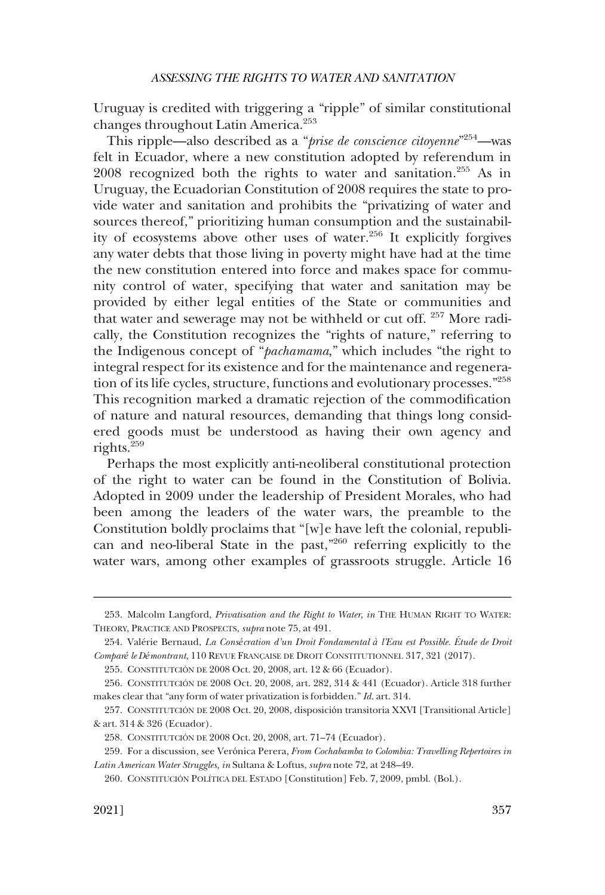Uruguay is credited with triggering a "ripple" of similar constitutional changes throughout Latin America.<sup>253</sup>

This ripple—also described as a "*prise de conscience citoyenne*"254 —was felt in Ecuador, where a new constitution adopted by referendum in 2008 recognized both the rights to water and sanitation.<sup>255</sup> As in Uruguay, the Ecuadorian Constitution of 2008 requires the state to provide water and sanitation and prohibits the "privatizing of water and sources thereof," prioritizing human consumption and the sustainability of ecosystems above other uses of water.256 It explicitly forgives any water debts that those living in poverty might have had at the time the new constitution entered into force and makes space for community control of water, specifying that water and sanitation may be provided by either legal entities of the State or communities and that water and sewerage may not be withheld or cut off.<sup>257</sup> More radically, the Constitution recognizes the "rights of nature," referring to the Indigenous concept of "*pachamama*," which includes "the right to integral respect for its existence and for the maintenance and regeneration of its life cycles, structure, functions and evolutionary processes."<sup>258</sup> This recognition marked a dramatic rejection of the commodification of nature and natural resources, demanding that things long considered goods must be understood as having their own agency and rights.259

Perhaps the most explicitly anti-neoliberal constitutional protection of the right to water can be found in the Constitution of Bolivia. Adopted in 2009 under the leadership of President Morales, who had been among the leaders of the water wars, the preamble to the Constitution boldly proclaims that "[w]e have left the colonial, republican and neo-liberal State in the past,<sup>"260</sup> referring explicitly to the water wars, among other examples of grassroots struggle. Article 16

255. CONSTITUTCIÓN DE 2008 Oct. 20, 2008, art. 12 & 66 (Ecuador).

<sup>253.</sup> Malcolm Langford, *Privatisation and the Right to Water*, *in* THE HUMAN RIGHT TO WATER: THEORY, PRACTICE AND PROSPECTS, *supra* note 75, at 491.

<sup>254.</sup> Valérie Bernaud, *La Consécration d'un Droit Fondamental à l'Eau est Possible. Étude de Droit Comparé le Démontrant*, 110 REVUE FRANC¸ AISE DE DROIT CONSTITUTIONNEL 317, 321 (2017).

<sup>256.</sup> CONSTITUTCIÓN DE 2008 Oct. 20, 2008, art. 282, 314 & 441 (Ecuador). Article 318 further makes clear that "any form of water privatization is forbidden." *Id.* art. 314.

CONSTITUTCIÓN DE 2008 Oct. 20, 2008, disposición transitoria XXVI [Transitional Article] 257. & art. 314 & 326 (Ecuador).

CONSTITUTCIÓN DE 2008 Oct. 20, 2008, art. 71–74 (Ecuador). 258.

<sup>259.</sup> For a discussion, see Verónica Perera, *From Cochabamba to Colombia: Travelling Repertoires in Latin American Water Struggles, in* Sultana & Loftus, *supra* note 72, at 248–49.

<sup>260.</sup> CONSTITUCIÓN POLÍTICA DEL ESTADO [Constitution] Feb. 7, 2009, pmbl. (Bol.).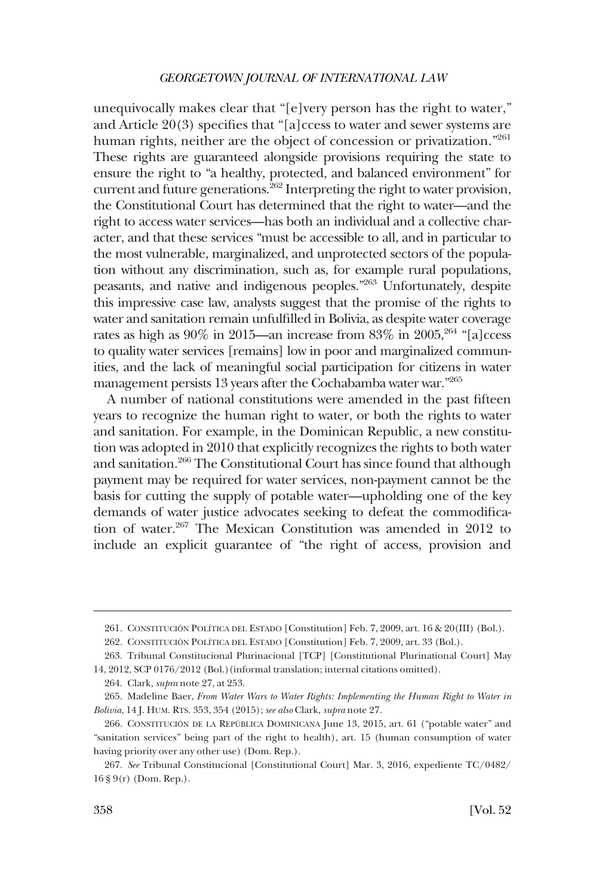unequivocally makes clear that "[e]very person has the right to water," and Article 20(3) specifies that "[a]ccess to water and sewer systems are human rights, neither are the object of concession or privatization."<sup>261</sup> These rights are guaranteed alongside provisions requiring the state to ensure the right to "a healthy, protected, and balanced environment" for current and future generations.<sup>262</sup> Interpreting the right to water provision, the Constitutional Court has determined that the right to water—and the right to access water services—has both an individual and a collective character, and that these services "must be accessible to all, and in particular to the most vulnerable, marginalized, and unprotected sectors of the population without any discrimination, such as, for example rural populations, peasants, and native and indigenous peoples."263 Unfortunately, despite this impressive case law, analysts suggest that the promise of the rights to water and sanitation remain unfulfilled in Bolivia, as despite water coverage rates as high as  $90\%$  in 2015—an increase from  $83\%$  in  $2005$ ,  $264$  "[a]ccess to quality water services [remains] low in poor and marginalized communities, and the lack of meaningful social participation for citizens in water management persists 13 years after the Cochabamba water war."265

A number of national constitutions were amended in the past fifteen years to recognize the human right to water, or both the rights to water and sanitation. For example, in the Dominican Republic, a new constitution was adopted in 2010 that explicitly recognizes the rights to both water and sanitation.<sup>266</sup> The Constitutional Court has since found that although payment may be required for water services, non-payment cannot be the basis for cutting the supply of potable water—upholding one of the key demands of water justice advocates seeking to defeat the commodification of water.267 The Mexican Constitution was amended in 2012 to include an explicit guarantee of "the right of access, provision and

<sup>261.</sup> CONSTITUCIÓN POLÍTICA DEL ESTADO [Constitution] Feb. 7, 2009, art. 16 & 20(III) (Bol.).

<sup>262.</sup> CONSTITUCIÓN POLÍTICA DEL ESTADO [Constitution] Feb. 7, 2009, art. 33 (Bol.).

<sup>263.</sup> Tribunal Constitucional Plurinacional [TCP] [Constitutional Plurinational Court] May 14, 2012, SCP 0176/2012 (Bol.)(informal translation; internal citations omitted).

<sup>264.</sup> Clark, *supra* note 27, at 253.

<sup>265.</sup> Madeline Baer, *From Water Wars to Water Rights: Implementing the Human Right to Water in Bolivia*, 14 J. HUM. RTS. 353, 354 (2015); *see also* Clark, *supra* note 27.

<sup>266.</sup> CONSTITUCIÓN DE LA REPÚBLICA DOMINICANA June 13, 2015, art. 61 ("potable water" and "sanitation services" being part of the right to health), art. 15 (human consumption of water having priority over any other use) (Dom. Rep.).

<sup>267.</sup> *See* Tribunal Constitucional [Constitutional Court] Mar. 3, 2016, expediente TC/0482/ 16 § 9(r) (Dom. Rep.).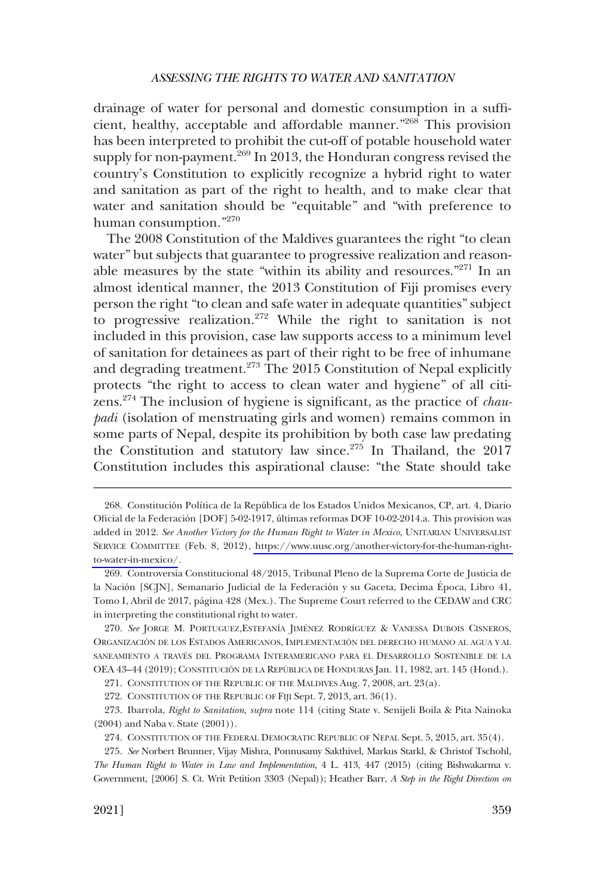drainage of water for personal and domestic consumption in a sufficient, healthy, acceptable and affordable manner."<sup>268</sup> This provision has been interpreted to prohibit the cut-off of potable household water supply for non-payment. $^{269}$  In 2013, the Honduran congress revised the country's Constitution to explicitly recognize a hybrid right to water and sanitation as part of the right to health, and to make clear that water and sanitation should be "equitable" and "with preference to human consumption."270

The 2008 Constitution of the Maldives guarantees the right "to clean water" but subjects that guarantee to progressive realization and reasonable measures by the state "within its ability and resources."271 In an almost identical manner, the 2013 Constitution of Fiji promises every person the right "to clean and safe water in adequate quantities" subject to progressive realization.<sup>272</sup> While the right to sanitation is not included in this provision, case law supports access to a minimum level of sanitation for detainees as part of their right to be free of inhumane and degrading treatment.<sup>273</sup> The 2015 Constitution of Nepal explicitly protects "the right to access to clean water and hygiene" of all citizens.274 The inclusion of hygiene is significant, as the practice of *chaupadi* (isolation of menstruating girls and women) remains common in some parts of Nepal, despite its prohibition by both case law predating the Constitution and statutory law since.<sup>275</sup> In Thailand, the 2017 Constitution includes this aspirational clause: "the State should take

272. CONSTITUTION OF THE REPUBLIC OF FIJI Sept. 7, 2013, art. 36(1).

<sup>268.</sup> Constitución Política de la República de los Estados Unidos Mexicanos, CP, art. 4, Diario Oficial de la Federación [DOF] 5-02-1917, últimas reformas DOF 10-02-2014.a. This provision was added in 2012. *See Another Victory for the Human Right to Water in Mexico*, UNITARIAN UNIVERSALIST SERVICE COMMITTEE (Feb. 8, 2012), [https://www.uusc.org/another-victory-for-the-human-right](https://www.uusc.org/another-victory-for-the-human-right-to-water-in-mexico/)[to-water-in-mexico/](https://www.uusc.org/another-victory-for-the-human-right-to-water-in-mexico/).

Controversia Constitucional 48/2015, Tribunal Pleno de la Suprema Corte de Justicia de 269. la Nación [SCJN], Semanario Judicial de la Federación y su Gaceta, Decima Época, Libro 41, Tomo I, Abril de 2017, página 428 (Mex.). The Supreme Court referred to the CEDAW and CRC in interpreting the constitutional right to water.

<sup>270.</sup> See JORGE M. PORTUGUEZ, ESTEFANÍA JIMÉNEZ RODRÍGUEZ & VANESSA DUBOIS CISNEROS, ORGANIZACIÓN DE LOS ESTADOS AMERICANOS, IMPLEMENTACIÓN DEL DERECHO HUMANO AL AGUA Y AL SANEAMIENTO A TRAVÉS DEL PROGRAMA INTERAMERICANO PARA EL DESARROLLO SOSTENIBLE DE LA OEA 43–44 (2019); CONSTITUCIÓN DE LA REPÚBLICA DE HONDURAS Jan. 11, 1982, art. 145 (Hond.).

<sup>271.</sup> CONSTITUTION OF THE REPUBLIC OF THE MALDIVES Aug. 7, 2008, art. 23(a).

<sup>273.</sup> Ibarrola, *Right to Sanitation*, *supra* note 114 (citing State v. Senijeli Boila & Pita Nainoka (2004) and Naba v. State (2001)).

<sup>274.</sup> CONSTITUTION OF THE FEDERAL DEMOCRATIC REPUBLIC OF NEPAL Sept. 5, 2015, art. 35(4).

*See* Norbert Brunner, Vijay Mishra, Ponnusamy Sakthivel, Markus Starkl, & Christof Tschohl, 275. *The Human Right to Water in Law and Implementation*, 4 L. 413, 447 (2015) (citing Bishwakarma v. Government, [2006] S. Ct. Writ Petition 3303 (Nepal)); Heather Barr, *A Step in the Right Direction on*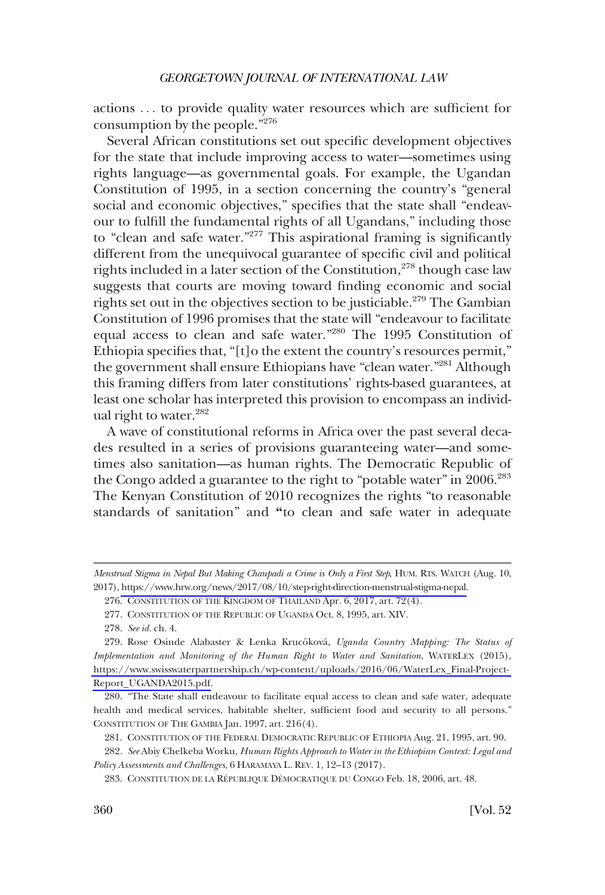actions . . . to provide quality water resources which are sufficient for consumption by the people."<sup>276</sup>

Several African constitutions set out specific development objectives for the state that include improving access to water—sometimes using rights language—as governmental goals. For example, the Ugandan Constitution of 1995, in a section concerning the country's "general social and economic objectives," specifies that the state shall "endeavour to fulfill the fundamental rights of all Ugandans," including those to "clean and safe water."277 This aspirational framing is significantly different from the unequivocal guarantee of specific civil and political rights included in a later section of the Constitution,  $278$  though case law suggests that courts are moving toward finding economic and social rights set out in the objectives section to be justiciable.<sup>279</sup> The Gambian Constitution of 1996 promises that the state will "endeavour to facilitate equal access to clean and safe water."280 The 1995 Constitution of Ethiopia specifies that, "[t]o the extent the country's resources permit," the government shall ensure Ethiopians have "clean water."<sup>281</sup> Although this framing differs from later constitutions' rights-based guarantees, at least one scholar has interpreted this provision to encompass an individual right to water.<sup>282</sup>

A wave of constitutional reforms in Africa over the past several decades resulted in a series of provisions guaranteeing water—and sometimes also sanitation—as human rights. The Democratic Republic of the Congo added a guarantee to the right to "potable water" in 2006.<sup>283</sup> The Kenyan Constitution of 2010 recognizes the rights "to reasonable standards of sanitation" and **"**to clean and safe water in adequate

*Menstrual Stigma in Nepal But Making Chaupadi a Crime is Only a First Step*, HUM. RTS. WATCH (Aug. 10, 2017), [https://www.hrw.org/news/2017/08/10/step-right-direction-menstrual-stigma-nepal.](https://www.hrw.org/news/2017/08/10/step-right-direction-menstrual-stigma-nepal)

<sup>276.</sup> CONSTITUTION OF THE KINGDOM OF THAILAND Apr. 6, 2017, art. 72(4).

<sup>277.</sup> CONSTITUTION OF THE REPUBLIC OF UGANDA Oct. 8, 1995, art. XIV.

<sup>278.</sup> *See id.* ch. 4.

<sup>279.</sup> Rose Osinde Alabaster & Lenka Krucõková, *Uganda Country Mapping: The Status of Implementation and Monitoring of the Human Right to Water and Sanitation*, WATERLEX (2015), [https://www.swisswaterpartnership.ch/wp-content/uploads/2016/06/WaterLex\\_Final-Project-](https://www.swisswaterpartnership.ch/wp-content/uploads/2016/06/WaterLex_Final-Project-Report_UGANDA2015.pdf)[Report\\_UGANDA2015.pdf](https://www.swisswaterpartnership.ch/wp-content/uploads/2016/06/WaterLex_Final-Project-Report_UGANDA2015.pdf).

<sup>280. &</sup>quot;The State shall endeavour to facilitate equal access to clean and safe water, adequate health and medical services, habitable shelter, sufficient food and security to all persons." CONSTITUTION OF THE GAMBIA Jan. 1997, art. 216(4).

<sup>281.</sup> CONSTITUTION OF THE FEDERAL DEMOCRATIC REPUBLIC OF ETHIOPIA Aug. 21, 1995, art. 90.

<sup>282.</sup> *See* Abiy Chelkeba Worku, *Human Rights Approach to Water in the Ethiopian Context: Legal and Policy Assessments and Challenges*, 6 HARAMAYA L. REV. 1, 12–13 (2017).

<sup>283.</sup> CONSTITUTION DE LA RÉPUBLIQUE DÉMOCRATIQUE DU CONGO Feb. 18, 2006, art. 48.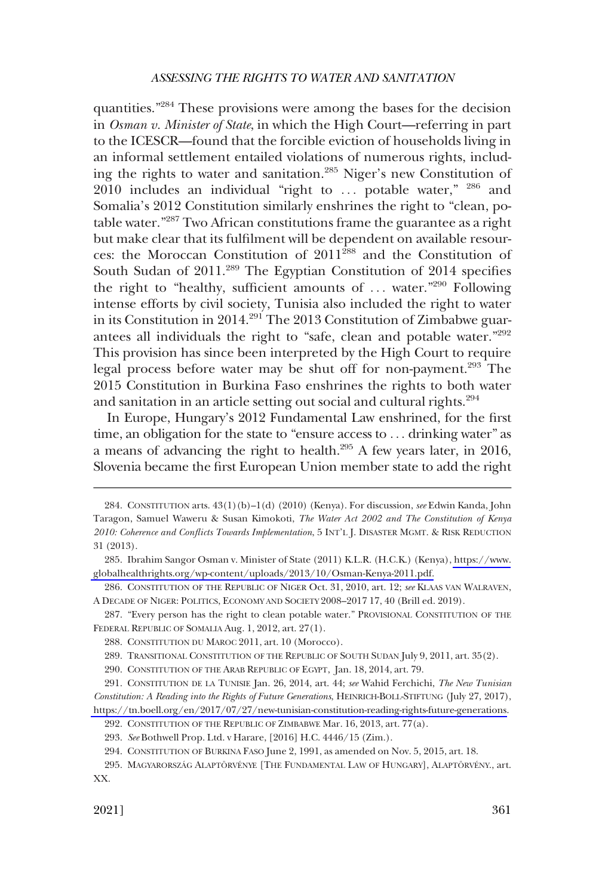quantities."284 These provisions were among the bases for the decision in *Osman v. Minister of State*, in which the High Court—referring in part to the ICESCR—found that the forcible eviction of households living in an informal settlement entailed violations of numerous rights, including the rights to water and sanitation.<sup>285</sup> Niger's new Constitution of 2010 includes an individual "right to  $\ldots$  potable water,"  $^{286}$  and Somalia's 2012 Constitution similarly enshrines the right to "clean, potable water."287 Two African constitutions frame the guarantee as a right but make clear that its fulfilment will be dependent on available resources: the Moroccan Constitution of 2011<sup>288</sup> and the Constitution of South Sudan of 2011.<sup>289</sup> The Egyptian Constitution of 2014 specifies the right to "healthy, sufficient amounts of  $\ldots$  water."<sup>290</sup> Following intense efforts by civil society, Tunisia also included the right to water in its Constitution in 2014.<sup>291</sup> The 2013 Constitution of Zimbabwe guarantees all individuals the right to "safe, clean and potable water."292 This provision has since been interpreted by the High Court to require legal process before water may be shut off for non-payment.<sup>293</sup> The 2015 Constitution in Burkina Faso enshrines the rights to both water and sanitation in an article setting out social and cultural rights.<sup>294</sup>

In Europe, Hungary's 2012 Fundamental Law enshrined, for the first time, an obligation for the state to "ensure access to . . . drinking water" as a means of advancing the right to health.295 A few years later, in 2016, Slovenia became the first European Union member state to add the right

<sup>284.</sup> CONSTITUTION arts. 43(1)(b)–1(d) (2010) (Kenya). For discussion, *see* Edwin Kanda, John Taragon, Samuel Waweru & Susan Kimokoti, *The Water Act 2002 and The Constitution of Kenya 2010: Coherence and Conflicts Towards Implementation*, 5 INT'L J. DISASTER MGMT. & RISK REDUCTION 31 (2013).

<sup>285.</sup> Ibrahim Sangor Osman v. Minister of State (2011) K.L.R. (H.C.K.) (Kenya), [https://www.](https://www.globalhealthrights.org/wp-content/uploads/2013/10/Osman-Kenya-2011.pdf) [globalhealthrights.org/wp-content/uploads/2013/10/Osman-Kenya-2011.pdf.](https://www.globalhealthrights.org/wp-content/uploads/2013/10/Osman-Kenya-2011.pdf)

<sup>286.</sup> CONSTITUTION OF THE REPUBLIC OF NIGER Oct. 31, 2010, art. 12; *see* KLAAS VAN WALRAVEN, A DECADE OF NIGER: POLITICS, ECONOMY AND SOCIETY 2008–2017 17, 40 (Brill ed. 2019).

<sup>287. &</sup>quot;Every person has the right to clean potable water." PROVISIONAL CONSTITUTION OF THE FEDERAL REPUBLIC OF SOMALIA Aug. 1, 2012, art. 27(1).

<sup>288.</sup> CONSTITUTION DU MAROC 2011, art. 10 (Morocco).

<sup>289.</sup> TRANSITIONAL CONSTITUTION OF THE REPUBLIC OF SOUTH SUDAN July 9, 2011, art. 35(2).

<sup>290.</sup> CONSTITUTION OF THE ARAB REPUBLIC OF EGYPT, Jan. 18, 2014, art. 79.

CONSTITUTION DE LA TUNISIE Jan. 26, 2014, art. 44; *see* Wahid Ferchichi, *The New Tunisian*  291. *Constitution: A Reading into the Rights of Future Generations*, HEINRICH-BOLL-STIFTUNG (July 27, 2017), [https://tn.boell.org/en/2017/07/27/new-tunisian-constitution-reading-rights-future-generations.](https://tn.boell.org/en/2017/07/27/new-tunisian-constitution-reading-rights-future-generations)

<sup>292.</sup> CONSTITUTION OF THE REPUBLIC OF ZIMBABWE Mar. 16, 2013, art. 77(a).

<sup>293.</sup> *See* Bothwell Prop. Ltd. v Harare, [2016] H.C. 4446/15 (Zim.).

<sup>294.</sup> CONSTITUTION OF BURKINA FASO June 2, 1991, as amended on Nov. 5, 2015, art. 18.

<sup>295.</sup> MAGYARORSZÁG ALAPTÖRVÉNYE [THE FUNDAMENTAL LAW OF HUNGARY], ALAPTÖRVÉNY., art. XX.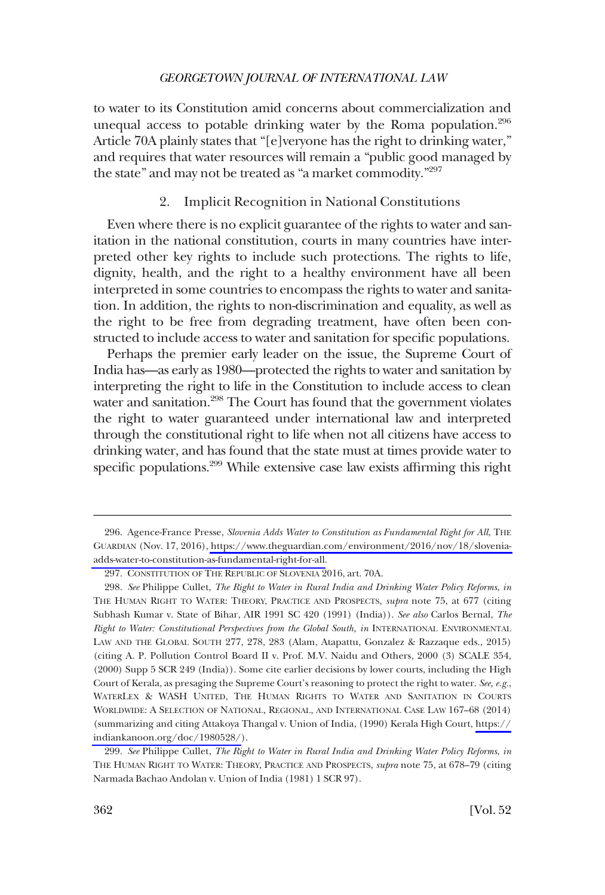<span id="page-47-0"></span>to water to its Constitution amid concerns about commercialization and unequal access to potable drinking water by the Roma population. $296$ Article 70A plainly states that "[e]veryone has the right to drinking water," and requires that water resources will remain a "public good managed by the state" and may not be treated as "a market commodity."<sup>297</sup>

### 2. Implicit Recognition in National Constitutions

Even where there is no explicit guarantee of the rights to water and sanitation in the national constitution, courts in many countries have interpreted other key rights to include such protections. The rights to life, dignity, health, and the right to a healthy environment have all been interpreted in some countries to encompass the rights to water and sanitation. In addition, the rights to non-discrimination and equality, as well as the right to be free from degrading treatment, have often been constructed to include access to water and sanitation for specific populations.

Perhaps the premier early leader on the issue, the Supreme Court of India has—as early as 1980—protected the rights to water and sanitation by interpreting the right to life in the Constitution to include access to clean water and sanitation.<sup>298</sup> The Court has found that the government violates the right to water guaranteed under international law and interpreted through the constitutional right to life when not all citizens have access to drinking water, and has found that the state must at times provide water to specific populations.<sup>299</sup> While extensive case law exists affirming this right

<sup>296.</sup> Agence-France Presse, Slovenia Adds Water to Constitution as Fundamental Right for All, THE GUARDIAN (Nov. 17, 2016), [https://www.theguardian.com/environment/2016/nov/18/slovenia](https://www.theguardian.com/environment/2016/nov/18/slovenia-adds-water-to-constitution-as-fundamental-right-for-all)[adds-water-to-constitution-as-fundamental-right-for-all.](https://www.theguardian.com/environment/2016/nov/18/slovenia-adds-water-to-constitution-as-fundamental-right-for-all)

<sup>297.</sup> CONSTITUTION OF THE REPUBLIC OF SLOVENIA 2016, art. 70A.

*See* Philippe Cullet, *The Right to Water in Rural India and Drinking Water Policy Reforms*, *in*  298. THE HUMAN RIGHT TO WATER: THEORY, PRACTICE AND PROSPECTS, *supra* note 75, at 677 (citing Subhash Kumar v. State of Bihar, AIR 1991 SC 420 (1991) (India)). *See also* Carlos Bernal, *The Right to Water: Constitutional Perspectives from the Global South, in INTERNATIONAL ENVIRONMENTAL* LAW AND THE GLOBAL SOUTH 277, 278, 283 (Alam, Atapattu, Gonzalez & Razzaque eds., 2015) (citing A. P. Pollution Control Board II v. Prof. M.V. Naidu and Others, 2000 (3) SCALE 354, (2000) Supp 5 SCR 249 (India)). Some cite earlier decisions by lower courts, including the High Court of Kerala, as presaging the Supreme Court's reasoning to protect the right to water. *See, e.g.*, WATERLEX & WASH UNITED, THE HUMAN RIGHTS TO WATER AND SANITATION IN COURTS WORLDWIDE: A SELECTION OF NATIONAL, REGIONAL, AND INTERNATIONAL CASE LAW 167–68 (2014) (summarizing and citing Attakoya Thangal v. Union of India, (1990) Kerala High Court, [https://](https://indiankanoon.org/doc/1980528/)  [indiankanoon.org/doc/1980528/\)](https://indiankanoon.org/doc/1980528/).

<sup>299.</sup> *See* Philippe Cullet, *The Right to Water in Rural India and Drinking Water Policy Reforms*, *in*  THE HUMAN RIGHT TO WATER: THEORY, PRACTICE AND PROSPECTS, *supra* note 75, at 678–79 (citing Narmada Bachao Andolan v. Union of India (1981) 1 SCR 97).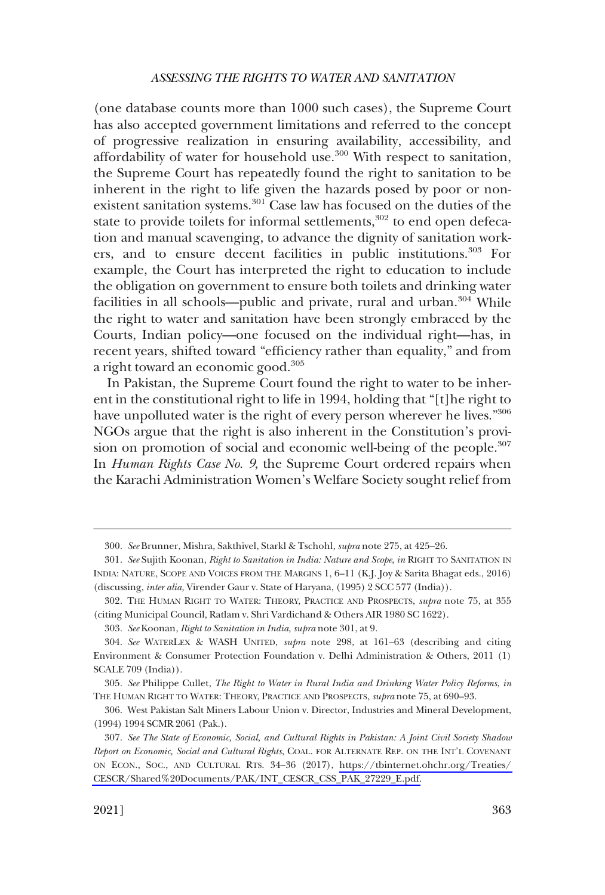(one database counts more than 1000 such cases), the Supreme Court has also accepted government limitations and referred to the concept of progressive realization in ensuring availability, accessibility, and affordability of water for household use. $300$  With respect to sanitation, the Supreme Court has repeatedly found the right to sanitation to be inherent in the right to life given the hazards posed by poor or nonexistent sanitation systems.<sup>301</sup> Case law has focused on the duties of the state to provide toilets for informal settlements, $302$  to end open defecation and manual scavenging, to advance the dignity of sanitation workers, and to ensure decent facilities in public institutions.<sup>303</sup> For example, the Court has interpreted the right to education to include the obligation on government to ensure both toilets and drinking water facilities in all schools—public and private, rural and urban. $304$  While the right to water and sanitation have been strongly embraced by the Courts, Indian policy—one focused on the individual right—has, in recent years, shifted toward "efficiency rather than equality," and from a right toward an economic good.<sup>305</sup>

In Pakistan, the Supreme Court found the right to water to be inherent in the constitutional right to life in 1994, holding that "[t]he right to have unpolluted water is the right of every person wherever he lives."<sup>306</sup> NGOs argue that the right is also inherent in the Constitution's provision on promotion of social and economic well-being of the people.<sup>307</sup> In *Human Rights Case No. 9*, the Supreme Court ordered repairs when the Karachi Administration Women's Welfare Society sought relief from

<sup>300.</sup> *See* Brunner, Mishra, Sakthivel, Starkl & Tschohl, *supra* note 275, at 425–26.

<sup>301.</sup> *See* Sujith Koonan, *Right to Sanitation in India: Nature and Scope*, *in* RIGHT TO SANITATION IN INDIA: NATURE, SCOPE AND VOICES FROM THE MARGINS 1, 6–11 (K.J. Joy & Sarita Bhagat eds., 2016) (discussing, *inter alia,* Virender Gaur v. State of Haryana, (1995) 2 SCC 577 (India)).

<sup>302.</sup> THE HUMAN RIGHT TO WATER: THEORY, PRACTICE AND PROSPECTS, *supra* note 75, at 355 (citing Municipal Council, Ratlam v. Shri Vardichand & Others AIR 1980 SC 1622).

<sup>303.</sup> *See* Koonan, *Right to Sanitation in India*, *supra* note 301, at 9.

<sup>304.</sup> *See* WATERLEX & WASH UNITED, *supra* note 298, at 161–63 (describing and citing Environment & Consumer Protection Foundation v. Delhi Administration & Others, 2011 (1) SCALE 709 (India)).

<sup>305.</sup> *See* Philippe Cullet, *The Right to Water in Rural India and Drinking Water Policy Reforms*, *in*  THE HUMAN RIGHT TO WATER: THEORY, PRACTICE AND PROSPECTS, *supra* note 75, at 690–93.

<sup>306.</sup> West Pakistan Salt Miners Labour Union v. Director, Industries and Mineral Development, (1994) 1994 SCMR 2061 (Pak.).

*See The State of Economic, Social, and Cultural Rights in Pakistan: A Joint Civil Society Shadow*  307. *Report on Economic, Social and Cultural Rights*, COAL. FOR ALTERNATE REP. ON THE INT'L COVENANT ON ECON., SOC., AND CULTURAL RTS. 34–36 (2017), [https://tbinternet.ohchr.org/Treaties/](https://tbinternet.ohchr.org/Treaties/CESCR/Shared%20Documents/PAK/INT_CESCR_CSS_PAK_27229_E.pdf)  [CESCR/Shared%20Documents/PAK/INT\\_CESCR\\_CSS\\_PAK\\_27229\\_E.pdf.](https://tbinternet.ohchr.org/Treaties/CESCR/Shared%20Documents/PAK/INT_CESCR_CSS_PAK_27229_E.pdf)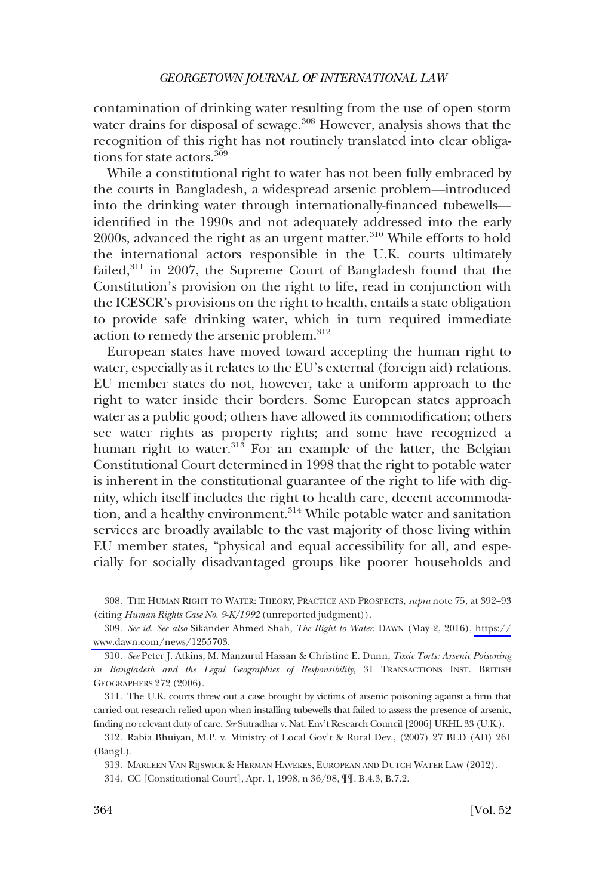contamination of drinking water resulting from the use of open storm water drains for disposal of sewage.<sup>308</sup> However, analysis shows that the recognition of this right has not routinely translated into clear obligations for state actors.<sup>309</sup>

While a constitutional right to water has not been fully embraced by the courts in Bangladesh, a widespread arsenic problem—introduced into the drinking water through internationally-financed tubewells identified in the 1990s and not adequately addressed into the early 2000s, advanced the right as an urgent matter.<sup>310</sup> While efforts to hold the international actors responsible in the U.K. courts ultimately failed, $311$  in 2007, the Supreme Court of Bangladesh found that the Constitution's provision on the right to life, read in conjunction with the ICESCR's provisions on the right to health, entails a state obligation to provide safe drinking water, which in turn required immediate action to remedy the arsenic problem.<sup>312</sup>

European states have moved toward accepting the human right to water, especially as it relates to the EU's external (foreign aid) relations. EU member states do not, however, take a uniform approach to the right to water inside their borders. Some European states approach water as a public good; others have allowed its commodification; others see water rights as property rights; and some have recognized a human right to water.<sup>313</sup> For an example of the latter, the Belgian Constitutional Court determined in 1998 that the right to potable water is inherent in the constitutional guarantee of the right to life with dignity, which itself includes the right to health care, decent accommodation, and a healthy environment.<sup>314</sup> While potable water and sanitation services are broadly available to the vast majority of those living within EU member states, "physical and equal accessibility for all, and especially for socially disadvantaged groups like poorer households and

<sup>308.</sup> THE HUMAN RIGHT TO WATER: THEORY, PRACTICE AND PROSPECTS, *supra* note 75, at 392–93 (citing *Human Rights Case No. 9-K/1992* (unreported judgment)).

*See id. See also* Sikander Ahmed Shah, *The Right to Water*, DAWN (May 2, 2016), [https://](https://www.dawn.com/news/1255703) 309. [www.dawn.com/news/1255703.](https://www.dawn.com/news/1255703)

<sup>310.</sup> *See* Peter J. Atkins, M. Manzurul Hassan & Christine E. Dunn, *Toxic Torts: Arsenic Poisoning in Bangladesh and the Legal Geographies of Responsibility*, 31 TRANSACTIONS INST. BRITISH GEOGRAPHERS 272 (2006).

<sup>311.</sup> The U.K. courts threw out a case brought by victims of arsenic poisoning against a firm that carried out research relied upon when installing tubewells that failed to assess the presence of arsenic, finding no relevant duty of care. *See* Sutradhar v. Nat. Env't Research Council [2006] UKHL 33 (U.K.).

<sup>312.</sup> Rabia Bhuiyan, M.P. v. Ministry of Local Gov't & Rural Dev., (2007) 27 BLD (AD) 261 (Bangl.).

<sup>313.</sup> MARLEEN VAN RIJSWICK & HERMAN HAVEKES, EUROPEAN AND DUTCH WATER LAW (2012).

<sup>314.</sup> CC [Constitutional Court], Apr. 1, 1998, n 36/98, ¶¶. B.4.3, B.7.2.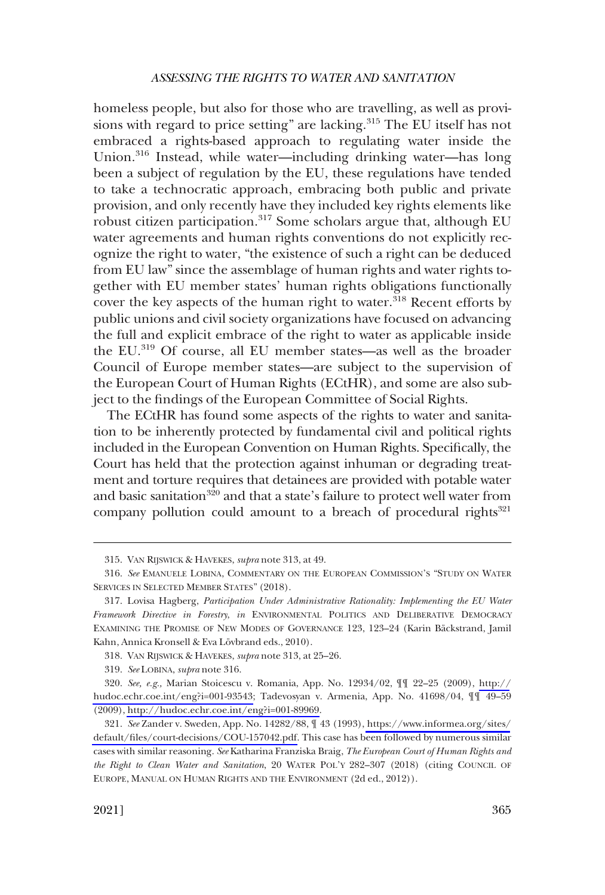homeless people, but also for those who are travelling, as well as provisions with regard to price setting" are lacking.<sup>315</sup> The EU itself has not embraced a rights-based approach to regulating water inside the Union.<sup>316</sup> Instead, while water—including drinking water—has long been a subject of regulation by the EU, these regulations have tended to take a technocratic approach, embracing both public and private provision, and only recently have they included key rights elements like robust citizen participation.<sup>317</sup> Some scholars argue that, although EU water agreements and human rights conventions do not explicitly recognize the right to water, "the existence of such a right can be deduced from EU law" since the assemblage of human rights and water rights together with EU member states' human rights obligations functionally cover the key aspects of the human right to water.<sup>318</sup> Recent efforts by public unions and civil society organizations have focused on advancing the full and explicit embrace of the right to water as applicable inside the EU.319 Of course, all EU member states—as well as the broader Council of Europe member states—are subject to the supervision of the European Court of Human Rights (ECtHR), and some are also subject to the findings of the European Committee of Social Rights.

The ECtHR has found some aspects of the rights to water and sanitation to be inherently protected by fundamental civil and political rights included in the European Convention on Human Rights. Specifically, the Court has held that the protection against inhuman or degrading treatment and torture requires that detainees are provided with potable water and basic sanitation<sup>320</sup> and that a state's failure to protect well water from company pollution could amount to a breach of procedural rights $321$ 

<sup>315.</sup> VAN RIJSWICK & HAVEKES, *supra* note 313, at 49.

<sup>316.</sup> *See* EMANUELE LOBINA, COMMENTARY ON THE EUROPEAN COMMISSION'S "STUDY ON WATER SERVICES IN SELECTED MEMBER STATES" (2018).

<sup>317.</sup> Lovisa Hagberg, *Participation Under Administrative Rationality: Implementing the EU Water Framework Directive in Forestry*, *in* ENVIRONMENTAL POLITICS AND DELIBERATIVE DEMOCRACY EXAMINING THE PROMISE OF NEW MODES OF GOVERNANCE 123, 123-24 (Karin Bäckstrand, Jamil Kahn, Annica Kronsell & Eva Lövbrand eds., 2010).

<sup>318.</sup> VAN RIJSWICK & HAVEKES, *supra* note 313, at 25–26.

<sup>319.</sup> *See* LOBINA, *supra* note 316.

*See, e.g.,* Marian Stoicescu v. Romania, App. No. 12934/02, ¶¶ 22–25 (2009), [http://](http://hudoc.echr.coe.int/eng?i=001-93543) 320. [hudoc.echr.coe.int/eng?i=001-93543;](http://hudoc.echr.coe.int/eng?i=001-93543) Tadevosyan v. Armenia, App. No. 41698/04, ¶¶ 49–59 (2009), [http://hudoc.echr.coe.int/eng?i=001-89969.](http://hudoc.echr.coe.int/eng?i=001-89969)

<sup>321.</sup>  *See* Zander v. Sweden, App. No. 14282/88, ¶ 43 (1993), [https://www.informea.org/sites/](https://www.informea.org/sites/default/files/court-decisions/COU-157042.pdf) [default/files/court-decisions/COU-157042.pdf.](https://www.informea.org/sites/default/files/court-decisions/COU-157042.pdf) This case has been followed by numerous similar cases with similar reasoning. *See* Katharina Franziska Braig, *The European Court of Human Rights and the Right to Clean Water and Sanitation*, 20 WATER POL'Y 282–307 (2018) (citing COUNCIL OF EUROPE, MANUAL ON HUMAN RIGHTS AND THE ENVIRONMENT (2d ed., 2012)).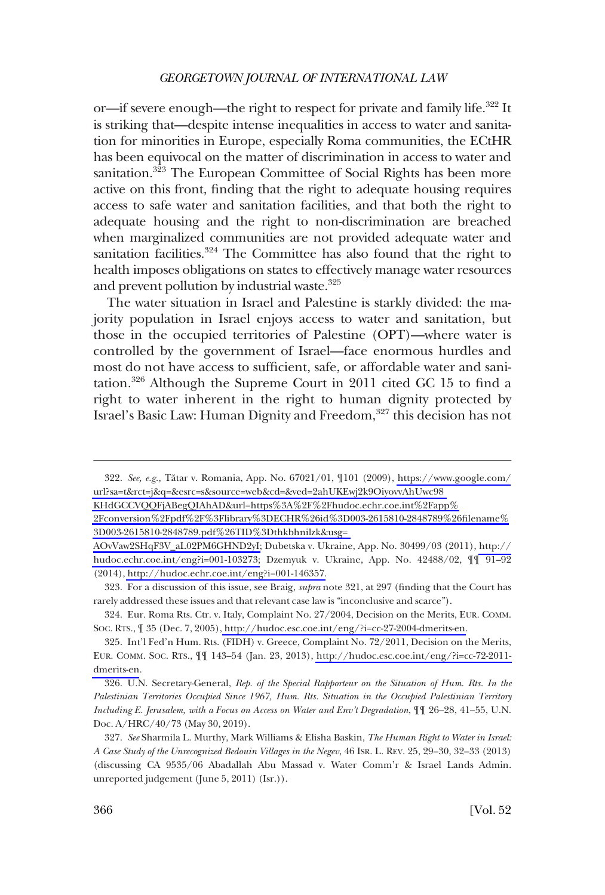or—if severe enough—the right to respect for private and family life.<sup>322</sup> It is striking that—despite intense inequalities in access to water and sanitation for minorities in Europe, especially Roma communities, the ECtHR has been equivocal on the matter of discrimination in access to water and sanitation.<sup>323</sup> The European Committee of Social Rights has been more active on this front, finding that the right to adequate housing requires access to safe water and sanitation facilities, and that both the right to adequate housing and the right to non-discrimination are breached when marginalized communities are not provided adequate water and sanitation facilities.<sup>324</sup> The Committee has also found that the right to health imposes obligations on states to effectively manage water resources and prevent pollution by industrial waste.<sup>325</sup>

The water situation in Israel and Palestine is starkly divided: the majority population in Israel enjoys access to water and sanitation, but those in the occupied territories of Palestine (OPT)—where water is controlled by the government of Israel—face enormous hurdles and most do not have access to sufficient, safe, or affordable water and sanitation.326 Although the Supreme Court in 2011 cited GC 15 to find a right to water inherent in the right to human dignity protected by Israel's Basic Law: Human Dignity and Freedom,<sup>327</sup> this decision has not

[KHdGCCVQQFjABegQIAhAD&url=https%3A%2F%2Fhudoc.echr.coe.int%2Fapp%](https://www.google.com/url?sa=t&rct=j&q=&esrc=s&source=web&cd=&ved=2ahUKEwj2k9OiyovvAhUwc98KHdGCCVQQFjABegQIAhAD&url=https%3A%2F%2Fhudoc.echr.coe.int%2Fapp%2Fconversion%2Fpdf%2F%3Flibrary%3DECHR%26id%3D003-2615810-2848789%26filename%3D003-2615810-2848789.pdf%26TID%3Dthkbhnilzk&usg=AOvVaw2SHqF3V_aL02PM6GHND2yI) 

<sup>322.</sup> See, e.g., Tătar v. Romania, App. No. 67021/01,  $\P$ 101 (2009), [https://www.google.com/](https://www.google.com/url?sa=t&rct=j&q=&esrc=s&source=web&cd=&ved=2ahUKEwj2k9OiyovvAhUwc98KHdGCCVQQFjABegQIAhAD&url=https%3A%2F%2Fhudoc.echr.coe.int%2Fapp%2Fconversion%2Fpdf%2F%3Flibrary%3DECHR%26id%3D003-2615810-2848789%26filename%3D003-2615810-2848789.pdf%26TID%3Dthkbhnilzk&usg=AOvVaw2SHqF3V_aL02PM6GHND2yI) [url?sa=t&rct=j&q=&esrc=s&source=web&cd=&ved=2ahUKEwj2k9OiyovvAhUwc98](https://www.google.com/url?sa=t&rct=j&q=&esrc=s&source=web&cd=&ved=2ahUKEwj2k9OiyovvAhUwc98KHdGCCVQQFjABegQIAhAD&url=https%3A%2F%2Fhudoc.echr.coe.int%2Fapp%2Fconversion%2Fpdf%2F%3Flibrary%3DECHR%26id%3D003-2615810-2848789%26filename%3D003-2615810-2848789.pdf%26TID%3Dthkbhnilzk&usg=AOvVaw2SHqF3V_aL02PM6GHND2yI) 

[<sup>2</sup>Fconversion%2Fpdf%2F%3Flibrary%3DECHR%26id%3D003-2615810-2848789%26filename%](https://www.google.com/url?sa=t&rct=j&q=&esrc=s&source=web&cd=&ved=2ahUKEwj2k9OiyovvAhUwc98KHdGCCVQQFjABegQIAhAD&url=https%3A%2F%2Fhudoc.echr.coe.int%2Fapp%2Fconversion%2Fpdf%2F%3Flibrary%3DECHR%26id%3D003-2615810-2848789%26filename%3D003-2615810-2848789.pdf%26TID%3Dthkbhnilzk&usg=AOvVaw2SHqF3V_aL02PM6GHND2yI) [3D003-2615810-2848789.pdf%26TID%3Dthkbhnilzk&usg=](https://www.google.com/url?sa=t&rct=j&q=&esrc=s&source=web&cd=&ved=2ahUKEwj2k9OiyovvAhUwc98KHdGCCVQQFjABegQIAhAD&url=https%3A%2F%2Fhudoc.echr.coe.int%2Fapp%2Fconversion%2Fpdf%2F%3Flibrary%3DECHR%26id%3D003-2615810-2848789%26filename%3D003-2615810-2848789.pdf%26TID%3Dthkbhnilzk&usg=AOvVaw2SHqF3V_aL02PM6GHND2yI) 

[AOvVaw2SHqF3V\\_aL02PM6GHND2yI;](https://www.google.com/url?sa=t&rct=j&q=&esrc=s&source=web&cd=&ved=2ahUKEwj2k9OiyovvAhUwc98KHdGCCVQQFjABegQIAhAD&url=https%3A%2F%2Fhudoc.echr.coe.int%2Fapp%2Fconversion%2Fpdf%2F%3Flibrary%3DECHR%26id%3D003-2615810-2848789%26filename%3D003-2615810-2848789.pdf%26TID%3Dthkbhnilzk&usg=AOvVaw2SHqF3V_aL02PM6GHND2yI) Dubetska v. Ukraine, App. No. 30499/03 (2011), [http://](http://hudoc.echr.coe.int/eng?i=001-103273) [hudoc.echr.coe.int/eng?i=001-103273;](http://hudoc.echr.coe.int/eng?i=001-103273) Dzemyuk v. Ukraine, App. No. 42488/02, ¶¶ 91–92 (2014), [http://hudoc.echr.coe.int/eng?i=001-146357.](http://hudoc.echr.coe.int/eng?i=001-146357)

<sup>323.</sup> For a discussion of this issue, see Braig, *supra* note 321, at 297 (finding that the Court has rarely addressed these issues and that relevant case law is "inconclusive and scarce").

<sup>324.</sup> Eur. Roma Rts. Ctr. v. Italy, Complaint No. 27/2004, Decision on the Merits, EUR. COMM. SOC. RTS., ¶ 35 (Dec. 7, 2005),<http://hudoc.esc.coe.int/eng/?i=cc-27-2004-dmerits-en>.

<sup>325.</sup> Int'l Fed'n Hum. Rts. (FIDH) v. Greece, Complaint No. 72/2011, Decision on the Merits, EUR. COMM. SOC. RTS., ¶¶ 143–54 (Jan. 23, 2013), [http://hudoc.esc.coe.int/eng/?i=cc-72-2011](http://hudoc.esc.coe.int/eng/?i=cc-72-2011-dmerits-en) [dmerits-en](http://hudoc.esc.coe.int/eng/?i=cc-72-2011-dmerits-en).

<sup>326.</sup> U.N. Secretary-General, *Rep. of the Special Rapporteur on the Situation of Hum. Rts. In the Palestinian Territories Occupied Since 1967, Hum. Rts. Situation in the Occupied Palestinian Territory Including E. Jerusalem, with a Focus on Access on Water and Env't Degradation*, ¶¶ 26–28, 41–55, U.N. Doc. A/HRC/40/73 (May 30, 2019).

<sup>327.</sup> *See* Sharmila L. Murthy, Mark Williams & Elisha Baskin, *The Human Right to Water in Israel: A Case Study of the Unrecognized Bedouin Villages in the Negev*, 46 ISR. L. REV. 25, 29–30, 32–33 (2013) (discussing CA 9535/06 Abadallah Abu Massad v. Water Comm'r & Israel Lands Admin. unreported judgement (June 5, 2011) (Isr.)).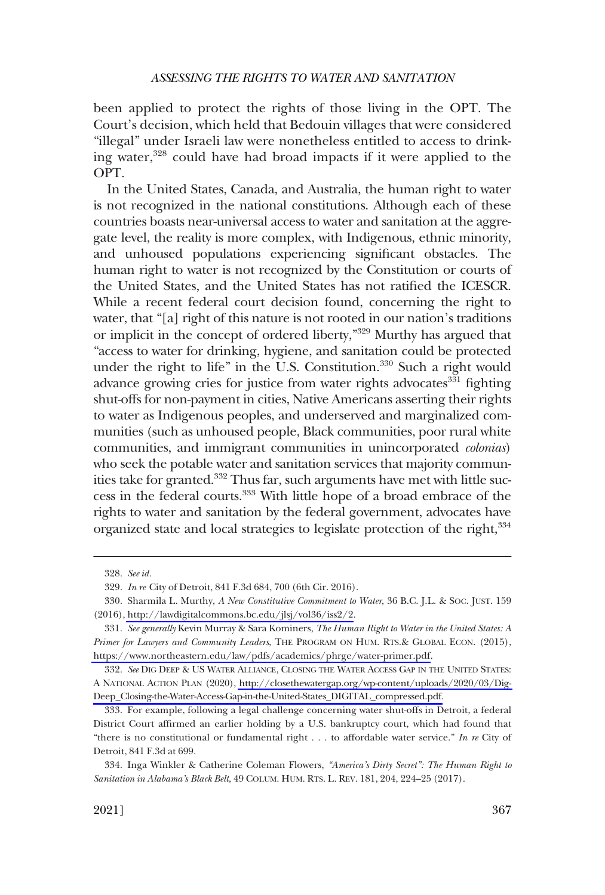been applied to protect the rights of those living in the OPT. The Court's decision, which held that Bedouin villages that were considered "illegal" under Israeli law were nonetheless entitled to access to drinking water,328 could have had broad impacts if it were applied to the OPT.

In the United States, Canada, and Australia, the human right to water is not recognized in the national constitutions. Although each of these countries boasts near-universal access to water and sanitation at the aggregate level, the reality is more complex, with Indigenous, ethnic minority, and unhoused populations experiencing significant obstacles. The human right to water is not recognized by the Constitution or courts of the United States, and the United States has not ratified the ICESCR. While a recent federal court decision found, concerning the right to water, that "[a] right of this nature is not rooted in our nation's traditions or implicit in the concept of ordered liberty,"329 Murthy has argued that "access to water for drinking, hygiene, and sanitation could be protected under the right to life" in the U.S. Constitution.<sup>330</sup> Such a right would advance growing cries for justice from water rights advocates<sup>331</sup> fighting shut-offs for non-payment in cities, Native Americans asserting their rights to water as Indigenous peoples, and underserved and marginalized communities (such as unhoused people, Black communities, poor rural white communities, and immigrant communities in unincorporated *colonias*) who seek the potable water and sanitation services that majority communities take for granted.<sup>332</sup> Thus far, such arguments have met with little success in the federal courts.<sup>333</sup> With little hope of a broad embrace of the rights to water and sanitation by the federal government, advocates have organized state and local strategies to legislate protection of the right, 334

<sup>328.</sup> *See id.* 

<sup>329.</sup> *In re* City of Detroit, 841 F.3d 684, 700 (6th Cir. 2016).

Sharmila L. Murthy, *A New Constitutive Commitment to Water*, 36 B.C. J.L. & SOC. JUST. 159 330. (2016), [http://lawdigitalcommons.bc.edu/jlsj/vol36/iss2/2.](http://lawdigitalcommons.bc.edu/jlsj/vol36/iss2/2)

*See generally* Kevin Murray & Sara Kominers, *The Human Right to Water in the United States: A*  331. *Primer for Lawyers and Community Leaders*, THE PROGRAM ON HUM. RTS.& GLOBAL ECON. (2015), [https://www.northeastern.edu/law/pdfs/academics/phrge/water-primer.pdf.](https://www.northeastern.edu/law/pdfs/academics/phrge/water-primer.pdf)

*See* DIG DEEP & US WATER ALLIANCE, CLOSING THE WATER ACCESS GAP IN THE UNITED STATES: 332. A NATIONAL ACTION PLAN (2020), [http://closethewatergap.org/wp-content/uploads/2020/03/Dig-](http://closethewatergap.org/wp-content/uploads/2020/03/Dig-Deep_Closing-the-Water-Access-Gap-in-the-United-States_DIGITAL_compressed.pdf)[Deep\\_Closing-the-Water-Access-Gap-in-the-United-States\\_DIGITAL\\_compressed.pdf.](http://closethewatergap.org/wp-content/uploads/2020/03/Dig-Deep_Closing-the-Water-Access-Gap-in-the-United-States_DIGITAL_compressed.pdf)

<sup>333.</sup> For example, following a legal challenge concerning water shut-offs in Detroit, a federal District Court affirmed an earlier holding by a U.S. bankruptcy court, which had found that "there is no constitutional or fundamental right . . . to affordable water service." *In re* City of Detroit, 841 F.3d at 699.

<sup>334.</sup> Inga Winkler & Catherine Coleman Flowers, *"America's Dirty Secret": The Human Right to Sanitation in Alabama's Black Belt*, 49 COLUM. HUM. RTS. L. REV. 181, 204, 224–25 (2017).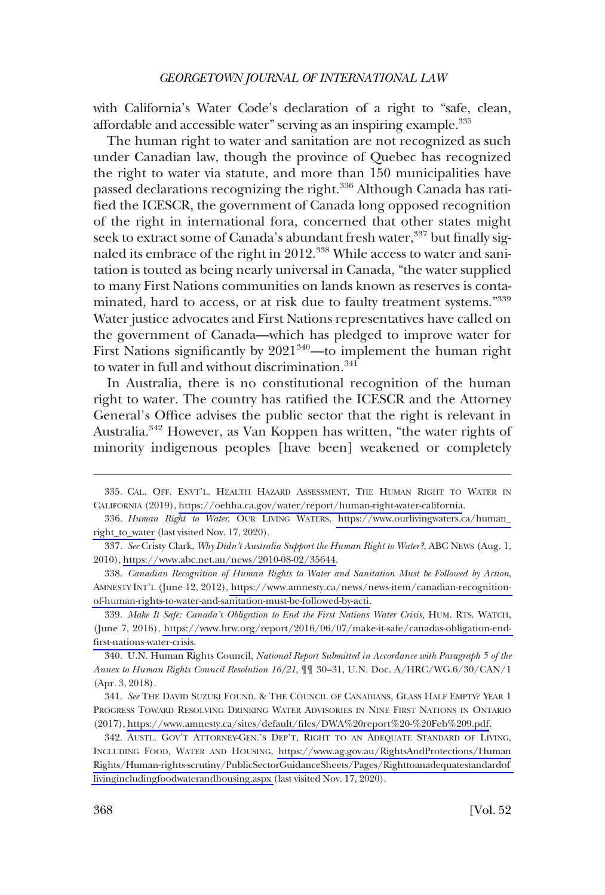with California's Water Code's declaration of a right to "safe, clean, affordable and accessible water" serving as an inspiring example.335

The human right to water and sanitation are not recognized as such under Canadian law, though the province of Quebec has recognized the right to water via statute, and more than 150 municipalities have passed declarations recognizing the right.<sup>336</sup> Although Canada has ratified the ICESCR, the government of Canada long opposed recognition of the right in international fora, concerned that other states might seek to extract some of Canada's abundant fresh water,<sup>337</sup> but finally signaled its embrace of the right in 2012.<sup>338</sup> While access to water and sanitation is touted as being nearly universal in Canada, "the water supplied to many First Nations communities on lands known as reserves is contaminated, hard to access, or at risk due to faulty treatment systems."<sup>339</sup> Water justice advocates and First Nations representatives have called on the government of Canada—which has pledged to improve water for First Nations significantly by  $2021^{340}$ —to implement the human right to water in full and without discrimination.<sup>341</sup>

In Australia, there is no constitutional recognition of the human right to water. The country has ratified the ICESCR and the Attorney General's Office advises the public sector that the right is relevant in Australia.<sup>342</sup> However, as Van Koppen has written, "the water rights of minority indigenous peoples [have been] weakened or completely

<sup>335.</sup> CAL. OFF. ENVT'L. HEALTH HAZARD ASSESSMENT, THE HUMAN RIGHT TO WATER IN CALIFORNIA (2019), <https://oehha.ca.gov/water/report/human-right-water-california>.

<sup>336.</sup> Human Right to Water, OUR LIVING WATERS, https://www.ourlivingwaters.ca/human\_ [right\\_to\\_water](https://www.ourlivingwaters.ca/human_right_to_water) (last visited Nov. 17, 2020).

*See* Cristy Clark, *Why Didn't Australia Support the Human Right to Water?*, ABC NEWS (Aug. 1, 337. 2010), [https://www.abc.net.au/news/2010-08-02/35644.](https://www.abc.net.au/news/2010-08-02/35644)

*Canadian Recognition of Human Rights to Water and Sanitation Must be Followed by Action*, 338. AMNESTY INT'L (June 12, 2012), [https://www.amnesty.ca/news/news-item/canadian-recognition](https://www.amnesty.ca/news/news-item/canadian-recognition-of-human-rights-to-water-and-sanitation-must-be-followed-by-acti)[of-human-rights-to-water-and-sanitation-must-be-followed-by-acti.](https://www.amnesty.ca/news/news-item/canadian-recognition-of-human-rights-to-water-and-sanitation-must-be-followed-by-acti)

<sup>339.</sup> Make It Safe: Canada's Obligation to End the First Nations Water Crisis, HUM. RTS. WATCH, (June 7, 2016), [https://www.hrw.org/report/2016/06/07/make-it-safe/canadas-obligation-end](https://www.hrw.org/report/2016/06/07/make-it-safe/canadas-obligation-end-first-nations-water-crisis)[first-nations-water-crisis.](https://www.hrw.org/report/2016/06/07/make-it-safe/canadas-obligation-end-first-nations-water-crisis)

<sup>340.</sup> U.N. Human Rights Council, *National Report Submitted in Accordance with Paragraph 5 of the Annex to Human Rights Council Resolution 16/21*, ¶¶ 30–31, U.N. Doc. A/HRC/WG.6/30/CAN/1 (Apr. 3, 2018).

<sup>341.</sup> See THE DAVID SUZUKI FOUND. & THE COUNCIL OF CANADIANS, GLASS HALF EMPTY? YEAR 1 PROGRESS TOWARD RESOLVING DRINKING WATER ADVISORIES IN NINE FIRST NATIONS IN ONTARIO (2017),<https://www.amnesty.ca/sites/default/files/DWA%20report%20-%20Feb%209.pdf>.

<sup>342.</sup> AUSTL. GOV'T ATTORNEY-GEN.'S DEP'T, RIGHT TO AN ADEQUATE STANDARD OF LIVING, INCLUDING FOOD, WATER AND HOUSING, [https://www.ag.gov.au/RightsAndProtections/Human](https://www.ag.gov.au/RightsAndProtections/HumanRights/Human-rights-scrutiny/PublicSectorGuidanceSheets/Pages/Righttoanadequatestandardoflivingincludingfoodwaterandhousing.aspx)  [Rights/Human-rights-scrutiny/PublicSectorGuidanceSheets/Pages/Righttoanadequatestandardof](https://www.ag.gov.au/RightsAndProtections/HumanRights/Human-rights-scrutiny/PublicSectorGuidanceSheets/Pages/Righttoanadequatestandardoflivingincludingfoodwaterandhousing.aspx)  [livingincludingfoodwaterandhousing.aspx \(](https://www.ag.gov.au/RightsAndProtections/HumanRights/Human-rights-scrutiny/PublicSectorGuidanceSheets/Pages/Righttoanadequatestandardoflivingincludingfoodwaterandhousing.aspx)last visited Nov. 17, 2020).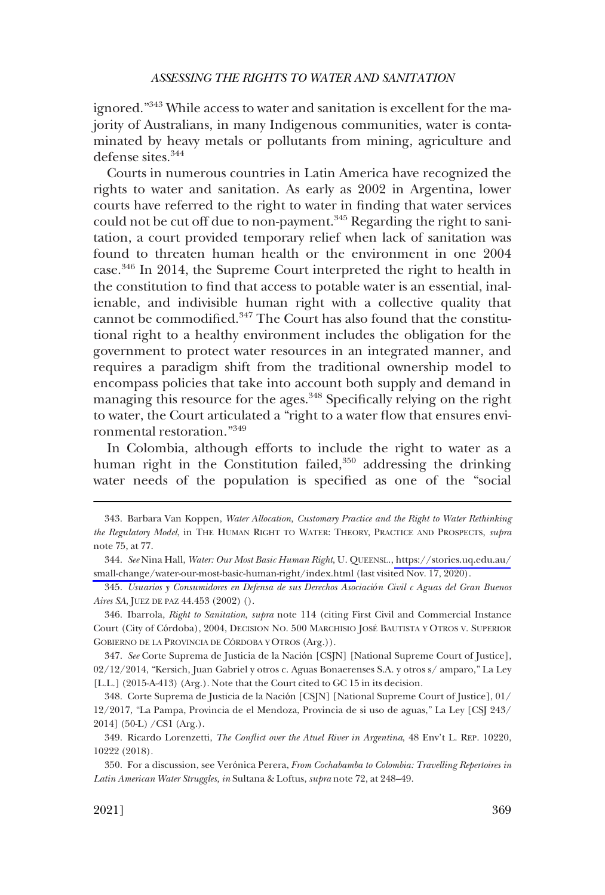ignored."343 While access to water and sanitation is excellent for the majority of Australians, in many Indigenous communities, water is contaminated by heavy metals or pollutants from mining, agriculture and defense sites.<sup>344</sup>

Courts in numerous countries in Latin America have recognized the rights to water and sanitation. As early as 2002 in Argentina, lower courts have referred to the right to water in finding that water services could not be cut off due to non-payment.<sup>345</sup> Regarding the right to sanitation, a court provided temporary relief when lack of sanitation was found to threaten human health or the environment in one 2004 case.346 In 2014, the Supreme Court interpreted the right to health in the constitution to find that access to potable water is an essential, inalienable, and indivisible human right with a collective quality that cannot be commodified.<sup>347</sup> The Court has also found that the constitutional right to a healthy environment includes the obligation for the government to protect water resources in an integrated manner, and requires a paradigm shift from the traditional ownership model to encompass policies that take into account both supply and demand in managing this resource for the ages.<sup>348</sup> Specifically relying on the right to water, the Court articulated a "right to a water flow that ensures environmental restoration."<sup>349</sup>

In Colombia, although efforts to include the right to water as a human right in the Constitution failed,<sup>350</sup> addressing the drinking water needs of the population is specified as one of the "social

<sup>343.</sup> Barbara Van Koppen, *Water Allocation, Customary Practice and the Right to Water Rethinking the Regulatory Model*, in THE HUMAN RIGHT TO WATER: THEORY, PRACTICE AND PROSPECTS, *supra*  note 75, at 77.

*See* Nina Hall, *Water: Our Most Basic Human Right*, U. QUEENSL., [https://stories.uq.edu.au/](https://stories.uq.edu.au/small-change/water-our-most-basic-human-right/index.html) 344. [small-change/water-our-most-basic-human-right/index.html](https://stories.uq.edu.au/small-change/water-our-most-basic-human-right/index.html) (last visited Nov. 17, 2020).

<sup>345.</sup> *Usuarios y Consumidores en Defensa de sus Derechos Asociación Civil c Aguas del Gran Buenos Aires SA*, JUEZ DE PAZ 44.453 (2002) ().

<sup>346.</sup> Ibarrola, *Right to Sanitation*, *supra* note 114 (citing First Civil and Commercial Instance Court (City of Córdoba), 2004, DECISION NO. 500 MARCHISIO JOSE´ BAUTISTA Y OTROS V. SUPERIOR GOBIERNO DE LA PROVINCIA DE CÓRDOBA Y OTROS (Arg.)).

<sup>347.</sup> *See* Corte Suprema de Justicia de la Nación [CSJN] [National Supreme Court of Justice], 02/12/2014, "Kersich, Juan Gabriel y otros c. Aguas Bonaerenses S.A. y otros s/ amparo," La Ley [L.L.] (2015-A-413) (Arg.). Note that the Court cited to GC 15 in its decision.

<sup>348.</sup> Corte Suprema de Justicia de la Nación [CSJN] [National Supreme Court of Justice], 01/ 12/2017, "La Pampa, Provincia de el Mendoza, Provincia de si uso de aguas," La Ley [CSJ 243/ 2014] (50-L) /CS1 (Arg.).

<sup>349.</sup> Ricardo Lorenzetti, *The Conflict over the Atuel River in Argentina*, 48 Env't L. REP. 10220, 10222 (2018).

<sup>350.</sup> For a discussion, see Verónica Perera, *From Cochabamba to Colombia: Travelling Repertoires in Latin American Water Struggles, in* Sultana & Loftus, *supra* note 72, at 248–49.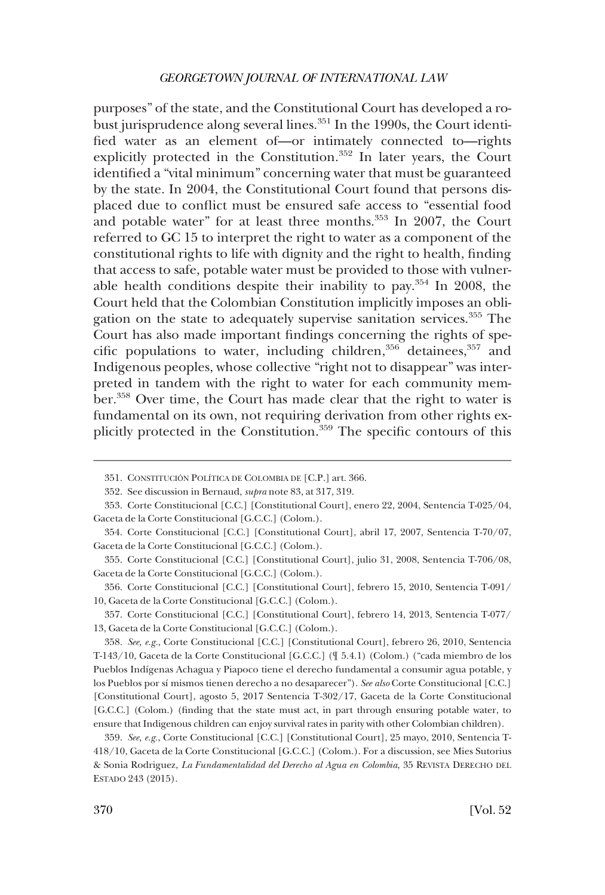purposes" of the state, and the Constitutional Court has developed a robust jurisprudence along several lines. $351$  In the 1990s, the Court identified water as an element of—or intimately connected to—rights explicitly protected in the Constitution.<sup>352</sup> In later years, the Court identified a "vital minimum" concerning water that must be guaranteed by the state. In 2004, the Constitutional Court found that persons displaced due to conflict must be ensured safe access to "essential food and potable water" for at least three months.<sup>353</sup> In 2007, the Court referred to GC 15 to interpret the right to water as a component of the constitutional rights to life with dignity and the right to health, finding that access to safe, potable water must be provided to those with vulnerable health conditions despite their inability to pay.354 In 2008, the Court held that the Colombian Constitution implicitly imposes an obligation on the state to adequately supervise sanitation services.<sup>355</sup> The Court has also made important findings concerning the rights of specific populations to water, including children,  $356$  detainees,  $357$  and Indigenous peoples, whose collective "right not to disappear" was interpreted in tandem with the right to water for each community member.<sup>358</sup> Over time, the Court has made clear that the right to water is fundamental on its own, not requiring derivation from other rights explicitly protected in the Constitution.<sup>359</sup> The specific contours of this

<sup>351.</sup> CONSTITUCIÓN POLÍTICA DE COLOMBIA DE [C.P.] art. 366.

<sup>352.</sup> See discussion in Bernaud, *supra* note 83, at 317, 319.

Corte Constitucional [C.C.] [Constitutional Court], enero 22, 2004, Sentencia T-025/04, 353. Gaceta de la Corte Constitucional [G.C.C.] (Colom.).

<sup>354.</sup> Corte Constitucional [C.C.] [Constitutional Court], abril 17, 2007, Sentencia T-70/07, Gaceta de la Corte Constitucional [G.C.C.] (Colom.).

<sup>355.</sup> Corte Constitucional [C.C.] [Constitutional Court], julio 31, 2008, Sentencia T-706/08, Gaceta de la Corte Constitucional [G.C.C.] (Colom.).

<sup>356.</sup> Corte Constitucional [C.C.] [Constitutional Court], febrero 15, 2010, Sentencia T-091/ 10, Gaceta de la Corte Constitucional [G.C.C.] (Colom.).

Corte Constitucional [C.C.] [Constitutional Court], febrero 14, 2013, Sentencia T-077/ 357. 13, Gaceta de la Corte Constitucional [G.C.C.] (Colom.).

<sup>358.</sup> See, e.g., Corte Constitucional [C.C.] [Constitutional Court], febrero 26, 2010, Sentencia T-143/10, Gaceta de la Corte Constitucional [G.C.C.] (¶ 5.4.1) (Colom.) ("cada miembro de los Pueblos Indígenas Achagua y Piapoco tiene el derecho fundamental a consumir agua potable, y los Pueblos por sı´ mismos tienen derecho a no desaparecer"). *See also* Corte Constitucional [C.C.] [Constitutional Court], agosto 5, 2017 Sentencia T-302/17, Gaceta de la Corte Constitucional [G.C.C.] (Colom.) (finding that the state must act, in part through ensuring potable water, to ensure that Indigenous children can enjoy survival rates in parity with other Colombian children).

<sup>359.</sup> See, e.g., Corte Constitucional [C.C.] [Constitutional Court], 25 mayo, 2010, Sentencia T-418/10, Gaceta de la Corte Constitucional [G.C.C.] (Colom.). For a discussion, see Mies Sutorius & Sonia Rodriguez, *La Fundamentalidad del Derecho al Agua en Colombia*, 35 REVISTA DERECHO DEL ESTADO 243 (2015).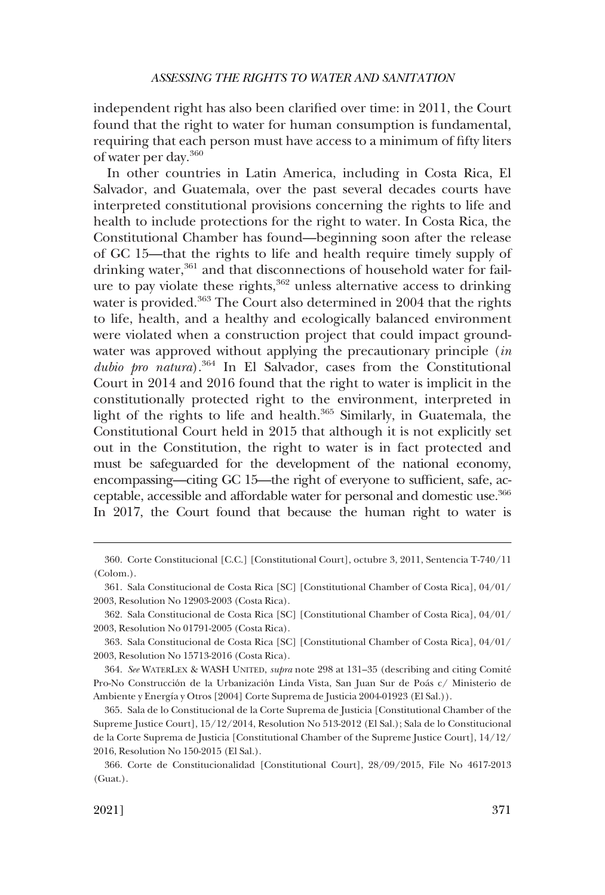independent right has also been clarified over time: in 2011, the Court found that the right to water for human consumption is fundamental, requiring that each person must have access to a minimum of fifty liters of water per day.360

In other countries in Latin America, including in Costa Rica, El Salvador, and Guatemala, over the past several decades courts have interpreted constitutional provisions concerning the rights to life and health to include protections for the right to water. In Costa Rica, the Constitutional Chamber has found—beginning soon after the release of GC 15—that the rights to life and health require timely supply of drinking water,<sup>361</sup> and that disconnections of household water for failure to pay violate these rights, $362$  unless alternative access to drinking water is provided.<sup>363</sup> The Court also determined in 2004 that the rights to life, health, and a healthy and ecologically balanced environment were violated when a construction project that could impact groundwater was approved without applying the precautionary principle (*in dubio pro natura*).364 In El Salvador, cases from the Constitutional Court in 2014 and 2016 found that the right to water is implicit in the constitutionally protected right to the environment, interpreted in light of the rights to life and health. $365$  Similarly, in Guatemala, the Constitutional Court held in 2015 that although it is not explicitly set out in the Constitution, the right to water is in fact protected and must be safeguarded for the development of the national economy, encompassing—citing GC 15—the right of everyone to sufficient, safe, acceptable, accessible and affordable water for personal and domestic use.366 In 2017, the Court found that because the human right to water is

<sup>360.</sup> Corte Constitucional [C.C.] [Constitutional Court], octubre 3, 2011, Sentencia T-740/11 (Colom.).

<sup>361.</sup> Sala Constitucional de Costa Rica [SC] [Constitutional Chamber of Costa Rica], 04/01/ 2003, Resolution No 12903-2003 (Costa Rica).

<sup>362.</sup> Sala Constitucional de Costa Rica [SC] [Constitutional Chamber of Costa Rica], 04/01/ 2003, Resolution No 01791-2005 (Costa Rica).

<sup>363.</sup> Sala Constitucional de Costa Rica [SC] [Constitutional Chamber of Costa Rica], 04/01/ 2003, Resolution No 15713-2016 (Costa Rica).

<sup>364.</sup> *See* WATERLEX & WASH UNITED, *supra* note 298 at 131–35 (describing and citing Comite´ Pro-No Construcción de la Urbanización Linda Vista, San Juan Sur de Poás c/ Ministerio de Ambiente y Energía y Otros [2004] Corte Suprema de Justicia 2004-01923 (El Sal.)).

<sup>365.</sup> Sala de lo Constitucional de la Corte Suprema de Justicia [Constitutional Chamber of the Supreme Justice Court], 15/12/2014, Resolution No 513-2012 (El Sal.); Sala de lo Constitucional de la Corte Suprema de Justicia [Constitutional Chamber of the Supreme Justice Court], 14/12/ 2016, Resolution No 150-2015 (El Sal.).

<sup>366.</sup> Corte de Constitucionalidad [Constitutional Court], 28/09/2015, File No 4617-2013 (Guat.).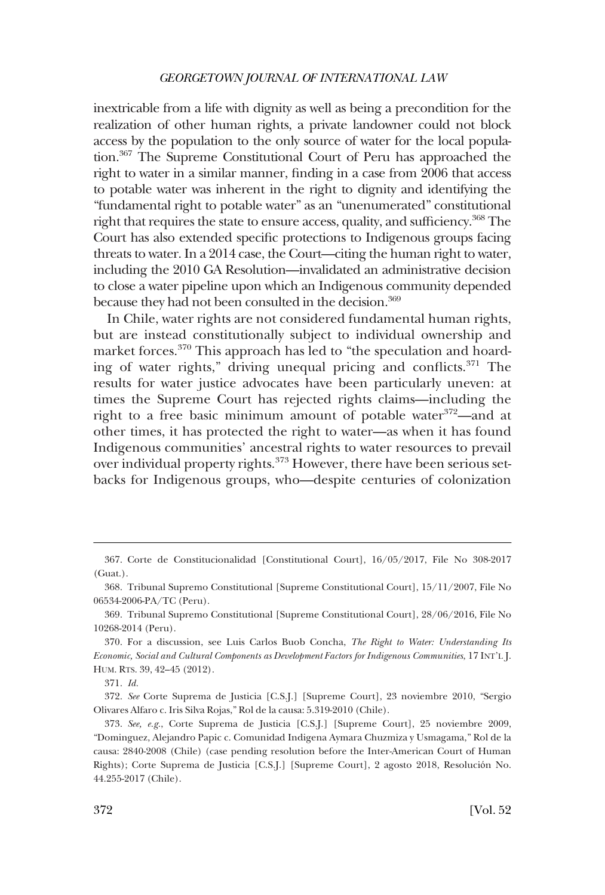inextricable from a life with dignity as well as being a precondition for the realization of other human rights, a private landowner could not block access by the population to the only source of water for the local population.<sup>367</sup> The Supreme Constitutional Court of Peru has approached the right to water in a similar manner, finding in a case from 2006 that access to potable water was inherent in the right to dignity and identifying the "fundamental right to potable water" as an "unenumerated" constitutional right that requires the state to ensure access, quality, and sufficiency.<sup>368</sup> The Court has also extended specific protections to Indigenous groups facing threats to water. In a 2014 case, the Court—citing the human right to water, including the 2010 GA Resolution—invalidated an administrative decision to close a water pipeline upon which an Indigenous community depended because they had not been consulted in the decision.<sup>369</sup>

In Chile, water rights are not considered fundamental human rights, but are instead constitutionally subject to individual ownership and market forces.<sup>370</sup> This approach has led to "the speculation and hoarding of water rights," driving unequal pricing and conflicts.371 The results for water justice advocates have been particularly uneven: at times the Supreme Court has rejected rights claims—including the right to a free basic minimum amount of potable water $372$ —and at other times, it has protected the right to water—as when it has found Indigenous communities' ancestral rights to water resources to prevail over individual property rights.<sup>373</sup> However, there have been serious setbacks for Indigenous groups, who—despite centuries of colonization

<sup>367.</sup> Corte de Constitucionalidad [Constitutional Court], 16/05/2017, File No 308-2017 (Guat.).

<sup>368.</sup> Tribunal Supremo Constitutional [Supreme Constitutional Court], 15/11/2007, File No 06534-2006-PA/TC (Peru).

<sup>369.</sup> Tribunal Supremo Constitutional [Supreme Constitutional Court], 28/06/2016, File No 10268-2014 (Peru).

<sup>370.</sup> For a discussion, see Luis Carlos Buob Concha, *The Right to Water: Understanding Its Economic, Social and Cultural Components as Development Factors for Indigenous Communities*, 17 INT'L J. HUM. RTS. 39, 42–45 (2012).

<sup>371.</sup> *Id.* 

<sup>372.</sup> *See* Corte Suprema de Justicia [C.S.J.] [Supreme Court], 23 noviembre 2010, "Sergio Olivares Alfaro c. Iris Silva Rojas," Rol de la causa: 5.319-2010 (Chile).

<sup>373.</sup> *See, e.g.*, Corte Suprema de Justicia [C.S.J.] [Supreme Court], 25 noviembre 2009, "Dominguez, Alejandro Papic c. Comunidad Indigena Aymara Chuzmiza y Usmagama," Rol de la causa: 2840-2008 (Chile) (case pending resolution before the Inter-American Court of Human Rights); Corte Suprema de Justicia [C.S.J.] [Supreme Court], 2 agosto 2018, Resolución No. 44.255-2017 (Chile).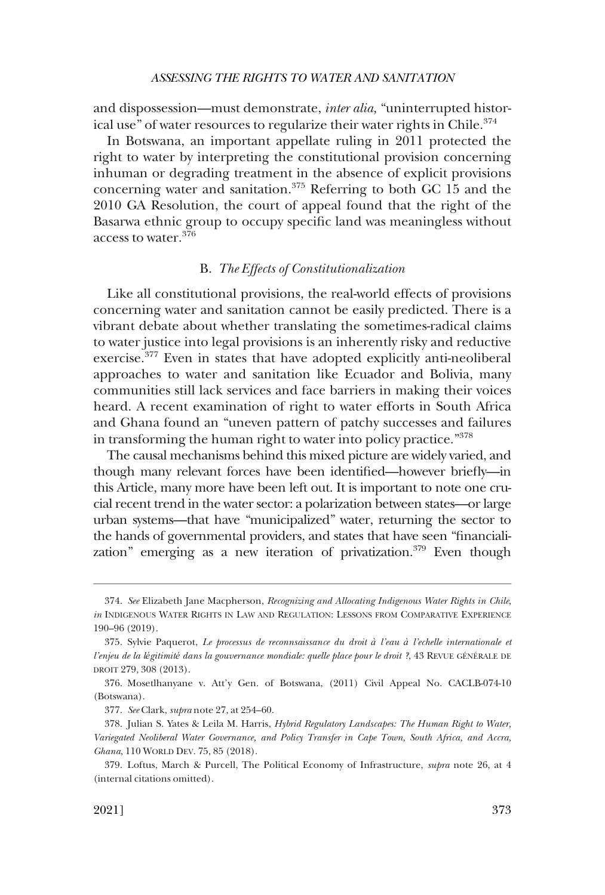<span id="page-58-0"></span>and dispossession—must demonstrate, *inter alia,* "uninterrupted historical use" of water resources to regularize their water rights in Chile.<sup>374</sup>

In Botswana, an important appellate ruling in 2011 protected the right to water by interpreting the constitutional provision concerning inhuman or degrading treatment in the absence of explicit provisions concerning water and sanitation.375 Referring to both GC 15 and the 2010 GA Resolution, the court of appeal found that the right of the Basarwa ethnic group to occupy specific land was meaningless without access to water.376

# B. *The Effects of Constitutionalization*

Like all constitutional provisions, the real-world effects of provisions concerning water and sanitation cannot be easily predicted. There is a vibrant debate about whether translating the sometimes-radical claims to water justice into legal provisions is an inherently risky and reductive exercise.<sup>377</sup> Even in states that have adopted explicitly anti-neoliberal approaches to water and sanitation like Ecuador and Bolivia, many communities still lack services and face barriers in making their voices heard. A recent examination of right to water efforts in South Africa and Ghana found an "uneven pattern of patchy successes and failures in transforming the human right to water into policy practice."<sup>378</sup>

The causal mechanisms behind this mixed picture are widely varied, and though many relevant forces have been identified—however briefly—in this Article, many more have been left out. It is important to note one crucial recent trend in the water sector: a polarization between states—or large urban systems—that have "municipalized" water, returning the sector to the hands of governmental providers, and states that have seen "financialization" emerging as a new iteration of privatization.<sup>379</sup> Even though

<sup>374.</sup> *See* Elizabeth Jane Macpherson, *Recognizing and Allocating Indigenous Water Rights in Chile*, *in* INDIGENOUS WATER RIGHTS IN LAW AND REGULATION: LESSONS FROM COMPARATIVE EXPERIENCE 190–96 (2019).

Sylvie Paquerot, *Le processus de reconnsaissance du droit à l'eau à l'echelle internationale et*  375. *l'enjeu de la légitimité dans la gouvernance mondiale: quelle place pour le droit ?*, 43 REVUE GÉNÉRALE DE DROIT 279, 308 (2013).

<sup>376.</sup> Mosetlhanyane v. Att'y Gen. of Botswana, (2011) Civil Appeal No. CACLB-074-10 (Botswana).

<sup>377.</sup> *See* Clark, *supra* note 27, at 254–60.

<sup>378.</sup> Julian S. Yates & Leila M. Harris, *Hybrid Regulatory Landscapes: The Human Right to Water, Variegated Neoliberal Water Governance, and Policy Transfer in Cape Town, South Africa, and Accra, Ghana*, 110 WORLD DEV. 75, 85 (2018).

<sup>379.</sup> Loftus, March & Purcell, The Political Economy of Infrastructure, *supra* note 26, at 4 (internal citations omitted).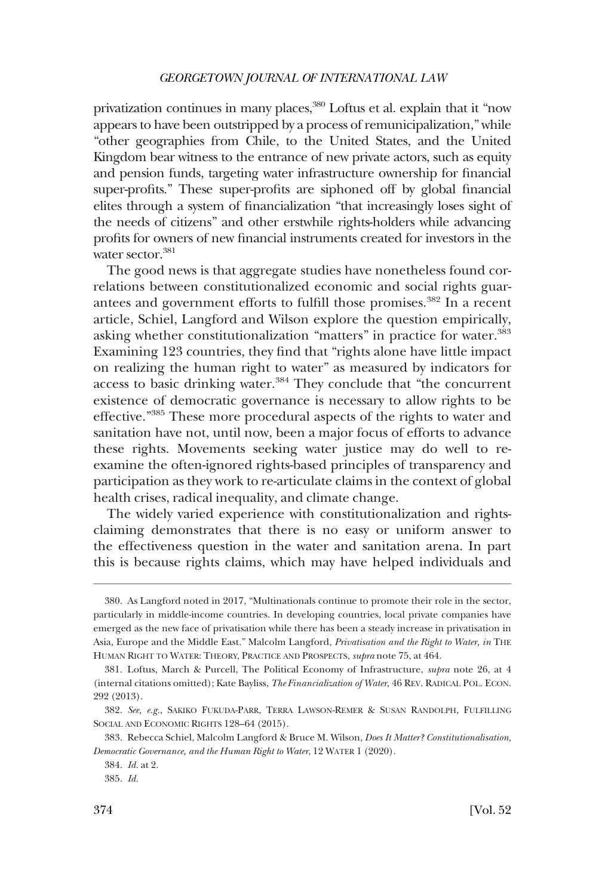privatization continues in many places,<sup>380</sup> Loftus et al. explain that it "now appears to have been outstripped by a process of remunicipalization," while "other geographies from Chile, to the United States, and the United Kingdom bear witness to the entrance of new private actors, such as equity and pension funds, targeting water infrastructure ownership for financial super-profits." These super-profits are siphoned off by global financial elites through a system of financialization "that increasingly loses sight of the needs of citizens" and other erstwhile rights-holders while advancing profits for owners of new financial instruments created for investors in the water sector.<sup>381</sup>

The good news is that aggregate studies have nonetheless found correlations between constitutionalized economic and social rights guarantees and government efforts to fulfill those promises.<sup>382</sup> In a recent article, Schiel, Langford and Wilson explore the question empirically, asking whether constitutionalization "matters" in practice for water.<sup>383</sup> Examining 123 countries, they find that "rights alone have little impact on realizing the human right to water" as measured by indicators for access to basic drinking water.<sup>384</sup> They conclude that "the concurrent existence of democratic governance is necessary to allow rights to be effective."385 These more procedural aspects of the rights to water and sanitation have not, until now, been a major focus of efforts to advance these rights. Movements seeking water justice may do well to reexamine the often-ignored rights-based principles of transparency and participation as they work to re-articulate claims in the context of global health crises, radical inequality, and climate change.

The widely varied experience with constitutionalization and rightsclaiming demonstrates that there is no easy or uniform answer to the effectiveness question in the water and sanitation arena. In part this is because rights claims, which may have helped individuals and

<sup>380.</sup> As Langford noted in 2017, "Multinationals continue to promote their role in the sector, particularly in middle-income countries. In developing countries, local private companies have emerged as the new face of privatisation while there has been a steady increase in privatisation in Asia, Europe and the Middle East." Malcolm Langford, *Privatisation and the Right to Water, in* THE HUMAN RIGHT TO WATER: THEORY, PRACTICE AND PROSPECTS, *supra* note 75, at 464.

<sup>381.</sup> Loftus, March & Purcell, The Political Economy of Infrastructure, *supra* note 26, at 4 (internal citations omitted); Kate Bayliss, *The Financialization of Water*, 46 REV. RADICAL POL. ECON. 292 (2013).

<sup>382.</sup> *See, e.g.*, SAKIKO FUKUDA-PARR, TERRA LAWSON-REMER & SUSAN RANDOLPH, FULFILLING SOCIAL AND ECONOMIC RIGHTS 128–64 (2015).

<sup>383.</sup> Rebecca Schiel, Malcolm Langford & Bruce M. Wilson, *Does It Matter? Constitutionalisation, Democratic Governance, and the Human Right to Water*, 12 WATER 1 (2020).

<sup>384.</sup> *Id.* at 2.

<sup>385.</sup> *Id.*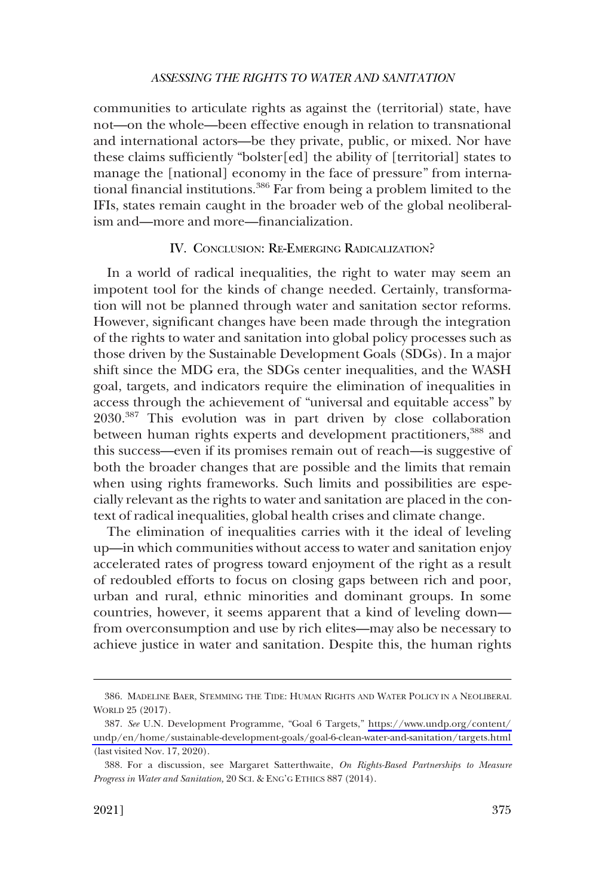<span id="page-60-0"></span>communities to articulate rights as against the (territorial) state, have not—on the whole—been effective enough in relation to transnational and international actors—be they private, public, or mixed. Nor have these claims sufficiently "bolster[ed] the ability of [territorial] states to manage the [national] economy in the face of pressure" from international financial institutions.<sup>386</sup> Far from being a problem limited to the IFIs, states remain caught in the broader web of the global neoliberalism and—more and more—financialization.

### IV. CONCLUSION: RE-EMERGING RADICALIZATION?

In a world of radical inequalities, the right to water may seem an impotent tool for the kinds of change needed. Certainly, transformation will not be planned through water and sanitation sector reforms. However, significant changes have been made through the integration of the rights to water and sanitation into global policy processes such as those driven by the Sustainable Development Goals (SDGs). In a major shift since the MDG era, the SDGs center inequalities, and the WASH goal, targets, and indicators require the elimination of inequalities in access through the achievement of "universal and equitable access" by 2030.387 This evolution was in part driven by close collaboration between human rights experts and development practitioners,<sup>388</sup> and this success—even if its promises remain out of reach—is suggestive of both the broader changes that are possible and the limits that remain when using rights frameworks. Such limits and possibilities are especially relevant as the rights to water and sanitation are placed in the context of radical inequalities, global health crises and climate change.

The elimination of inequalities carries with it the ideal of leveling up—in which communities without access to water and sanitation enjoy accelerated rates of progress toward enjoyment of the right as a result of redoubled efforts to focus on closing gaps between rich and poor, urban and rural, ethnic minorities and dominant groups. In some countries, however, it seems apparent that a kind of leveling down from overconsumption and use by rich elites—may also be necessary to achieve justice in water and sanitation. Despite this, the human rights

<sup>386.</sup> MADELINE BAER, STEMMING THE TIDE: HUMAN RIGHTS AND WATER POLICY IN A NEOLIBERAL WORLD 25 (2017).

*See* U.N. Development Programme, "Goal 6 Targets," [https://www.undp.org/content/](https://www.undp.org/content/undp/en/home/sustainable-development-goals/goal-6-clean-water-and-sanitation/targets.html)  387. [undp/en/home/sustainable-development-goals/goal-6-clean-water-and-sanitation/targets.html](https://www.undp.org/content/undp/en/home/sustainable-development-goals/goal-6-clean-water-and-sanitation/targets.html)  (last visited Nov. 17, 2020).

<sup>388.</sup> For a discussion, see Margaret Satterthwaite, *On Rights-Based Partnerships to Measure Progress in Water and Sanitation,* 20 SCI. & ENG'G ETHICS 887 (2014).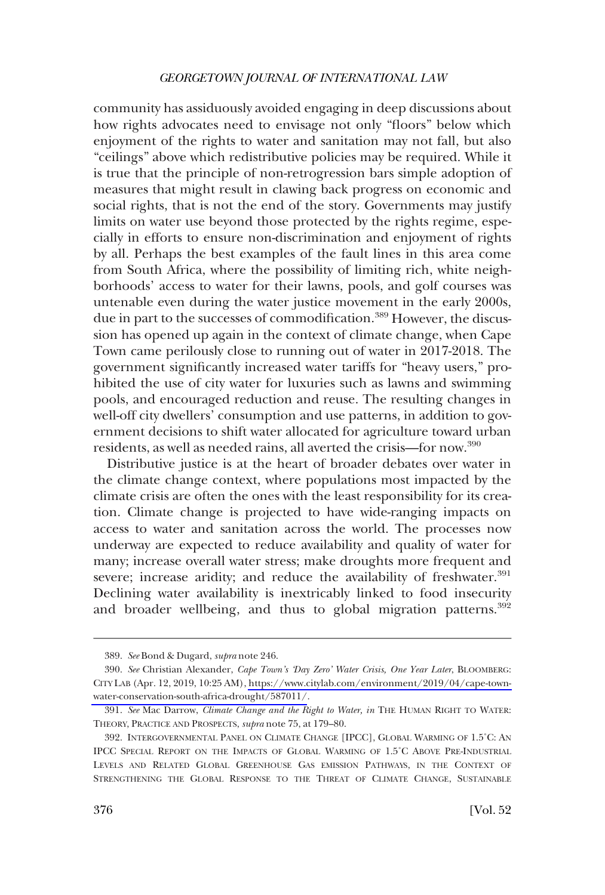community has assiduously avoided engaging in deep discussions about how rights advocates need to envisage not only "floors" below which enjoyment of the rights to water and sanitation may not fall, but also "ceilings" above which redistributive policies may be required. While it is true that the principle of non-retrogression bars simple adoption of measures that might result in clawing back progress on economic and social rights, that is not the end of the story. Governments may justify limits on water use beyond those protected by the rights regime, especially in efforts to ensure non-discrimination and enjoyment of rights by all. Perhaps the best examples of the fault lines in this area come from South Africa, where the possibility of limiting rich, white neighborhoods' access to water for their lawns, pools, and golf courses was untenable even during the water justice movement in the early 2000s, due in part to the successes of commodification.<sup>389</sup> However, the discussion has opened up again in the context of climate change, when Cape Town came perilously close to running out of water in 2017-2018. The government significantly increased water tariffs for "heavy users," prohibited the use of city water for luxuries such as lawns and swimming pools, and encouraged reduction and reuse. The resulting changes in well-off city dwellers' consumption and use patterns, in addition to government decisions to shift water allocated for agriculture toward urban residents, as well as needed rains, all averted the crisis—for now.390

Distributive justice is at the heart of broader debates over water in the climate change context, where populations most impacted by the climate crisis are often the ones with the least responsibility for its creation. Climate change is projected to have wide-ranging impacts on access to water and sanitation across the world. The processes now underway are expected to reduce availability and quality of water for many; increase overall water stress; make droughts more frequent and severe; increase aridity; and reduce the availability of freshwater.<sup>391</sup> Declining water availability is inextricably linked to food insecurity and broader wellbeing, and thus to global migration patterns.<sup>392</sup>

<sup>389.</sup> *See* Bond & Dugard, *supra* note 246.

*See* Christian Alexander, *Cape Town's 'Day Zero' Water Crisis, One Year Later*, BLOOMBERG: 390. CITY LAB (Apr. 12, 2019, 10:25 AM), [https://www.citylab.com/environment/2019/04/cape-town](https://www.citylab.com/environment/2019/04/cape-town-water-conservation-south-africa-drought/587011/)[water-conservation-south-africa-drought/587011/.](https://www.citylab.com/environment/2019/04/cape-town-water-conservation-south-africa-drought/587011/)

<sup>391.</sup> *See* Mac Darrow, *Climate Change and the Right to Water, in* THE HUMAN RIGHT TO WATER: THEORY, PRACTICE AND PROSPECTS, *supra* note 75, at 179–80.

<sup>392.</sup> INTERGOVERNMENTAL PANEL ON CLIMATE CHANGE [IPCC], GLOBAL WARMING OF 1.5˚C: AN IPCC SPECIAL REPORT ON THE IMPACTS OF GLOBAL WARMING OF 1.5˚C ABOVE PRE-INDUSTRIAL LEVELS AND RELATED GLOBAL GREENHOUSE GAS EMISSION PATHWAYS, IN THE CONTEXT OF STRENGTHENING THE GLOBAL RESPONSE TO THE THREAT OF CLIMATE CHANGE, SUSTAINABLE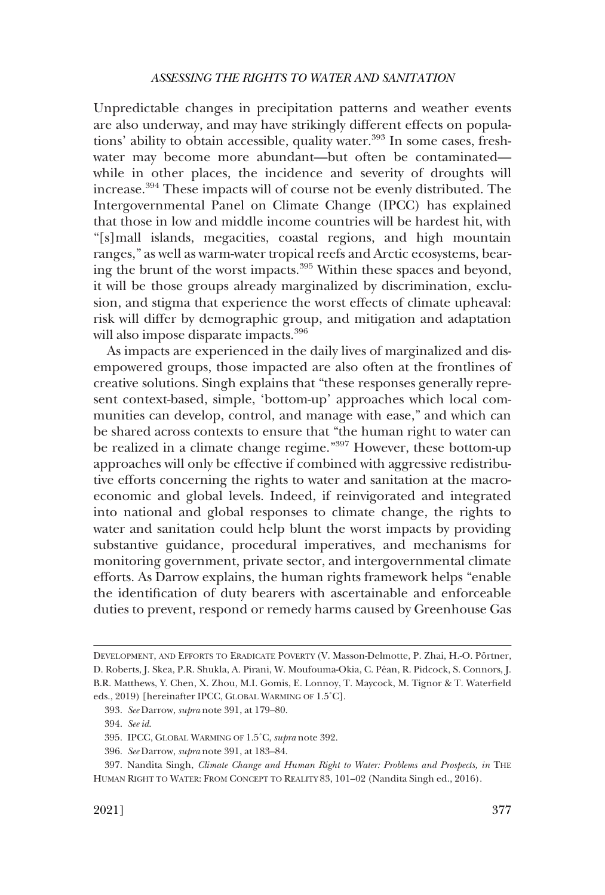Unpredictable changes in precipitation patterns and weather events are also underway, and may have strikingly different effects on populations' ability to obtain accessible, quality water.<sup>393</sup> In some cases, freshwater may become more abundant—but often be contaminated while in other places, the incidence and severity of droughts will increase.394 These impacts will of course not be evenly distributed. The Intergovernmental Panel on Climate Change (IPCC) has explained that those in low and middle income countries will be hardest hit, with "[s]mall islands, megacities, coastal regions, and high mountain ranges," as well as warm-water tropical reefs and Arctic ecosystems, bearing the brunt of the worst impacts.<sup>395</sup> Within these spaces and beyond, it will be those groups already marginalized by discrimination, exclusion, and stigma that experience the worst effects of climate upheaval: risk will differ by demographic group, and mitigation and adaptation will also impose disparate impacts.<sup>396</sup>

As impacts are experienced in the daily lives of marginalized and disempowered groups, those impacted are also often at the frontlines of creative solutions. Singh explains that "these responses generally represent context-based, simple, 'bottom-up' approaches which local communities can develop, control, and manage with ease," and which can be shared across contexts to ensure that "the human right to water can be realized in a climate change regime."397 However, these bottom-up approaches will only be effective if combined with aggressive redistributive efforts concerning the rights to water and sanitation at the macroeconomic and global levels. Indeed, if reinvigorated and integrated into national and global responses to climate change, the rights to water and sanitation could help blunt the worst impacts by providing substantive guidance, procedural imperatives, and mechanisms for monitoring government, private sector, and intergovernmental climate efforts. As Darrow explains, the human rights framework helps "enable the identification of duty bearers with ascertainable and enforceable duties to prevent, respond or remedy harms caused by Greenhouse Gas

DEVELOPMENT, AND EFFORTS TO ERADICATE POVERTY (V. Masson-Delmotte, P. Zhai, H.-O. Pörtner, D. Roberts, J. Skea, P.R. Shukla, A. Pirani, W. Moufouma-Okia, C. Péan, R. Pidcock, S. Connors, J. B.R. Matthews, Y. Chen, X. Zhou, M.I. Gomis, E. Lonnoy, T. Maycock, M. Tignor & T. Waterfield eds., 2019) [hereinafter IPCC, GLOBAL WARMING OF 1.5˚C].

<sup>393.</sup> *See* Darrow, *supra* note 391, at 179–80.

<sup>394.</sup> *See id*.

<sup>395.</sup> IPCC, GLOBAL WARMING OF 1.5˚C, *supra* note 392.

<sup>396.</sup> *See* Darrow, *supra* note 391, at 183–84.

<sup>397.</sup> Nandita Singh, *Climate Change and Human Right to Water: Problems and Prospects, in* THE HUMAN RIGHT TO WATER: FROM CONCEPT TO REALITY 83, 101–02 (Nandita Singh ed., 2016).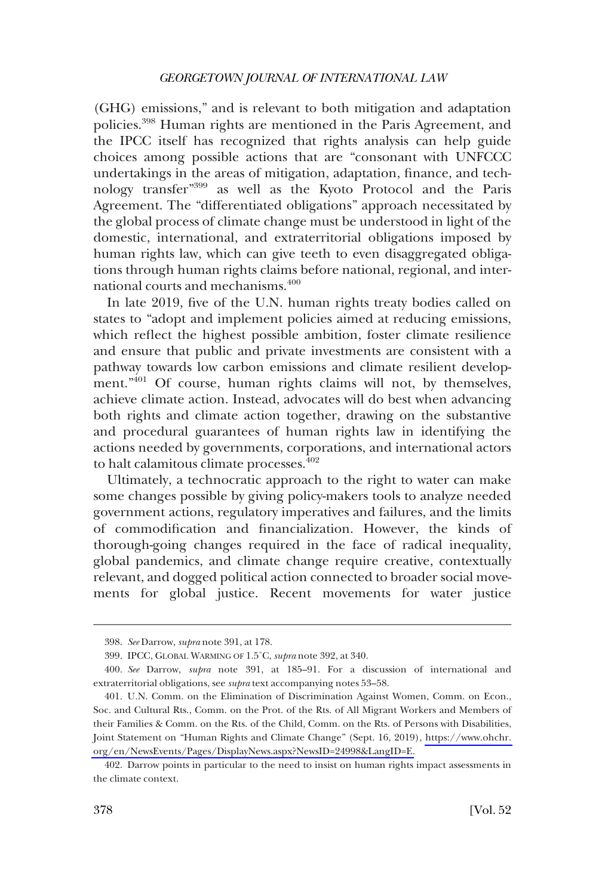(GHG) emissions," and is relevant to both mitigation and adaptation policies.398 Human rights are mentioned in the Paris Agreement, and the IPCC itself has recognized that rights analysis can help guide choices among possible actions that are "consonant with UNFCCC undertakings in the areas of mitigation, adaptation, finance, and technology transfer"399 as well as the Kyoto Protocol and the Paris Agreement. The "differentiated obligations" approach necessitated by the global process of climate change must be understood in light of the domestic, international, and extraterritorial obligations imposed by human rights law, which can give teeth to even disaggregated obligations through human rights claims before national, regional, and international courts and mechanisms.<sup>400</sup>

In late 2019, five of the U.N. human rights treaty bodies called on states to "adopt and implement policies aimed at reducing emissions, which reflect the highest possible ambition, foster climate resilience and ensure that public and private investments are consistent with a pathway towards low carbon emissions and climate resilient development."<sup>401</sup> Of course, human rights claims will not, by themselves, achieve climate action. Instead, advocates will do best when advancing both rights and climate action together, drawing on the substantive and procedural guarantees of human rights law in identifying the actions needed by governments, corporations, and international actors to halt calamitous climate processes.<sup>402</sup>

Ultimately, a technocratic approach to the right to water can make some changes possible by giving policy-makers tools to analyze needed government actions, regulatory imperatives and failures, and the limits of commodification and financialization. However, the kinds of thorough-going changes required in the face of radical inequality, global pandemics, and climate change require creative, contextually relevant, and dogged political action connected to broader social movements for global justice. Recent movements for water justice

<sup>398.</sup> *See* Darrow, *supra* note 391, at 178.

<sup>399.</sup> IPCC, GLOBAL WARMING OF 1.5˚C, *supra* note 392, at 340.

<sup>400.</sup> *See* Darrow, *supra* note 391, at 185–91. For a discussion of international and extraterritorial obligations, see *supra* text accompanying notes 53–58.

<sup>401.</sup> U.N. Comm. on the Elimination of Discrimination Against Women, Comm. on Econ., Soc. and Cultural Rts., Comm. on the Prot. of the Rts. of All Migrant Workers and Members of their Families & Comm. on the Rts. of the Child, Comm. on the Rts. of Persons with Disabilities, Joint Statement on "Human Rights and Climate Change" (Sept. 16, 2019), [https://www.ohchr.](https://www.ohchr.org/en/NewsEvents/Pages/DisplayNews.aspx?NewsID=24998&LangID=E)  [org/en/NewsEvents/Pages/DisplayNews.aspx?NewsID=24998&LangID=E.](https://www.ohchr.org/en/NewsEvents/Pages/DisplayNews.aspx?NewsID=24998&LangID=E)

<sup>402.</sup> Darrow points in particular to the need to insist on human rights impact assessments in the climate context.